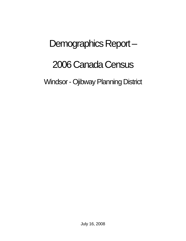# Demographics Report –

# 2006 Canada Census

Windsor - Ojibway Planning District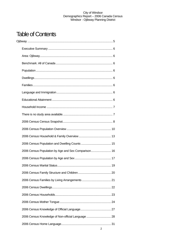## **Table of Contents**

| 2006 Census Population by Age and Sex Comparison 16 |  |
|-----------------------------------------------------|--|
|                                                     |  |
|                                                     |  |
|                                                     |  |
|                                                     |  |
|                                                     |  |
|                                                     |  |
|                                                     |  |
|                                                     |  |
| 2006 Census Knowledge of Non-official Language  28  |  |
|                                                     |  |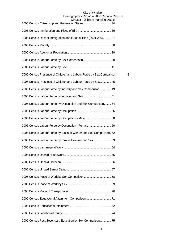## City of Windsor Demographics Report – 2006 Canada Census

| Windsor - Ojibway Planning District                                 |    |
|---------------------------------------------------------------------|----|
|                                                                     |    |
| 2006 Census Recent Immigration and Place of Birth (2001-2006) 37    |    |
|                                                                     |    |
|                                                                     |    |
|                                                                     |    |
|                                                                     |    |
| 2006 Census Presence of Children and Labour Force by Sex Comparison | 43 |
| 2006 Census Presence of Children and Labour Force by Sex  45        |    |
| 2006 Census Labour Force by Industry and Sex Comparison 49          |    |
|                                                                     |    |
| 2006 Census Labour Force by Occupation and Sex Comparison 54        |    |
|                                                                     |    |
|                                                                     |    |
| 2006 Census Labour Force by Occupation - Female  60                 |    |
| 2006 Census Labour Force by Class of Worker and Sex Comparison. 62  |    |
| 2006 Census Labour Force by Class of Worker and Sex 63              |    |
|                                                                     |    |
|                                                                     |    |
|                                                                     |    |
|                                                                     |    |
|                                                                     |    |
|                                                                     |    |
|                                                                     |    |
|                                                                     |    |
|                                                                     |    |
|                                                                     |    |
| 2006 Census Post Secondary Education by Sex Comparison  75          |    |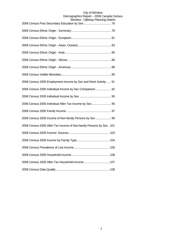| ojiwway i iai ii iii iy b                                          |
|--------------------------------------------------------------------|
|                                                                    |
|                                                                    |
|                                                                    |
|                                                                    |
|                                                                    |
|                                                                    |
|                                                                    |
| 2006 Census 2005 Employment Income by Sex and Work Activity  91    |
| 2006 Census 2005 Individual Income by Sex Comparison 92            |
|                                                                    |
| 2006 Census 2005 Individual After-Tax Income by Sex 95             |
|                                                                    |
| 2006 Census 2005 Income of Non-family Persons by Sex  99           |
| 2006 Census 2005 After-Tax Income of Non-family Persons by Sex 101 |
|                                                                    |
|                                                                    |
|                                                                    |
|                                                                    |
| 2006 Census 2005 After-Tax Household Income  107                   |
|                                                                    |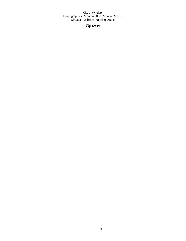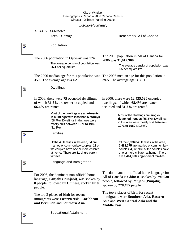Executive Summary

EXECUTIVE SUMMARY

Area: Ojibway **Benchmark: All of Canada** 



## Population

The 2006 population in Ojibway was **174**.

The average density of population was **26.1** per square km.

The 2006 median age for this population was The 2006 median age for this population is **35.8**. The average age is **41.2**.

The 2006 population in All of Canada for 2006 was **31,612,900**.

> The average density of population was **3.5** per square km.

**39.5**. The average age is **39.1**.

In 2006, there were **12,435,520** occupied



## Dwellings

families.

In 2006, there were **75** occupied dwellings, of which **31.5%** are owner-occupied and **66.4%** are rented.

> Most of the dwellings are **apartments in buildings with less than 5 storeys** (68.7%). Dwellings in this area were mostly built **between 1971 to 1980** (31.3%).

> Families Of the **45** families in the area, **34** are married or common law couples; **12** of the couples have one or more children at home. There are **11** single-parent

dwellings, of which **68.4%** are owneroccupied and **31.2%** are rented.

Most of the dwellings are **singledetached houses** (55.3%). Dwellings in this area were mostly built **between 1971 to 1980** (19.5%).

Of the **8,896,840** families in the area, **7,482,775** are married or common law couples; **4,061,930** of the couples have one or more children at home. There are **1,414,060** single-parent families.

Z.

 $\overline{\phantom{a}}$ 

Language and Immigration

For 2006, the dominant non-official home language, **Panjabi (Punjabi)**, was spoken by **8** people, followed by **Chinese**, spoken by **8** people.

The top 3 places of birth for recent immigrants were **Eastern Asia**, **Caribbean and Bermuda** and **Southern Asia**.

The dominant non-official home language for All of Canada is **Chinese**, spoken by **790,030** people, followed by **Panjabi (Punjabi)**, spoken by **278,495** people.

The top 3 places of birth for recent immigrants were **Southern Asia**, **Eastern Asia** and **West Central Asia and the Middle East**.

Educational Attainment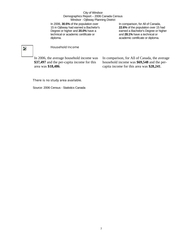In 2006, **30.5%** of the population over 15 in Ojibway had earned a Bachelor's Degree or higher and **20.0%** have a technical or academic certificate or diploma.

In comparison, for All of Canada, **22.6%** of the population over 15 had earned a Bachelor's Degree or higher and **28.1%** have a technical or academic certificate or diploma.

## $\overline{\phantom{a}}$

## Household Income

In 2006, the average household income was **\$37,497** and the per-capita income for this area was **\$18,486**.

In comparison, for All of Canada, the average household income was **\$69,548** and the percapita income for this area was **\$28,241**.

## There is no study area available.

Source: 2006 Census - Statistics Canada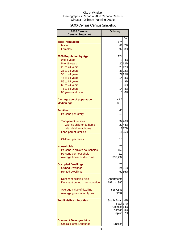## 2006 Census Census Snapshot

| 2006 Census<br><b>Census Snapshot</b> | <b>Ojibway</b>               |        |
|---------------------------------------|------------------------------|--------|
|                                       |                              | %      |
| <b>Total Population</b>               | 174                          |        |
| <b>Males</b>                          |                              | 8347%  |
| <b>Females</b>                        |                              | 9253%  |
| <b>2006 Population by Age</b>         | 174                          |        |
| 0 to 4 years                          | 8                            | 4%     |
| 5 to 19 years                         |                              | 20 12% |
| 20 to 24 years                        |                              | 2012%  |
| 25 to 34 years                        |                              | 3822%  |
| 35 to 44 years                        |                              | 27 15% |
| 45 to 54 years                        |                              | 14 8%  |
| 55 to 64 years                        |                              | 14 8%  |
| 65 to 74 years                        |                              | 10 6%  |
| 75 to 84 years                        | 14                           | 8%     |
| 85 years and over                     | 10                           | 6%     |
| <b>Average age of population</b>      | 41.2                         |        |
| <b>Median age</b>                     | 35.8                         |        |
| <b>Families</b>                       | 45                           |        |
| Persons per family                    | 2.5                          |        |
| <b>Two-parent families</b>            |                              | 3476%  |
| With no children at home              |                              | 2044%  |
| With children at home                 |                              | 1227%  |
| Lone-parent families                  |                              | 1125%  |
| Children per family                   | 0.8                          |        |
| Households                            | 75                           |        |
| Persons in private households         | 152                          |        |
| Persons per household                 | 2.0                          |        |
| Average household income              | \$37,497                     |        |
| <b>Occupied Dwellings</b>             | 75                           |        |
| <b>Owned Dwellings</b>                |                              | 2431%  |
| <b>Rented Dwellings</b>               |                              | 5066%  |
| Dominant building type                | Apartments                   |        |
| Dominant period of construction       | 1971 - 1980                  |        |
| Average value of dwelling             | \$187,881                    |        |
| Average gross monthly rent            | \$559                        |        |
|                                       |                              |        |
| <b>Top 5 visible minorities</b>       | South Asian 46%<br>Black 17% |        |
|                                       | Chinese <sup>14%</sup>       |        |
|                                       | Korean                       | 8%     |
|                                       | Filipino                     | 7%     |
| <b>Dominant Demographics</b>          |                              |        |
| <b>Official Home Language</b>         | English                      |        |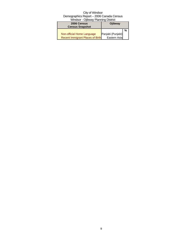| 2006 Census                      | <b>Ojibway</b>    |   |
|----------------------------------|-------------------|---|
| <b>Census Snapshot</b>           |                   |   |
|                                  |                   | % |
| Non-official Home Language       | Panjabi (Punjabi) |   |
| Recent Immigrant Places of Birth | Eastern Asia      |   |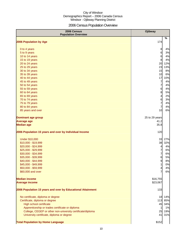## 2006 Census Population Overview

| 2006 Census<br><b>Population Overview</b>                   | <b>Ojibway</b>                 |
|-------------------------------------------------------------|--------------------------------|
| 2006 Population by Age                                      | %<br>174                       |
|                                                             |                                |
| 0 to 4 years                                                | 8<br>4%<br>6<br>3%             |
| 5 to 9 years<br>10 to 14 years                              | 6<br>4%                        |
| 15 to 19 years                                              | 8<br>4%                        |
| 20 to 24 years                                              | 20<br>12%                      |
| 25 to 29 years                                              | 23<br>13%                      |
| 30 to 34 years                                              | 15<br>8%                       |
| 35 to 39 years                                              | 10<br>6%                       |
| 40 to 44 years                                              | 17<br>10%                      |
| 45 to 49 years                                              | 7<br>4%                        |
| 50 to 54 years                                              | $\overline{7}$<br>4%           |
| 55 to 59 years                                              | 6<br>4%                        |
| 60 to 64 years                                              | 8<br>5%                        |
| 65 to 69 years                                              | 2%<br>$\overline{\mathcal{L}}$ |
| 70 to 74 years                                              | 6<br>3%                        |
| 75 to 79 years                                              | $\overline{7}$<br>4%           |
| 80 to 84 years                                              | $\overline{7}$<br>4%           |
| 85 years and over                                           | 10<br>6%                       |
| <b>Dominant age group</b>                                   | 25 to 29 years                 |
| <b>Average age</b>                                          | 41.2                           |
| <b>Median age</b>                                           | 35.8                           |
| 2006 Population 15 years and over by Individual Income      | 120                            |
| <b>Under \$10,000</b>                                       | 33<br>27%                      |
| \$10,000 - \$19,999                                         | 38<br>32%                      |
| \$20,000 - \$24,999                                         | $\overline{4}$<br>4%           |
| \$25,000 - \$29,999                                         | $\overline{7}$<br>6%           |
| \$30,000 - \$34,999                                         | $\overline{7}$<br>6%           |
| \$35,000 - \$39,999                                         | 6<br>5%                        |
| \$40,000 - \$44,999                                         | 9<br>8%                        |
| \$45,000 - \$49,999                                         | $\mathbf{1}$<br>0%             |
| \$50,000 - \$59,999                                         | 4%<br>$\overline{\mathcal{A}}$ |
| \$60,000 and over                                           | 7<br>6%                        |
| <b>Median income</b>                                        | \$16,755                       |
| <b>Average income</b>                                       | \$23,067                       |
| 2006 Population 15 years and over by Educational Attainment | 133                            |
| No certificate, diploma or degree                           | 14%<br>18                      |
| Certificate, diploma or degree                              | 113<br>85%                     |
| <b>High school certificate</b>                              | 45<br>34%                      |
| Apprenticeship or trades certificate or diploma             | 1%<br>1                        |
| College, CEGEP or other non-university certificate/diploma  | 25<br>19%                      |
| University certificate, diploma or degree                   | 41<br>31%                      |
| <b>Total Population by Home Language</b>                    | \$152                          |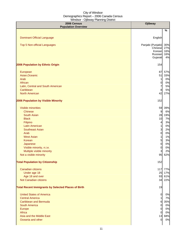| 2006 Census<br><b>Population Overview</b>                  | <b>Ojibway</b>      |           |
|------------------------------------------------------------|---------------------|-----------|
|                                                            |                     | $\%$      |
|                                                            |                     |           |
| <b>Dominant Official Language</b>                          | English             |           |
| Top 5 Non-official Languages                               | Panjabi (Punjabi)   | 30%       |
|                                                            | Chinese             | 27%       |
|                                                            | Korean              | 16%       |
|                                                            | Russian<br>Gujarati | 16%<br>4% |
|                                                            |                     |           |
| 2006 Population by Ethnic Origin                           | 154                 |           |
| European                                                   | 87                  | 57%       |
| Asian, Oceanic                                             | 51                  | 33%       |
| Arab                                                       | 1                   | 0%        |
| African                                                    | $\overline{0}$      | 0%        |
| Latin, Central and South American                          | $\overline{7}$      | 5%        |
| Caribbean                                                  | 8                   | 5%        |
| <b>North American</b>                                      | 42                  | 27%       |
|                                                            |                     |           |
| 2006 Population by Visible Minority                        | 152                 |           |
| Visible minorities                                         | 59                  | 39%       |
| <b>Chinese</b>                                             | 9                   | 6%        |
| <b>South Asian</b>                                         | 28                  | 19%       |
| <b>Black</b>                                               | 10                  | 7%        |
| Filipino                                                   | 4                   | 3%        |
| <b>Latin American</b>                                      | 1                   | 0%        |
| <b>Southeast Asian</b>                                     | 3                   | 2%        |
| Arab<br><b>West Asian</b>                                  | 0<br>1              | 0%<br>1%  |
| Korean                                                     | $5\overline{a}$     | 3%        |
| Japanese                                                   | $\overline{0}$      | 0%        |
| Visible minority, n.i.e.                                   | 0                   | 0%        |
| Multiple visible minority                                  | 3                   | 2%        |
| Not a visible minority                                     | 95                  | 62%       |
|                                                            |                     |           |
| <b>Total Population by Citizenship</b>                     | 152                 |           |
| Canadian citizens                                          | 117                 | 77%       |
| Under age 18                                               | 25                  | 17%       |
| Age 18 and over                                            | 93                  | 61%       |
| Not Canadian citizens                                      | 34                  | 22%       |
| <b>Total Recent Immigrants by Selected Places of Birth</b> | 19                  |           |
| <b>United States of America</b>                            | $\overline{0}$      | 0%        |
| <b>Central America</b>                                     | $\mathbf{1}$        | 7%        |
| <b>Caribbean and Bermuda</b>                               | 6                   | 35%       |
| South America                                              | $\overline{0}$      | 0%        |
| Europe                                                     | $\overline{0}$      | 0%        |
| Africa                                                     | $\overline{0}$      | 0%        |
| Asia and the Middle East                                   | 13                  | 68%       |
| Oceania and other                                          | $\overline{0}$      | 0%        |
|                                                            |                     |           |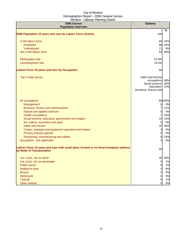| 2006 Census<br><b>Population Overview</b>                                                                          | Ojibway                                                                                    |                   |
|--------------------------------------------------------------------------------------------------------------------|--------------------------------------------------------------------------------------------|-------------------|
|                                                                                                                    |                                                                                            | %                 |
| 2006 Population 15 years and over by Labour Force Activity                                                         | 133                                                                                        |                   |
| In the labour force                                                                                                | 69                                                                                         | 52%               |
| Employed                                                                                                           | 58                                                                                         | 44%               |
| Unemployed                                                                                                         | 11                                                                                         | 8%                |
| Not in the labour force                                                                                            | 64                                                                                         | 48%               |
| Participation rate                                                                                                 | 51.9%                                                                                      |                   |
| Unemployment rate                                                                                                  | 15.5%                                                                                      |                   |
| <b>Labour Force 15 years and over by Occupation</b>                                                                | 69                                                                                         |                   |
| Top 3 major group                                                                                                  | Sales and service<br>occupations<br>Social science,<br>education,<br>Business, finance and | 48%<br>20%<br>14% |
| All occupations                                                                                                    |                                                                                            | 69100%            |
| Management                                                                                                         | 0                                                                                          | 0%                |
| Business, finance and administrative                                                                               | 7                                                                                          | 11%               |
| Natural and applied sciences                                                                                       | 0                                                                                          | 0%                |
| <b>Health occupations</b>                                                                                          | $\overline{7}$                                                                             | 10%               |
| Social science, education, government and religion                                                                 | 10                                                                                         | 15%               |
| Art, culture, recreation and sport                                                                                 | 0                                                                                          | 0%                |
| Sales and service                                                                                                  | 25                                                                                         | 36%               |
| Trades, transport and equipment operators and related                                                              | $\mathbf{3}$                                                                               | 4%                |
| Primary industry-specific                                                                                          | $\overline{O}$                                                                             | 0%                |
| Processing, manufacturing and utilities                                                                            | 9                                                                                          | 14%               |
| Occupation - Not applicable                                                                                        | 3                                                                                          | 5%                |
| Labour Force 15 years and over with usual place of work or no fixed workplace address<br>by Mode of Transportation | 50                                                                                         |                   |
| Car, truck, van as driver                                                                                          | 40                                                                                         | 80%               |
| Car, truck, van as passenger                                                                                       | $\overline{0}$                                                                             | 1%                |
| <b>Public transit</b>                                                                                              | $\overline{0}$                                                                             | 1%                |
| Walked to work                                                                                                     | $\overline{\mathcal{A}}$                                                                   | 8%                |
| <b>Bicycle</b>                                                                                                     | $\overline{0}$                                                                             | 0%                |
| Motorcycle                                                                                                         | $\overline{0}$                                                                             | 0%                |
| <b>Taxicab</b>                                                                                                     | $\overline{0}$                                                                             | 1%                |
| Other method                                                                                                       | $\overline{0}$                                                                             | 0%                |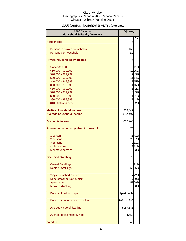## 2006 Census Household & Family Overview

| 2006 Census<br><b>Household &amp; Family Overview</b> | <b>Ojibway</b>       |
|-------------------------------------------------------|----------------------|
| <b>Households</b>                                     | %<br>75              |
|                                                       |                      |
| Persons in private households                         | 152                  |
| Persons per household                                 | 2.0                  |
| <b>Private households by Income</b>                   | 75                   |
| <b>Under \$10,000</b>                                 | 811%                 |
| \$10,000 - \$19,999                                   | 1925%                |
| \$20,000 - \$29,999                                   | $\overline{7}$<br>9% |
| \$30,000 - \$39,999                                   | 11 14%               |
| \$40,000 - \$49,999                                   | 11 15%               |
| \$50,000 - \$59,999                                   | 11 15%               |
| \$60,000 - \$69,999                                   | 2%<br>$\mathbf{1}$   |
| \$70,000 - \$79,999                                   | $\overline{4}$<br>5% |
| \$80,000 - \$89,999                                   | $\mathbf{1}$<br>1%   |
| \$90,000 - \$99,999                                   | $\mathbf{1}$<br>1%   |
| \$100,000 and over                                    | $\overline{a}$<br>2% |
| <b>Median Household Income</b>                        | \$33,647             |
| <b>Average household income</b>                       | \$37,497             |
| Per capita income                                     | \$18,449             |
| Private households by size of household               | 75                   |
| 1 person                                              | 3141%                |
| 2 persons                                             | 2837%                |
| 3 persons                                             | 811%                 |
| 4 - 5 persons                                         | 8 11%                |
| 6 or more persons                                     | $\overline{2}$<br>3% |
| <b>Occupied Dwellings</b>                             | 75                   |
| <b>Owned Dwellings</b>                                | 2431%                |
| <b>Rented Dwellings</b>                               | 5066%                |
| Single detached houses                                | 1722%                |
| Semi-detached/row/duplex                              | 7<br>9%              |
| <b>Apartments</b>                                     | 5169%                |
| Movable dwelling                                      | 0%<br>0              |
|                                                       |                      |
| Dominant building type                                | Apartments           |
| Dominant period of construction                       | 1971 - 1980          |
| Average value of dwelling                             | \$187,881            |
| Average gross monthly rent                            | \$559                |
| <b>Families</b>                                       | 45                   |
|                                                       |                      |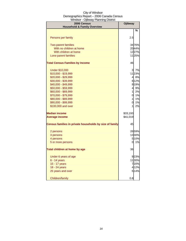| -,<br>2006 Census<br><b>Household &amp; Family Overview</b> | <b>Ojibway</b> |        |
|-------------------------------------------------------------|----------------|--------|
|                                                             |                | %      |
|                                                             |                |        |
| Persons per family                                          | 2.5            |        |
|                                                             |                |        |
| <b>Two-parent families</b>                                  |                | 3476%  |
| With no children at home                                    |                | 2044%  |
| With children at home                                       |                | 1227%  |
| Lone-parent families                                        |                | 1125%  |
| <b>Total Census Families by Income</b>                      | 46             |        |
| <b>Under \$10,000</b>                                       | 3              | 7%     |
| \$10,000 - \$19,999                                         |                | 1123%  |
| \$20,000 - \$29,999                                         | 41             | 8%     |
| \$30,000 - \$39,999                                         |                | 6 1 2% |
| \$40,000 - \$49,999                                         |                | 9 1 9% |
| \$50,000 - \$59,999                                         | $\overline{4}$ | 9%     |
| \$60,000 - \$69,999                                         | $\mathbf{1}$   | 2%     |
| \$70,000 - \$79,999                                         | $\overline{0}$ | 1%     |
| \$80,000 - \$89,999                                         | $\mathbf{1}$   | 1%     |
| \$90,000 - \$99,999                                         | $\mathbf{o}$   | 1%     |
| \$100,000 and over                                          | 1              | 2%     |
| <b>Median income</b>                                        | \$33,193       |        |
| <b>Average income</b>                                       | \$41,019       |        |
| Census families in private households by size of family     | 45             |        |
| 2 persons                                                   |                | 2659%  |
| 3 persons                                                   |                | 1330%  |
| 4 persons                                                   |                | 5 10%  |
| 5 or more persons                                           | 0              | 1%     |
| Total children at home by age                               | 36             |        |
| Under 6 years of age                                        |                | 923%   |
| $6 - 14$ years                                              |                | 1130%  |
| 15 - 17 years                                               |                | 720%   |
| 18 - 24 years                                               |                | 4 1 2% |
| 25 years and over                                           |                | 5 14%  |
| Children/family                                             | 0.8            |        |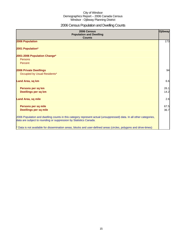## 2006 Census Population and Dwelling Counts

| 2006 Census<br><b>Population and Dwelling</b><br><b>Counts</b>                                                                                                                           | <b>Ojibway</b> |
|------------------------------------------------------------------------------------------------------------------------------------------------------------------------------------------|----------------|
| 2006 Population                                                                                                                                                                          | 173            |
| 2001 Population*                                                                                                                                                                         |                |
| 2001-2006 Population Change*<br>Persons<br>Percent                                                                                                                                       |                |
| 2006 Private Dwellings<br>Occupied by Usual Residents*                                                                                                                                   | 94             |
| Land Area, sq km                                                                                                                                                                         | 6.6            |
| Persons per sq km<br>Dwellings per sq km                                                                                                                                                 | 26.1<br>14.2   |
| <b>Land Area, sq mile</b>                                                                                                                                                                | 2.6            |
| Persons per sq mile<br><b>Dwellings per sq mile</b>                                                                                                                                      | 67.5<br>36.7   |
| 2006 Population and dwelling counts in this category represent actual (unsuppressed) data. In all other categories,<br>data are subject to rounding or suppression by Statistics Canada. |                |
| * Data is not available for dissemination areas, blocks and user-defined areas (circles, polygons and drive-times)                                                                       |                |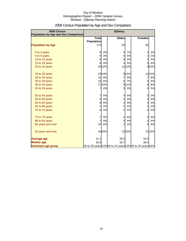| 2006 Census<br><b>Population by Age and Sex Comparison</b> |                                   |       | Ojibway                                                  |       |                         |       |
|------------------------------------------------------------|-----------------------------------|-------|----------------------------------------------------------|-------|-------------------------|-------|
|                                                            | <b>Total</b><br><b>Population</b> |       | <b>Males</b>                                             |       | <b>Females</b>          |       |
| <b>Population by Age</b>                                   | 174                               |       | 83                                                       |       | 92                      |       |
| 0 to 4 years                                               | 8                                 | 4%    | 5                                                        | 7%    | $\overline{\mathbf{c}}$ | 2%    |
| 5 to 9 years                                               | 6                                 | 3%    | $\overline{4}$                                           | 5%    | $\overline{a}$          | 2%    |
| 10 to 14 years                                             | 6                                 | 4%    | 4                                                        | 5%    | $\overline{a}$          | 3%    |
| 15 to 19 years                                             | 8                                 | 4%    | 4                                                        | 5%    | $\overline{4}$          | 4%    |
| 20 to 24 years                                             |                                   | 2012% |                                                          | 1113% |                         | 9 10% |
| 25 to 29 years                                             |                                   | 2313% |                                                          | 911%  |                         | 1415% |
| 30 to 34 years                                             | 15                                | 8%    | 7                                                        | 9%    | 7                       | 8%    |
| 35 to 39 years                                             | 10                                | 6%    | 6                                                        | 7%    | $\overline{\mathbf{r}}$ | 4%    |
| 40 to 44 years                                             |                                   | 1710% | 9                                                        | 11%   | 8                       | 8%    |
| 45 to 49 years                                             | 7                                 | 4%    | $\mathbf{3}$                                             | 3%    | $\overline{4}$          | 5%    |
| 50 to 54 years                                             | 7                                 | 4%    | $\overline{4}$                                           | 5%    | 3                       | 3%    |
| 55 to 59 years                                             | 6                                 | 4%    | $\overline{\mathbf{c}}$                                  | 3%    | 4                       | 4%    |
| 60 to 64 years                                             | 8                                 | 5%    | $\overline{4}$                                           | 5%    | $\overline{\mathbf{r}}$ | 4%    |
| 65 to 69 years                                             | 4                                 | 2%    | $\overline{a}$                                           | 2%    | $\overline{a}$          | 2%    |
| 70 to 74 years                                             | 6                                 | 3%    | $\overline{a}$                                           | 2%    | $\overline{4}$          | 4%    |
| 75 to 79 years                                             | 7                                 | 4%    | $\overline{4}$                                           | 4%    | $\overline{3}$          | 4%    |
| 80 to 84 years                                             | 7                                 | 4%    | $\overline{3}$                                           | 4%    | $\mathbf{3}$            | 4%    |
| 85 years and over                                          | 10                                | 6%    | $\overline{a}$                                           | 2%    | 9                       | 9%    |
| 65 years and over                                          |                                   | 3420% |                                                          | 1315% |                         | 2223% |
| <b>Average age</b>                                         | 41.2                              |       | 39.2                                                     |       | 43.0                    |       |
| <b>Median age</b>                                          | 35.8                              |       | 33.7                                                     |       | 39.4                    |       |
| <b>Dominant age group</b>                                  |                                   |       | 25 to 29 years 13% 20 to 24 years 13% 25 to 29 years 16% |       |                         |       |

## 2006 Census Population by Age and Sex Comparison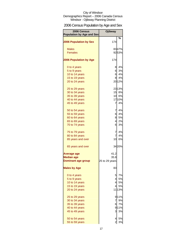## 2006 Census Population by Age and Sex

| 2006 Census<br><b>Population by Age and Sex</b> | Ojibway        |        |
|-------------------------------------------------|----------------|--------|
| <b>2006 Population by Sex</b>                   | 174            | %      |
|                                                 |                |        |
| <b>Males</b>                                    |                | 8347%  |
| <b>Females</b>                                  |                | 9253%  |
| <b>2006 Population by Age</b>                   | 174            |        |
| 0 to 4 years                                    | 81             | 4%     |
| 5 to 9 years                                    | 61             | 3%     |
| 10 to 14 years                                  | 61             | 4%     |
| 15 to 19 years                                  | 81             | 4%     |
| 20 to 24 years                                  |                | 2012%  |
| 25 to 29 years                                  |                | 2313%  |
| 30 to 34 years                                  |                | 15 8%  |
| 35 to 39 years                                  |                | 10 6%  |
| 40 to 44 years                                  |                | 1710%  |
| 45 to 49 years                                  | 7              | 4%     |
| 50 to 54 years                                  | 7              | 4%     |
| 55 to 59 years                                  | 61             | 4%     |
| 60 to 64 years                                  | 8              | 5%     |
| 65 to 69 years                                  | 4              | 2%     |
| 70 to 74 years                                  | 61             | 3%     |
| 75 to 79 years                                  | 7              | 4%     |
| 80 to 84 years                                  | 71             | 4%     |
| 85 years and over                               | 10             | 6%     |
| 65 years and over                               |                | 3420%  |
| <b>Average age</b>                              | 41.2           |        |
| <b>Median age</b>                               | 35.8           |        |
| <b>Dominant age group</b>                       | 25 to 29 years |        |
| <b>Males by Age</b>                             | 83             |        |
| 0 to 4 years                                    | 5              | 7%     |
| 5 to 9 years                                    | $\overline{4}$ | 5%     |
| 10 to 14 years                                  | 4              | 5%     |
| 15 to 19 years                                  | 4              | 5%     |
| 20 to 24 years                                  |                | 11 13% |
| 25 to 29 years                                  |                | 911%   |
| 30 to 34 years                                  | 7              | 9%     |
| 35 to 39 years                                  | 6              | 7%     |
| 40 to 44 years                                  |                | 911%   |
| 45 to 49 years                                  | 3              | 3%     |
| 50 to 54 years                                  | 4              | 5%     |
| 55 to 59 years                                  | $\overline{c}$ | 3%     |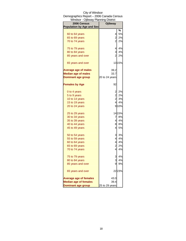| Windsor - Ojibway Planning District |                               |
|-------------------------------------|-------------------------------|
| 2006 Census                         | <b>Ojibway</b>                |
| <b>Population by Age and Sex</b>    |                               |
|                                     | %                             |
| 60 to 64 years                      | 5%<br>$\overline{4}$          |
| 65 to 69 years                      | $\overline{a}$<br>2%          |
| 70 to 74 years                      | $\overline{2}$<br>2%          |
| 75 to 79 years                      | 4%<br>$\overline{4}$          |
| 80 to 84 years                      | 3<br>4%                       |
| 85 years and over                   | $\overline{a}$<br>2%          |
| 65 years and over                   | 1315%                         |
| <b>Average age of males</b>         | 39.2                          |
| <b>Median age of males</b>          | 33.7                          |
| <b>Dominant age group</b>           | 20 to 24 years                |
| <b>Females by Age</b>               | 92                            |
| 0 to 4 years                        | 2%<br>$\overline{\mathbf{c}}$ |
| 5 to 9 years                        | 2<br>2%                       |
| 10 to 14 years                      | 2<br>3%                       |
| 15 to 19 years                      | 4<br>4%                       |
| 20 to 24 years                      | 910%                          |
| 25 to 29 years                      | 14 15%                        |
| 30 to 34 years                      | 8%<br>7                       |
| 35 to 39 years                      | 4<br>4%                       |
| 40 to 44 years                      | 8<br>8%                       |
| 45 to 49 years                      | $\overline{4}$<br>5%          |
| 50 to 54 years                      | 3 <br>3%                      |
| 55 to 59 years                      | 4<br>4%                       |
| 60 to 64 years                      | 4<br>4%                       |
| 65 to 69 years                      | $\overline{c}$<br>2%          |
| 70 to 74 years                      | 4<br>4%                       |
| 75 to 79 years                      | 4%                            |
| 80 to 84 years                      | 3<br>3<br>4%                  |
| 85 years and over                   | 9<br>9%                       |
| 65 years and over                   | 2223%                         |
| <b>Average age of females</b>       | 43.0                          |
| <b>Median age of females</b>        | 39.4                          |
| <b>Dominant age group</b>           | 25 to 29 years                |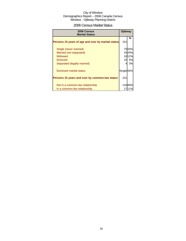## 2006 Census Marital Status

| 2006 Census<br><b>Marital Status</b>               | <b>Ojibway</b>        |        |
|----------------------------------------------------|-----------------------|--------|
| Persons 15 years of age and over by marital status | 151                   | %      |
| Single (never married)                             |                       | 7550%  |
| Married (not separated)                            |                       | 4329%  |
| Widowed                                            |                       | 1812%  |
| <b>Divorced</b>                                    | 10                    | 6%     |
| Separated (legally married)                        |                       | 3%     |
| Dominant marital status                            | Single <sup>50%</sup> |        |
| Persons 15 years and over by common-law status     | 151                   |        |
| Not in a common-law relationship                   |                       | 13489% |
| In a common-law relationship                       |                       |        |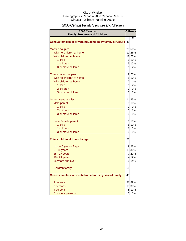## 2006 Census Family Structure and Children

| 2006 Census<br><b>Family Structure and Children</b>       |                | <b>Ojibway</b> |  |
|-----------------------------------------------------------|----------------|----------------|--|
|                                                           |                | %              |  |
| Census families in private households by family structure | 45             |                |  |
| <b>Married couples</b>                                    |                | 25 56%         |  |
| With no children at home                                  |                | 12 26%         |  |
| With children at home                                     |                | 12 26%         |  |
| 1 child                                                   |                | 5 10%          |  |
| 2 children                                                |                | 5 10%          |  |
| 3 or more children                                        | $\mathbf{1}$   | 2%             |  |
| Common-law couples                                        |                | 9 20%          |  |
| With no children at home                                  |                | 8 17%          |  |
| With children at home                                     | $\overline{0}$ | 1%             |  |
| 1 child                                                   | $\mathbf{1}$   | 2%             |  |
| 2 children                                                | $\mathsf{d}$   | 0%             |  |
| 3 or more children                                        | <sub>0</sub>   | 0%             |  |
| Lone-parent families                                      |                | 11 25%         |  |
| Male parent                                               |                | 5 10%          |  |
| 1 child                                                   | 0              | 0%             |  |
| 2 children                                                | 3              | 7%             |  |
| 3 or more children                                        | $\overline{0}$ | 0%             |  |
| Lone Female parent                                        |                | 8 18%          |  |
| 1 child                                                   |                | 5 11%          |  |
| 2 children                                                | 3              | 7%             |  |
| 3 or more children                                        | 0              | 0%             |  |
| Total children at home by age                             | 36             |                |  |
| Under 6 years of age                                      |                | 9 23%          |  |
| $6 - 14$ years                                            |                | 11 30%         |  |
| 15 - 17 years                                             |                | 7 20%          |  |
| 18 - 24 years                                             |                | 4 12%          |  |
| 25 years and over                                         |                | 5 14%          |  |
| Children/family                                           | 0.8            |                |  |
| Census families in private households by size of family   | 45             |                |  |
| 2 persons                                                 |                | 26 59%         |  |
| 3 persons                                                 |                | 13 30%         |  |
| 4 persons                                                 | 5              | 10%            |  |
| 5 or more persons                                         |                | 1%             |  |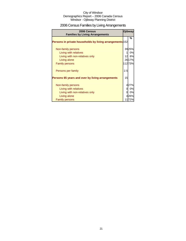## 2006 Census Families by Living Arrangements

| 2006 Census<br><b>Families by Living Arrangements</b>                  |                 | <b>Ojibway</b> |
|------------------------------------------------------------------------|-----------------|----------------|
| Persons in private households by living arrangements 152               |                 | %              |
| Non-family persons                                                     |                 | 3925%          |
| Living with relatives                                                  |                 | 0%             |
| Living with non-relatives only                                         | 12 <sup>l</sup> | 8%             |
| Living alone                                                           |                 | 26 17%         |
| <b>Family persons</b>                                                  |                 | 112 73%        |
| Persons per family<br>Persons 65 years and over by living arrangements | 2.5<br>15       |                |
| Non-family persons                                                     |                 | 427%           |
| Living with relatives                                                  |                 | 0%             |
| Living with non-relatives only                                         | O               | 0%             |
| Living alone                                                           |                 | 426%           |
| <b>Family persons</b>                                                  |                 | 1172%          |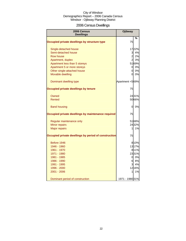## 2006 Census Dwellings

| 2006 Census<br><b>Dwellings</b>                      | <b>Ojibway</b>  |       |
|------------------------------------------------------|-----------------|-------|
|                                                      |                 | %     |
| Occupied private dwellings by structure type         | 75              |       |
| Single-detached house                                |                 | 1722% |
| Semi-detached house                                  | 3               | 4%    |
| Row house                                            | $\overline{a}$  | 2%    |
| Apartment, duplex                                    | $2 \mid$        | 3%    |
| Apartment less than 5 storeys                        |                 | 5169% |
| Apartment 5 or more storeys                          | 0               | 0%    |
| Other single-attached house                          | 0l              | 0%    |
| Movable dwelling                                     | 0               | 0%    |
| Dominant dwelling type                               | Apartment <569% |       |
| Occupied private dwellings by tenure                 | 75              |       |
| Owned                                                |                 | 2431% |
| Rented                                               |                 | 5066% |
| <b>Band housing</b>                                  | 0               | 0%    |
| Occupied private dwellings by maintenance required   | 75              |       |
| Regular maintenance only                             |                 | 5168% |
| Minor repairs                                        |                 | 2432% |
| <b>Major repairs</b>                                 | $\mathbf{1}$    | 1%    |
| Occupied private dwellings by period of construction | 75              |       |
| Before 1946                                          |                 | 8 10% |
| 1946 - 1960                                          |                 | 1317% |
| 1961 - 1970                                          |                 | 8 11% |
| 1971 - 1980                                          |                 | 2331% |
| 1981 - 1985                                          |                 | 0 0%  |
| 1986 - 1990                                          | $6 \mid$        | 8%    |
| 1991 - 1995                                          | 3               | 4%    |
| 1996 - 2000                                          |                 | 1216% |
| 2001 - 2006                                          | $\mathbf{1}$    | 1%    |
| Dominant period of construction                      | 1971 - 1980 31% |       |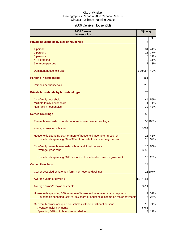## 2006 Census Households

| 2006 Census<br><b>Households</b>                                          |           | <b>Ojibway</b> |
|---------------------------------------------------------------------------|-----------|----------------|
| Private households by size of household                                   | 75        | ℅              |
| 1 person                                                                  | 31        | 41%            |
| 2 persons                                                                 | 28        | 37%            |
| 3 persons                                                                 | 8         | 11%            |
| 4 - 5 persons                                                             | 8         | 11%            |
| 6 or more persons                                                         | 2         | 3%             |
| Dominant household size                                                   | 1 person  | 40%            |
| <b>Persons in households</b>                                              | 151       |                |
| Persons per household                                                     | 2.0       |                |
| Private households by household type                                      | 75        |                |
| One-family households                                                     | 44        | 59%            |
| Multiple-family households                                                |           | 1%             |
| Non-family households                                                     | 32        | 43%            |
| <b>Rented Dwellings</b>                                                   | 50        |                |
| Tenant households in non-farm, non-reserve private dwellings              |           | 50 100%        |
| Average gross monthly rent                                                | \$559     |                |
| Households spending 30% or more of household income on gross rent         | 23        | 46%            |
| Households spending 30 to 99% of household income on gross rent           | 18        | 37%            |
| One-family tenant households without additional persons                   | 25        | 50%            |
| Average gross rent                                                        | \$555     |                |
| Households spending 30% or more of household income on gross rent         | 13        | 26%            |
| <b>Owned Dwellings</b>                                                    | 24        |                |
| Owner-occupied private non-farm, non-reserve dwellings                    |           | 25 107%        |
| Average value of dwelling                                                 | \$187,881 |                |
| Average owner's major payments                                            | \$711     |                |
| Households spending 30% or more of household income on major payments     |           | 31%            |
| Households spending 30% to 99% more of household income on major payments | 6         | 25%            |
| One-family owner-occupied households without additional persons           | 18        | 74%            |
| Average major payments                                                    | \$761     |                |
| Spending 30%+ of hh income on shelter                                     |           | 19%            |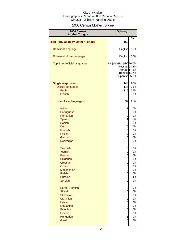## 2006 Census Mother Tongue

| 2006 Census<br><b>Mother Tongue</b>      | <b>Ojibway</b>                                                                                             |      |
|------------------------------------------|------------------------------------------------------------------------------------------------------------|------|
|                                          |                                                                                                            | %    |
| <b>Total Population by Mother Tongue</b> | 152                                                                                                        |      |
| Dominant language                        | English                                                                                                    | 81%  |
| Dominant official language               | English 100%                                                                                               |      |
| Top 5 non-official languages             | Panjabi (Punjabi) 26.0%<br>Russian <sub>23.4%</sub><br>Korean <sub>17.6%</sub><br>Bengali 11.7%<br>Spanish | 5.1% |
| <b>Single responses</b>                  | 148                                                                                                        | 97%  |
| <b>Official languages</b>                | 115                                                                                                        | 76%  |
| <b>English</b>                           | 115                                                                                                        | 76%  |
| French                                   | 0                                                                                                          | 0%   |
| Non-official languages                   | 32                                                                                                         | 21%  |
| <b>Italian</b>                           | 1                                                                                                          | 0%   |
| Portuguese                               | 0                                                                                                          | 0%   |
| Romanian                                 | 0                                                                                                          | 0%   |
| Spanish                                  | 1                                                                                                          | 1%   |
| <b>Danish</b>                            | 0                                                                                                          | 0%   |
| <b>Dutch</b>                             | 0                                                                                                          | 0%   |
| Flemish                                  | 0                                                                                                          | 0%   |
| <b>Frisian</b>                           | 0                                                                                                          | 0%   |
| German                                   | 0                                                                                                          | 0%   |
| Norwegian                                | 0                                                                                                          | 0%   |
| <b>Swedish</b>                           | 0                                                                                                          | 0%   |
| <b>Yiddish</b>                           | 0                                                                                                          | 0%   |
| <b>Bosnian</b>                           | 0                                                                                                          | 0%   |
| <b>Bulgarian</b>                         | 0                                                                                                          | 0%   |
| Croatian                                 | 0                                                                                                          | 0%   |
| <b>Czech</b>                             | 0                                                                                                          | 0%   |
| Macedonian                               | $\overline{0}$                                                                                             | 0%   |
| Polish                                   | $\overline{0}$                                                                                             | 0%   |
| <b>Russian</b>                           | 6                                                                                                          | 4%   |
| <b>Serbian</b>                           | 0                                                                                                          | 0%   |
| Serbo-Croatian                           | $\overline{0}$                                                                                             | 0%   |
| <b>Slovak</b>                            | $\mathbf 0$                                                                                                | 0%   |
| Slovenian                                | 0                                                                                                          | 0%   |
| <b>Ukrainian</b>                         | 0                                                                                                          | 0%   |
| Latvian                                  | $\mathbf 0$                                                                                                | 0%   |
| Lithuanian                               | $\mathbf 0$                                                                                                | 0%   |
| Estonian                                 | $\mathbf 0$                                                                                                | 0%   |
| Finnish                                  | $\mathbf 0$                                                                                                | 0%   |
| Hungarian                                | $\mathbf{1}$                                                                                               | 0%   |
| <b>Greek</b>                             | $\overline{0}$                                                                                             | 0%   |
|                                          |                                                                                                            |      |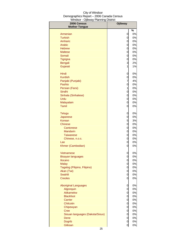| 2006 Census                     | <b>Ojibway</b> |            |
|---------------------------------|----------------|------------|
| <b>Mother Tongue</b>            |                |            |
| Armenian                        | 0              | $\%$<br>0% |
| <b>Turkish</b>                  | 0              | 0%         |
| Amharic                         | 0              | 0%         |
| Arabic                          | 0              | 0%         |
| <b>Hebrew</b>                   | 0              | 0%         |
| <b>Maltese</b>                  | 0              | 0%         |
| Somali                          | 0              | 0%         |
| Tigrigna                        | 0              | 0%         |
| <b>Bengali</b>                  | 3              | 2%         |
| Gujarati                        | 1              | 1%         |
|                                 |                |            |
| Hindi                           | 0              | 0%         |
| <b>Kurdish</b>                  | 0              | 0%         |
| Panjabi (Punjabi)               | 7              | 4%         |
| Pashto                          | 0              | 0%         |
| Persian (Farsi)                 | 1              | 0%         |
| Sindhi                          | 0              | 0%         |
| Sinhala (Sinhalese)             | 0              | 0%         |
| Urdu                            | 0              | 0%         |
| Malayalam                       | 0              | 0%         |
| Tamil                           | 0              | 0%         |
| <b>Telugu</b>                   | 0              | 0%         |
| Japanese                        | 0              | 0%         |
| Korean                          | 5              | 3%         |
| Chinese                         | 0              | 0%         |
| Cantonese                       | 0              | 0%         |
| <b>Mandarin</b>                 | 0              | 0%         |
| <b>Taiwanese</b>                | 0              | 0%         |
| Chinese, n.o.s.                 | 0              | 0%         |
| Lao                             | 0              | 0%         |
| Khmer (Cambodian)               | 0              | 0%         |
| <b>Vietnamese</b>               | 0              | 0%         |
| Bisayan languages               | 0              | 0%         |
| <b>Ilocano</b>                  | 0              | 0%         |
| <b>Malay</b>                    | 0              | 0%         |
| Tagalog (Pilipino, Filipino)    | 0              | 0%         |
| Akan (Twi)                      | 0              | $0\%$      |
| Swahili                         | 0              | $0\%$      |
| <b>Creoles</b>                  | 0              | 0%         |
| <b>Aboriginal Languages</b>     | 0              | 0%         |
| Algonquin                       | 0              | $0\%$      |
| Atikamekw                       | 0              | 0%         |
| <b>Blackfoot</b>                | 0              | 0%         |
| Carrier                         | 0              | 0%         |
| Chilcotin                       | 0              | 0%         |
| Chipewyan                       | 0              | 0%         |
| <b>Cree</b>                     | 0              | 0%         |
| Siouan languages (Dakota/Sioux) | 0              | 0%         |
| Dene                            | 0              | 0%         |
| <b>Dogrib</b>                   | 0              | $0\%$      |
| Gitksan                         | 0              | 0%         |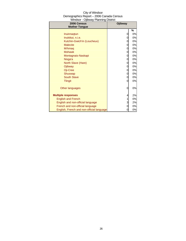| City of Windsor                          |
|------------------------------------------|
| Demographics Report - 2006 Canada Census |
| Windsor - Ojibway Planning District      |

| 2006 Census<br><b>Mother Tongue</b>       | Ojibway |    |
|-------------------------------------------|---------|----|
|                                           |         | %  |
| Inuinnagtun                               | 0       | 0% |
| Inuktitut, n.i.e.                         | 0       | 0% |
| Kutchin-Gwich'in (Loucheux)               | 0       | 0% |
| <b>Malecite</b>                           | 0       | 0% |
| Mi'kmaq                                   | 0       | 0% |
| <b>Mohawk</b>                             | 0       | 0% |
| Montagnais-Naskapi                        | 0       | 0% |
| Nisga'a                                   | 0       | 0% |
| North Slave (Hare)                        | 0       | 0% |
| Ojibway                                   | 0       | 0% |
| Oji-Cree                                  | 0       | 0% |
| Shuswap                                   | 0       | 0% |
| <b>South Slave</b>                        | 0       | 0% |
| <b>Tlingit</b>                            | 0       | 0% |
| Other languages                           | 0       | 0% |
| <b>Multiple responses</b>                 | 4       | 2% |
| <b>English and French</b>                 |         | 0% |
| English and non-official language         | 3       | 2% |
| French and non-official language          | 0       | 0% |
| English, French and non-official language | 0       | 0% |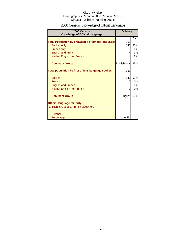## 2006 Census Knowledge of Official Language

| 2006 Census<br><b>Knowledge of Official Language</b>       | Ojibway      |     |
|------------------------------------------------------------|--------------|-----|
|                                                            |              | %   |
| <b>Total Population by knowledge of official languages</b> | 151          |     |
| <b>English only</b>                                        | 146          | 97% |
| French only                                                | 0            | 0%  |
| <b>English and French</b>                                  |              | 3%  |
| Neither English nor French                                 |              | 2%  |
| <b>Dominant Group</b>                                      | English only | 95% |
| Total population by first official language spoken         | 152          |     |
| English                                                    | 149          | 97% |
| French                                                     | $\Omega$     | 0%  |
| <b>English and French</b>                                  |              | 0%  |
| Neither English nor French                                 |              | 0%  |
| <b>Dominant Group</b>                                      | English 100% |     |
| <b>Official language minority</b>                          |              |     |
| (English in Quebec, French elsewhere)                      |              |     |
| <b>Number</b>                                              |              |     |
| Percentage                                                 | $0.2\%$      |     |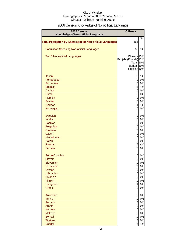## 2006 Census Knowledge of Non-official Language

| 2006 Census<br>Knowledge of Non-official Language              | <b>Ojibway</b>                                                                                                   |       |
|----------------------------------------------------------------|------------------------------------------------------------------------------------------------------------------|-------|
| <b>Total Population by Knowledge of Non-official Languages</b> | 151                                                                                                              | %     |
| <b>Population Speaking Non-official Languages</b>              |                                                                                                                  | 5939% |
| Top 5 Non-official Languages                                   | Chinese <sub>13%</sub><br>Panjabi (Punjabi) 12%<br>Tamil 10%<br>Bengali <sup>10%</sup><br>Russian <sub>10%</sub> |       |
| Italian                                                        | $\overline{a}$                                                                                                   | 1%    |
| Portuguese                                                     | $\mathbf 0$                                                                                                      | 0%    |
| Romanian                                                       | $\overline{0}$                                                                                                   | 0%    |
| Spanish                                                        | 5                                                                                                                | 4%    |
| <b>Danish</b>                                                  | $\overline{0}$                                                                                                   | 0%    |
| <b>Dutch</b>                                                   | $\overline{0}$                                                                                                   | 0%    |
| <b>Flemish</b>                                                 | $\overline{0}$                                                                                                   | 0%    |
| <b>Frisian</b>                                                 | $\overline{0}$                                                                                                   | 0%    |
| German                                                         | $\mathbf{1}$                                                                                                     | 1%    |
| Norwegian                                                      | 0                                                                                                                | 0%    |
| <b>Swedish</b>                                                 | $\overline{0}$                                                                                                   | 0%    |
| Yiddish                                                        | $\overline{0}$                                                                                                   | 0%    |
| <b>Bosnian</b>                                                 | $\overline{0}$                                                                                                   | 0%    |
| <b>Bulgarian</b>                                               | $\overline{0}$                                                                                                   | 0%    |
| Croatian                                                       | $\overline{0}$                                                                                                   | 0%    |
| <b>Czech</b>                                                   | $\overline{0}$                                                                                                   | 0%    |
| Macedonian                                                     | $\overline{0}$                                                                                                   | 0%    |
| <b>Polish</b>                                                  | $\overline{0}$                                                                                                   | 0%    |
| <b>Russian</b>                                                 | 6                                                                                                                | 4%    |
| <b>Serbian</b>                                                 | 0                                                                                                                | 0%    |
| Serbo-Croatian                                                 | 0                                                                                                                | 0%    |
| <b>Slovak</b>                                                  | 0                                                                                                                | 0%    |
| Slovenian                                                      | 0                                                                                                                | 0%    |
| Ukrainian                                                      | <sub>0</sub>                                                                                                     | 0%    |
| Latvian                                                        | $\overline{0}$                                                                                                   | 0%    |
| Lithuanian                                                     | $\overline{0}$                                                                                                   | 0%    |
| Estonian                                                       | $\overline{0}$                                                                                                   | 0%    |
| Finnish                                                        | $\overline{0}$                                                                                                   | 0%    |
| Hungarian                                                      | $\mathbf{1}$                                                                                                     | 0%    |
| <b>Greek</b>                                                   | $\overline{0}$                                                                                                   | 0%    |
| Armenian                                                       | $\overline{0}$                                                                                                   | 0%    |
| <b>Turkish</b>                                                 | $\overline{0}$                                                                                                   | 0%    |
| Amharic                                                        | $\overline{0}$                                                                                                   | 0%    |
| Arabic                                                         | $\overline{0}$                                                                                                   | 0%    |
| <b>Hebrew</b>                                                  | $\overline{0}$                                                                                                   | 0%    |
| <b>Maltese</b>                                                 | $\overline{0}$                                                                                                   | 0%    |
| Somali                                                         | $\overline{0}$                                                                                                   | 0%    |
| Tigrigna                                                       | 0                                                                                                                | 0%    |
| <b>Bengali</b>                                                 | 6                                                                                                                | 4%    |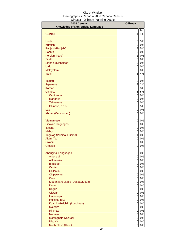| 2006 Census                        | <b>Ojibway</b>                   |          |
|------------------------------------|----------------------------------|----------|
| Knowledge of Non-official Language |                                  |          |
|                                    |                                  | %        |
| Gujarati                           | 1                                | 1%       |
| Hindi                              | 5                                | 3%       |
| <b>Kurdish</b>                     | $\overline{0}$                   | 0%       |
| Panjabi (Punjabi)                  | $\overline{7}$                   | 5%       |
| Pashto                             | $\overline{0}$                   | 0%       |
| Persian (Farsi)                    | $\mathbf{1}$                     | 0%       |
| Sindhi                             | $\overline{0}$                   | 0%       |
| Sinhala (Sinhalese)                | $\overline{0}$                   | 0%       |
| Urdu                               | $\overline{0}$                   | 0%       |
| Malayalam                          | 0                                | 0%       |
| Tamil                              | 6                                | 4%       |
| <b>Telugu</b>                      | 0                                | 0%       |
| Japanese                           | $\overline{3}$                   | 2%       |
| <b>Korean</b>                      | $5\overline{a}$                  | 3%       |
| <b>Chinese</b>                     | 8                                | 5%       |
| Cantonese                          | 0                                | 0%       |
| <b>Mandarin</b>                    | 0                                | 0%       |
| <b>Taiwanese</b>                   | 0                                | 0%       |
| Chinese, n.o.s.                    | 8                                | 5%       |
| Lao                                | 0                                | 0%       |
| Khmer (Cambodian)                  | 0                                | 0%       |
| Vietnamese                         | 0                                | 0%       |
| <b>Bisayan languages</b>           | 0                                | 0%       |
| <b>Ilocano</b>                     | 0                                | 0%       |
| <b>Malay</b>                       | 0                                | 0%       |
| Tagalog (Pilipino, Filipino)       | $\mathbf{1}$                     | 0%       |
| Akan (Twi)                         | $\overline{0}$                   | 0%       |
| Swahili                            | $\overline{0}$                   | 0%       |
| <b>Creoles</b>                     | 0                                | 0%       |
| <b>Aboriginal Languages</b>        | 0                                | 0%       |
| Algonquin                          | 0                                | 0%       |
| <b>Atikamekw</b>                   | $\overline{0}$                   | 0%       |
| <b>Blackfoot</b>                   | $\overline{0}$                   | 0%       |
| Carrier                            | $\overline{0}$                   | 0%       |
| Chilcotin                          | $\overline{0}$                   | 0%       |
| Chipewyan                          | $\overline{0}$                   | 0%       |
| <b>Cree</b>                        | $\overline{0}$                   | 0%       |
| Siouan languages (Dakota/Sioux)    | $\overline{0}$                   | 0%       |
| Dene<br><b>Dogrib</b>              | $\overline{0}$<br>$\overline{0}$ | 0%<br>0% |
| Gitksan                            | $\overline{0}$                   | 0%       |
| Inuinnaqtun                        | $\overline{0}$                   | 0%       |
| Inuktitut, n.i.e.                  | $\overline{0}$                   | 0%       |
| Kutchin-Gwich'in (Loucheux)        | $\overline{0}$                   | 0%       |
| <b>Malecite</b>                    | $\overline{0}$                   | 0%       |
| Mi'kmaq                            | $\overline{0}$                   | 0%       |
| <b>Mohawk</b>                      | $\overline{0}$                   | 0%       |
| Montagnais-Naskapi                 | $\overline{0}$                   | 0%       |
| Nisga'a                            | 0                                | 0%       |
| North Slave (Hare)                 | 0                                | 0%       |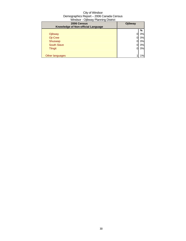| ີ<br>2006 Census<br>Knowledge of Non-official Language | <b>Ojibway</b> |    |
|--------------------------------------------------------|----------------|----|
|                                                        |                | %  |
| Ojibway                                                |                | 0% |
| Oji-Cree                                               |                | 0% |
| Shuswap                                                |                | 0% |
| <b>South Slave</b>                                     |                | 0% |
| <b>Tlingit</b>                                         | 0              | 0% |
|                                                        |                |    |
| Other languages                                        |                | 1% |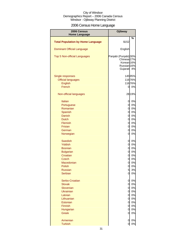## 2006 Census Home Language

| 2006 Census                              | Ojibway                                                                                                        |        |
|------------------------------------------|----------------------------------------------------------------------------------------------------------------|--------|
| <b>Home Language</b>                     |                                                                                                                |        |
| <b>Total Population by Home Language</b> | \$152                                                                                                          | %      |
| <b>Dominant Official Language</b>        | English                                                                                                        |        |
| Top 5 Non-official Languages             | Panjabi (Punjabi) 30%<br>Chinese <sub>27%</sub><br>Korean <sub>16%</sub><br>Russian <sup>16%</sup><br>Gujarati | 4%     |
| Single responses                         |                                                                                                                | 14595% |
| <b>Official languages</b>                |                                                                                                                | 11676% |
| English                                  |                                                                                                                | 11676% |
| French                                   | 0                                                                                                              | 0%     |
| Non-official languages                   |                                                                                                                | 28 19% |
| Italian                                  | 0                                                                                                              | 0%     |
| Portuguese                               | 0                                                                                                              | 0%     |
| Romanian                                 | 0                                                                                                              | 0%     |
| Spanish                                  | $\overline{0}$                                                                                                 | 0%     |
| Danish                                   | $\overline{0}$                                                                                                 | 0%     |
| <b>Dutch</b>                             | $\overline{0}$                                                                                                 | 0%     |
| Flemish                                  | $\overline{0}$                                                                                                 | 0%     |
| <b>Frisian</b>                           | $\overline{0}$                                                                                                 | 0%     |
| German                                   | $\mathbf 0$                                                                                                    | 0%     |
| Norwegian                                | $\mathbf 0$                                                                                                    | 0%     |
| <b>Swedish</b>                           | $\mathbf 0$                                                                                                    | 0%     |
| <b>Yiddish</b>                           | $\mathbf 0$                                                                                                    | 0%     |
| <b>Bosnian</b>                           | $\mathbf 0$                                                                                                    | 0%     |
| <b>Bulgarian</b>                         | $\mathbf 0$                                                                                                    | 0%     |
| Croatian                                 | $\mathbf 0$                                                                                                    | 0%     |
| <b>Czech</b>                             | $\mathbf 0$                                                                                                    | 0%     |
| Macedonian                               | 0                                                                                                              | 0%     |
| Polish                                   | $\overline{0}$                                                                                                 | 0%     |
| <b>Russian</b>                           | $5\overline{)}$                                                                                                | 3%     |
| Serbian                                  | $\overline{0}$                                                                                                 | 0%     |
| Serbo-Croatian                           | 0                                                                                                              | 0%     |
| <b>Slovak</b>                            | $\mathbf 0$                                                                                                    | 0%     |
| Slovenian                                | $\mathbf 0$                                                                                                    | 0%     |
| <b>Ukrainian</b>                         | $\mathbf 0$                                                                                                    | 0%     |
| Latvian                                  | $\mathbf 0$                                                                                                    | 0%     |
| Lithuanian                               | $\mathbf 0$                                                                                                    | 0%     |
| Estonian                                 | $\mathbf 0$                                                                                                    | 0%     |
| Finnish                                  | $\mathbf 0$                                                                                                    | 0%     |
| Hungarian                                | $\mathbf 0$                                                                                                    | 0%     |
| <b>Greek</b>                             | 0                                                                                                              | 0%     |
| Armenian                                 | 0                                                                                                              | 0%     |
| <b>Turkish</b>                           | $\overline{0}$                                                                                                 | 0%     |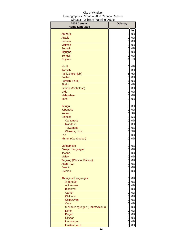| %<br>$0\%$<br>Amharic<br>0<br>0<br>0%<br>Arabic<br>0<br>0%<br><b>Hebrew</b><br>$\mathbf 0$<br>0%<br><b>Maltese</b><br>$\mathbf 0$<br>0%<br>Somali<br>0<br>0%<br><b>Tigrigna</b><br>0<br>0%<br>Bengali<br>Gujarati<br>1<br>1%<br>Hindi<br>0%<br>0<br><b>Kurdish</b><br>$\mathbf 0$<br>0%<br>8<br>6%<br>Panjabi (Punjabi)<br>$\mathbf 0$<br>Pashto<br>0%<br>$\mathbf{1}$<br>Persian (Farsi)<br>0%<br>Sindhi<br>0<br>0%<br>$\mathbf 0$<br>Sinhala (Sinhalese)<br>0%<br>$\mathbf 0$<br>Urdu<br>0%<br>0<br>0%<br>Malayalam<br><b>Tamil</b><br>$\mathbf 0$<br>0%<br>0%<br>0<br><b>Telugu</b><br>0%<br>0<br>Japanese<br>5<br>3%<br>Korean<br>8<br>5%<br><b>Chinese</b><br>0<br>0%<br>Cantonese<br>0<br>0%<br><b>Mandarin</b><br>0<br>0%<br><b>Taiwanese</b><br>8<br>5%<br>Chinese, n.o.s.<br>0<br>0%<br>Lao<br>0<br>Khmer (Cambodian)<br>0%<br>0%<br>0<br><b>Vietnamese</b><br>0<br>0%<br><b>Bisayan languages</b><br>0<br>0%<br><b>Ilocano</b><br>0<br>0%<br><b>Malay</b><br>0%<br>Tagalog (Pilipino, Filipino)<br>$\mathbf 0$<br>$\overline{0}$<br>0%<br>Akan (Twi)<br>Swahili<br>$\mathbf 0$<br>0%<br><b>Creoles</b><br>0<br>0%<br>0%<br><b>Aboriginal Languages</b><br>0<br>Algonquin<br>$\overline{0}$<br>0%<br>Atikamekw<br>$\overline{0}$<br>0%<br><b>Blackfoot</b><br>0%<br>$\overline{0}$<br>$\mathbf 0$<br>0%<br>Carrier<br>0<br>Chilcotin<br>0%<br>0<br>$0\%$<br>Chipewyan<br>0<br>$0\%$<br><b>Cree</b><br>$\mathbf 0$<br>0%<br>Siouan languages (Dakota/Sioux)<br>$\mathbf 0$<br>$0\%$<br>Dene<br>$\mathbf 0$<br>$0\%$<br>Dogrib<br>$\mathbf 0$<br>$0\%$<br>Gitksan<br>$\mathbf 0$<br>$0\%$<br>Inuinnaqtun | 2006 Census          | Ojibway |       |
|-----------------------------------------------------------------------------------------------------------------------------------------------------------------------------------------------------------------------------------------------------------------------------------------------------------------------------------------------------------------------------------------------------------------------------------------------------------------------------------------------------------------------------------------------------------------------------------------------------------------------------------------------------------------------------------------------------------------------------------------------------------------------------------------------------------------------------------------------------------------------------------------------------------------------------------------------------------------------------------------------------------------------------------------------------------------------------------------------------------------------------------------------------------------------------------------------------------------------------------------------------------------------------------------------------------------------------------------------------------------------------------------------------------------------------------------------------------------------------------------------------------------------------------------------------------------------------------------------------------------|----------------------|---------|-------|
|                                                                                                                                                                                                                                                                                                                                                                                                                                                                                                                                                                                                                                                                                                                                                                                                                                                                                                                                                                                                                                                                                                                                                                                                                                                                                                                                                                                                                                                                                                                                                                                                                 | <b>Home Language</b> |         |       |
|                                                                                                                                                                                                                                                                                                                                                                                                                                                                                                                                                                                                                                                                                                                                                                                                                                                                                                                                                                                                                                                                                                                                                                                                                                                                                                                                                                                                                                                                                                                                                                                                                 |                      |         |       |
|                                                                                                                                                                                                                                                                                                                                                                                                                                                                                                                                                                                                                                                                                                                                                                                                                                                                                                                                                                                                                                                                                                                                                                                                                                                                                                                                                                                                                                                                                                                                                                                                                 |                      |         |       |
|                                                                                                                                                                                                                                                                                                                                                                                                                                                                                                                                                                                                                                                                                                                                                                                                                                                                                                                                                                                                                                                                                                                                                                                                                                                                                                                                                                                                                                                                                                                                                                                                                 |                      |         |       |
|                                                                                                                                                                                                                                                                                                                                                                                                                                                                                                                                                                                                                                                                                                                                                                                                                                                                                                                                                                                                                                                                                                                                                                                                                                                                                                                                                                                                                                                                                                                                                                                                                 |                      |         |       |
|                                                                                                                                                                                                                                                                                                                                                                                                                                                                                                                                                                                                                                                                                                                                                                                                                                                                                                                                                                                                                                                                                                                                                                                                                                                                                                                                                                                                                                                                                                                                                                                                                 |                      |         |       |
|                                                                                                                                                                                                                                                                                                                                                                                                                                                                                                                                                                                                                                                                                                                                                                                                                                                                                                                                                                                                                                                                                                                                                                                                                                                                                                                                                                                                                                                                                                                                                                                                                 |                      |         |       |
|                                                                                                                                                                                                                                                                                                                                                                                                                                                                                                                                                                                                                                                                                                                                                                                                                                                                                                                                                                                                                                                                                                                                                                                                                                                                                                                                                                                                                                                                                                                                                                                                                 |                      |         |       |
|                                                                                                                                                                                                                                                                                                                                                                                                                                                                                                                                                                                                                                                                                                                                                                                                                                                                                                                                                                                                                                                                                                                                                                                                                                                                                                                                                                                                                                                                                                                                                                                                                 |                      |         |       |
|                                                                                                                                                                                                                                                                                                                                                                                                                                                                                                                                                                                                                                                                                                                                                                                                                                                                                                                                                                                                                                                                                                                                                                                                                                                                                                                                                                                                                                                                                                                                                                                                                 |                      |         |       |
|                                                                                                                                                                                                                                                                                                                                                                                                                                                                                                                                                                                                                                                                                                                                                                                                                                                                                                                                                                                                                                                                                                                                                                                                                                                                                                                                                                                                                                                                                                                                                                                                                 |                      |         |       |
|                                                                                                                                                                                                                                                                                                                                                                                                                                                                                                                                                                                                                                                                                                                                                                                                                                                                                                                                                                                                                                                                                                                                                                                                                                                                                                                                                                                                                                                                                                                                                                                                                 |                      |         |       |
|                                                                                                                                                                                                                                                                                                                                                                                                                                                                                                                                                                                                                                                                                                                                                                                                                                                                                                                                                                                                                                                                                                                                                                                                                                                                                                                                                                                                                                                                                                                                                                                                                 |                      |         |       |
|                                                                                                                                                                                                                                                                                                                                                                                                                                                                                                                                                                                                                                                                                                                                                                                                                                                                                                                                                                                                                                                                                                                                                                                                                                                                                                                                                                                                                                                                                                                                                                                                                 |                      |         |       |
|                                                                                                                                                                                                                                                                                                                                                                                                                                                                                                                                                                                                                                                                                                                                                                                                                                                                                                                                                                                                                                                                                                                                                                                                                                                                                                                                                                                                                                                                                                                                                                                                                 |                      |         |       |
|                                                                                                                                                                                                                                                                                                                                                                                                                                                                                                                                                                                                                                                                                                                                                                                                                                                                                                                                                                                                                                                                                                                                                                                                                                                                                                                                                                                                                                                                                                                                                                                                                 |                      |         |       |
|                                                                                                                                                                                                                                                                                                                                                                                                                                                                                                                                                                                                                                                                                                                                                                                                                                                                                                                                                                                                                                                                                                                                                                                                                                                                                                                                                                                                                                                                                                                                                                                                                 |                      |         |       |
|                                                                                                                                                                                                                                                                                                                                                                                                                                                                                                                                                                                                                                                                                                                                                                                                                                                                                                                                                                                                                                                                                                                                                                                                                                                                                                                                                                                                                                                                                                                                                                                                                 |                      |         |       |
|                                                                                                                                                                                                                                                                                                                                                                                                                                                                                                                                                                                                                                                                                                                                                                                                                                                                                                                                                                                                                                                                                                                                                                                                                                                                                                                                                                                                                                                                                                                                                                                                                 |                      |         |       |
|                                                                                                                                                                                                                                                                                                                                                                                                                                                                                                                                                                                                                                                                                                                                                                                                                                                                                                                                                                                                                                                                                                                                                                                                                                                                                                                                                                                                                                                                                                                                                                                                                 |                      |         |       |
|                                                                                                                                                                                                                                                                                                                                                                                                                                                                                                                                                                                                                                                                                                                                                                                                                                                                                                                                                                                                                                                                                                                                                                                                                                                                                                                                                                                                                                                                                                                                                                                                                 |                      |         |       |
|                                                                                                                                                                                                                                                                                                                                                                                                                                                                                                                                                                                                                                                                                                                                                                                                                                                                                                                                                                                                                                                                                                                                                                                                                                                                                                                                                                                                                                                                                                                                                                                                                 |                      |         |       |
|                                                                                                                                                                                                                                                                                                                                                                                                                                                                                                                                                                                                                                                                                                                                                                                                                                                                                                                                                                                                                                                                                                                                                                                                                                                                                                                                                                                                                                                                                                                                                                                                                 |                      |         |       |
|                                                                                                                                                                                                                                                                                                                                                                                                                                                                                                                                                                                                                                                                                                                                                                                                                                                                                                                                                                                                                                                                                                                                                                                                                                                                                                                                                                                                                                                                                                                                                                                                                 |                      |         |       |
|                                                                                                                                                                                                                                                                                                                                                                                                                                                                                                                                                                                                                                                                                                                                                                                                                                                                                                                                                                                                                                                                                                                                                                                                                                                                                                                                                                                                                                                                                                                                                                                                                 |                      |         |       |
|                                                                                                                                                                                                                                                                                                                                                                                                                                                                                                                                                                                                                                                                                                                                                                                                                                                                                                                                                                                                                                                                                                                                                                                                                                                                                                                                                                                                                                                                                                                                                                                                                 |                      |         |       |
|                                                                                                                                                                                                                                                                                                                                                                                                                                                                                                                                                                                                                                                                                                                                                                                                                                                                                                                                                                                                                                                                                                                                                                                                                                                                                                                                                                                                                                                                                                                                                                                                                 |                      |         |       |
|                                                                                                                                                                                                                                                                                                                                                                                                                                                                                                                                                                                                                                                                                                                                                                                                                                                                                                                                                                                                                                                                                                                                                                                                                                                                                                                                                                                                                                                                                                                                                                                                                 |                      |         |       |
|                                                                                                                                                                                                                                                                                                                                                                                                                                                                                                                                                                                                                                                                                                                                                                                                                                                                                                                                                                                                                                                                                                                                                                                                                                                                                                                                                                                                                                                                                                                                                                                                                 |                      |         |       |
|                                                                                                                                                                                                                                                                                                                                                                                                                                                                                                                                                                                                                                                                                                                                                                                                                                                                                                                                                                                                                                                                                                                                                                                                                                                                                                                                                                                                                                                                                                                                                                                                                 |                      |         |       |
|                                                                                                                                                                                                                                                                                                                                                                                                                                                                                                                                                                                                                                                                                                                                                                                                                                                                                                                                                                                                                                                                                                                                                                                                                                                                                                                                                                                                                                                                                                                                                                                                                 |                      |         |       |
|                                                                                                                                                                                                                                                                                                                                                                                                                                                                                                                                                                                                                                                                                                                                                                                                                                                                                                                                                                                                                                                                                                                                                                                                                                                                                                                                                                                                                                                                                                                                                                                                                 |                      |         |       |
|                                                                                                                                                                                                                                                                                                                                                                                                                                                                                                                                                                                                                                                                                                                                                                                                                                                                                                                                                                                                                                                                                                                                                                                                                                                                                                                                                                                                                                                                                                                                                                                                                 |                      |         |       |
|                                                                                                                                                                                                                                                                                                                                                                                                                                                                                                                                                                                                                                                                                                                                                                                                                                                                                                                                                                                                                                                                                                                                                                                                                                                                                                                                                                                                                                                                                                                                                                                                                 |                      |         |       |
|                                                                                                                                                                                                                                                                                                                                                                                                                                                                                                                                                                                                                                                                                                                                                                                                                                                                                                                                                                                                                                                                                                                                                                                                                                                                                                                                                                                                                                                                                                                                                                                                                 |                      |         |       |
|                                                                                                                                                                                                                                                                                                                                                                                                                                                                                                                                                                                                                                                                                                                                                                                                                                                                                                                                                                                                                                                                                                                                                                                                                                                                                                                                                                                                                                                                                                                                                                                                                 |                      |         |       |
|                                                                                                                                                                                                                                                                                                                                                                                                                                                                                                                                                                                                                                                                                                                                                                                                                                                                                                                                                                                                                                                                                                                                                                                                                                                                                                                                                                                                                                                                                                                                                                                                                 |                      |         |       |
|                                                                                                                                                                                                                                                                                                                                                                                                                                                                                                                                                                                                                                                                                                                                                                                                                                                                                                                                                                                                                                                                                                                                                                                                                                                                                                                                                                                                                                                                                                                                                                                                                 |                      |         |       |
|                                                                                                                                                                                                                                                                                                                                                                                                                                                                                                                                                                                                                                                                                                                                                                                                                                                                                                                                                                                                                                                                                                                                                                                                                                                                                                                                                                                                                                                                                                                                                                                                                 |                      |         |       |
|                                                                                                                                                                                                                                                                                                                                                                                                                                                                                                                                                                                                                                                                                                                                                                                                                                                                                                                                                                                                                                                                                                                                                                                                                                                                                                                                                                                                                                                                                                                                                                                                                 |                      |         |       |
|                                                                                                                                                                                                                                                                                                                                                                                                                                                                                                                                                                                                                                                                                                                                                                                                                                                                                                                                                                                                                                                                                                                                                                                                                                                                                                                                                                                                                                                                                                                                                                                                                 |                      |         |       |
|                                                                                                                                                                                                                                                                                                                                                                                                                                                                                                                                                                                                                                                                                                                                                                                                                                                                                                                                                                                                                                                                                                                                                                                                                                                                                                                                                                                                                                                                                                                                                                                                                 |                      |         |       |
|                                                                                                                                                                                                                                                                                                                                                                                                                                                                                                                                                                                                                                                                                                                                                                                                                                                                                                                                                                                                                                                                                                                                                                                                                                                                                                                                                                                                                                                                                                                                                                                                                 |                      |         |       |
|                                                                                                                                                                                                                                                                                                                                                                                                                                                                                                                                                                                                                                                                                                                                                                                                                                                                                                                                                                                                                                                                                                                                                                                                                                                                                                                                                                                                                                                                                                                                                                                                                 |                      |         |       |
|                                                                                                                                                                                                                                                                                                                                                                                                                                                                                                                                                                                                                                                                                                                                                                                                                                                                                                                                                                                                                                                                                                                                                                                                                                                                                                                                                                                                                                                                                                                                                                                                                 |                      |         |       |
|                                                                                                                                                                                                                                                                                                                                                                                                                                                                                                                                                                                                                                                                                                                                                                                                                                                                                                                                                                                                                                                                                                                                                                                                                                                                                                                                                                                                                                                                                                                                                                                                                 |                      |         |       |
|                                                                                                                                                                                                                                                                                                                                                                                                                                                                                                                                                                                                                                                                                                                                                                                                                                                                                                                                                                                                                                                                                                                                                                                                                                                                                                                                                                                                                                                                                                                                                                                                                 |                      |         |       |
|                                                                                                                                                                                                                                                                                                                                                                                                                                                                                                                                                                                                                                                                                                                                                                                                                                                                                                                                                                                                                                                                                                                                                                                                                                                                                                                                                                                                                                                                                                                                                                                                                 |                      |         |       |
|                                                                                                                                                                                                                                                                                                                                                                                                                                                                                                                                                                                                                                                                                                                                                                                                                                                                                                                                                                                                                                                                                                                                                                                                                                                                                                                                                                                                                                                                                                                                                                                                                 |                      |         |       |
|                                                                                                                                                                                                                                                                                                                                                                                                                                                                                                                                                                                                                                                                                                                                                                                                                                                                                                                                                                                                                                                                                                                                                                                                                                                                                                                                                                                                                                                                                                                                                                                                                 |                      |         |       |
|                                                                                                                                                                                                                                                                                                                                                                                                                                                                                                                                                                                                                                                                                                                                                                                                                                                                                                                                                                                                                                                                                                                                                                                                                                                                                                                                                                                                                                                                                                                                                                                                                 | Inuktitut, n.i.e.    | 0       | $0\%$ |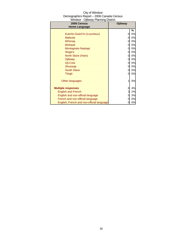| City of Windsor                          |
|------------------------------------------|
| Demographics Report - 2006 Canada Census |
| Windsor - Ojibway Planning District      |

| 2006 Census<br><b>Home Language</b>       | Ojibway |    |
|-------------------------------------------|---------|----|
|                                           |         | %  |
| Kutchin-Gwich'in (Loucheux)               | 0       | 0% |
| <b>Malecite</b>                           | 0       | 0% |
| Mi'kmaq                                   | 0       | 0% |
| <b>Mohawk</b>                             | 0       | 0% |
| Montagnais-Naskapi                        | 0       | 0% |
| Nisga'a                                   | 0       | 0% |
| North Slave (Hare)                        | 0       | 0% |
| Ojibway                                   | 0       | 0% |
| Oji-Cree                                  | 0       | 0% |
| Shuswap                                   | 0       | 0% |
| <b>South Slave</b>                        | 0       | 0% |
| <b>Tlingit</b>                            | 0       | 0% |
| Other languages                           | 1       | 0% |
| <b>Multiple responses</b>                 | 6       | 4% |
| <b>English and French</b>                 | 3       | 2% |
| English and non-official language         | 5       | 3% |
| French and non-official language          | 0       | 0% |
| English, French and non-official language | 0       | 0% |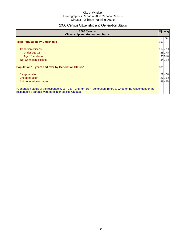## 2006 Census Citizenship and Generation Status

| 2006 Census<br><b>Citizenship and Generation Status</b>                                                                                                                       | Ojibway                            |
|-------------------------------------------------------------------------------------------------------------------------------------------------------------------------------|------------------------------------|
| <b>Total Population by Citizenship</b>                                                                                                                                        | %<br>152                           |
| Canadian citizens<br>Under age 18<br>Age 18 and over<br>Not Canadian citizens                                                                                                 | 11777%<br>25 17%<br>9361%<br>3422% |
| Population 15 years and over by Generation Status*                                                                                                                            | 131                                |
| 1st generation<br>2nd generation<br>3rd generation or more                                                                                                                    | 5240%<br>2015%<br>5945%            |
| *Generation status of the respondent, i.e. "1st", "2nd" or "3rd+" generation, refers to whether the respondent or the<br>respondent's parents were born in or outside Canada. |                                    |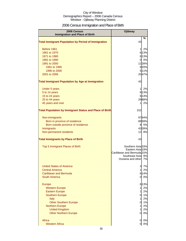## 2006 Census Immigration and Place of Birth

| 2006 Census<br><b>Immigration and Place of Birth</b>           | Ojibway                                                                                                         |
|----------------------------------------------------------------|-----------------------------------------------------------------------------------------------------------------|
|                                                                | %                                                                                                               |
| <b>Total Immigrant Population by Period of Immigration</b>     | 43                                                                                                              |
| Before 1961                                                    | 2%<br>1                                                                                                         |
| 1961 to 1970                                                   | 6 13%                                                                                                           |
| 1971 to 1980                                                   | 6 13%                                                                                                           |
| 1981 to 1990                                                   | 0%<br>01                                                                                                        |
| 1991 to 2000                                                   | 1228%                                                                                                           |
| 1991 to 1995                                                   | 920%                                                                                                            |
| 1996 to 2000                                                   | 5 11%                                                                                                           |
| 2001 to 2006                                                   | 2047%                                                                                                           |
| <b>Total Immigrant Population by Age at Immigration</b>        | 43                                                                                                              |
| Under 5 years                                                  | 2%<br>1                                                                                                         |
| 5 to 14 years                                                  | 6 13%                                                                                                           |
| 15 to 24 years                                                 | 6 14%                                                                                                           |
| 25 to 44 years                                                 | 2968%                                                                                                           |
| 45 years and over                                              | 2%<br>1                                                                                                         |
| <b>Total Population by Immigrant Status and Place of Birth</b> | 152                                                                                                             |
| Non-immigrants                                                 | 9764%                                                                                                           |
| Born in province of residence                                  | 8959%                                                                                                           |
| Born outside province of residence                             | 5%<br>8                                                                                                         |
| Immigrants                                                     | 4328%                                                                                                           |
| Non-permanent residents                                        | 12<br>8%                                                                                                        |
| <b>Total Immigrants by Place of Birth</b>                      | 43                                                                                                              |
| Top 5 Immigrant Places of Birth                                | Southern Asia 33%<br>Eastern Asia 19%<br>Caribbean and Bermuda 15%<br>Southeast Asia 9%<br>Oceania and other 7% |
| <b>United States of America</b>                                | 7%<br>3                                                                                                         |
| <b>Central America</b>                                         | $\mathbf{1}$<br>2%                                                                                              |
| Caribbean and Bermuda                                          | 6 14%                                                                                                           |
| <b>South America</b>                                           | 0%<br>0l                                                                                                        |
| Europe                                                         | 6 13%                                                                                                           |
| <b>Western Europe</b>                                          | 2%<br>1                                                                                                         |
| <b>Eastern Europe</b>                                          | 2%<br>1                                                                                                         |
| <b>Southern Europe</b>                                         | 1%<br>0                                                                                                         |
| <b>Italy</b>                                                   | 2%<br>1                                                                                                         |
| <b>Other Southern Europe</b>                                   | 1%<br>0                                                                                                         |
| <b>Northern Europe</b>                                         | 2%<br>1                                                                                                         |
| <b>United Kingdom</b>                                          | 1<br>2%                                                                                                         |
| <b>Other Northern Europe</b>                                   | 0%<br>0                                                                                                         |
| Africa                                                         | 0<br>0%                                                                                                         |
| <b>Western Africa</b>                                          | 0%<br>0                                                                                                         |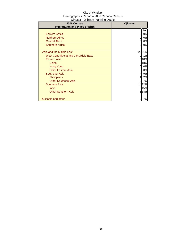| City of Windsor                          |
|------------------------------------------|
| Demographics Report - 2006 Canada Census |
| Windsor - Ojibway Planning District      |

Г

| 2006 Census                           | Ojibway |         |
|---------------------------------------|---------|---------|
| <b>Immigration and Place of Birth</b> |         |         |
|                                       |         | ℅       |
| Eastern Africa                        | 0       | 0%      |
| <b>Northern Africa</b>                | 0       | 0%      |
| <b>Central Africa</b>                 | 0       | 0%      |
| Southern Africa                       | 0       | 0%      |
|                                       |         |         |
| Asia and the Middle East              |         | 2661%   |
| West Central Asia and the Middle East | 0       | 1%      |
| Eastern Asia                          |         | 818%    |
| China                                 |         | 8 1 8 % |
| Hong Kong                             | 0       | 0%      |
| <b>Other Eastern Asia</b>             | 0       | 0%      |
| Southeast Asia                        | 41      | 9%      |
| <b>Philippines</b>                    |         | 2%      |
| <b>Other Southeast Asia</b>           | 3       | 7%      |
| <b>Southern Asia</b>                  |         | 1432%   |
| India                                 |         | 6 1 5 % |
| <b>Other Southern Asia</b>            |         | 8 18%   |
|                                       |         |         |
| Oceania and other                     | 3       | 7%      |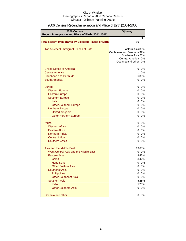| <b>2006 Census</b><br>Recent Immigration and Place of Birth (2001-2006) | Ojibway                                 |       |
|-------------------------------------------------------------------------|-----------------------------------------|-------|
|                                                                         |                                         | %     |
| <b>Total Recent Immigrants by Selected Places of Birth</b>              | 19                                      |       |
| Top 5 Recent Immigrant Places of Birth                                  | Eastern Asia <sub>38%</sub>             |       |
|                                                                         | Caribbean and Bermuda 32%               |       |
|                                                                         | Southern Asia 23%                       |       |
|                                                                         | Central America 7%<br>Oceania and other |       |
|                                                                         |                                         | 0%    |
| <b>United States of America</b>                                         | 0                                       | 0%    |
| <b>Central America</b>                                                  | 1                                       | 7%    |
| Caribbean and Bermuda                                                   |                                         | 635%  |
| <b>South America</b>                                                    | 0                                       | 0%    |
| <b>Europe</b>                                                           | 0                                       | 0%    |
| <b>Western Europe</b>                                                   | $\mathbf 0$                             | 0%    |
| <b>Eastern Europe</b>                                                   | $\mathbf 0$                             | 0%    |
| <b>Southern Europe</b>                                                  | $\mathbf 0$                             | 0%    |
| Italy                                                                   | $\mathbf 0$                             | 0%    |
| <b>Other Southern Europe</b>                                            | $\mathbf 0$                             | 0%    |
| <b>Northern Europe</b>                                                  | $\mathbf 0$                             | 0%    |
| <b>United Kingdom</b>                                                   | $\overline{0}$                          | 0%    |
| <b>Other Northern Europe</b>                                            | $\overline{0}$                          | 0%    |
| Africa                                                                  | $\overline{0}$                          | 0%    |
| <b>Western Africa</b>                                                   | $\overline{0}$                          | 0%    |
| <b>Eastern Africa</b>                                                   | $\overline{0}$                          | 0%    |
| <b>Northern Africa</b>                                                  | $\overline{O}$                          | 0%    |
| <b>Central Africa</b>                                                   | $\overline{0}$                          | 0%    |
| <b>Southern Africa</b>                                                  | $\mathbf 0$                             | 0%    |
| Asia and the Middle East                                                |                                         | 1368% |
| West Central Asia and the Middle East                                   | 0                                       | 0%    |
| <b>Eastern Asia</b>                                                     |                                         | 842%  |
| China                                                                   |                                         | 842%  |
| <b>Hong Kong</b>                                                        | 0                                       | 0%    |
| <b>Other Eastern Asia</b>                                               | 0                                       | 0%    |
| <b>Southeast Asia</b>                                                   | $\overline{0}$                          | 0%    |
| <b>Philippines</b>                                                      | $\overline{0}$                          | 0%    |
| <b>Other Southeast Asia</b>                                             | $\mathbf 0$                             | 0%    |
| Southern Asia                                                           |                                         | 525%  |
| India                                                                   |                                         | 525%  |
| <b>Other Southern Asia</b>                                              | $\overline{0}$                          | 0%    |
| Oceania and other                                                       | 0                                       | 0%    |

# 2006 Census Recent Immigration and Place of Birth (2001-2006)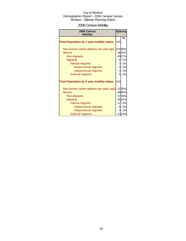# 2006 Census Mobility

| 2006 Census<br><b>Mobility</b>                    |     | <b>Ojibway</b> |
|---------------------------------------------------|-----|----------------|
| <b>Total Population by 1 year mobility status</b> | 149 | %              |
| Non-movers (same address one year ago)            |     | 10168%         |
| <b>Movers</b>                                     |     | 4832%          |
| Non-migrants                                      |     | 4027%          |
| <b>Migrants</b>                                   | 8   | 5%             |
| Internal migrants                                 | 3   | 2%             |
| Intraprovincial migrants                          | 3   | 2%             |
| Interprovincial migrants                          | 3   | 2%             |
| <b>External migrants</b>                          | 5   | 3%             |
| <b>Total Population by 5 year mobility status</b> | 143 |                |
| Non-movers (same address five years ago)          |     | 5235%          |
| <b>Movers</b>                                     |     | 8960%          |
| Non-migrants                                      |     | 5738%          |
| <b>Migrants</b>                                   |     | 3624%          |
| Internal migrants                                 | 12  | 8%             |
| Intraprovincial migrants                          | 81  | <b>5%</b>      |
| Interprovincial migrants                          | 4   | 2%             |
| <b>External migrants</b>                          |     | 23 15%         |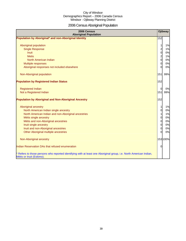# 2006 Census Aboriginal Population

| 2006 Census<br><b>Aboriginal Population</b>                                                                                                    |                | <b>Ojibway</b> |
|------------------------------------------------------------------------------------------------------------------------------------------------|----------------|----------------|
| Population by Aboriginal* and non-Aboriginal Identity                                                                                          | 152            |                |
|                                                                                                                                                |                |                |
| Aboriginal population                                                                                                                          | $\mathbf{1}$   | 1%             |
| <b>Single Response</b>                                                                                                                         | $\overline{a}$ | 1%             |
| <b>Inuit</b>                                                                                                                                   | $\overline{O}$ | 0%             |
| <b>Metis</b>                                                                                                                                   | $\overline{2}$ | 1%             |
| North American Indian                                                                                                                          | $\overline{0}$ | 0%             |
| Multiple responses                                                                                                                             | $\overline{0}$ | 0%             |
| Aboriginal responses not included elsewhere                                                                                                    | ΩI             | 0%             |
| Non-Aboriginal population                                                                                                                      | 151            | 99%            |
| <b>Population by Registered Indian Status</b>                                                                                                  | 152            |                |
| <b>Registered Indian</b>                                                                                                                       | $\Omega$       | 0%             |
| Not a Registered Indian                                                                                                                        | 151            | 99%            |
| <b>Population by Aboriginal and Non-Aboriginal Ancestry</b>                                                                                    | 152            |                |
| Aboriginal ancestry                                                                                                                            | 1              | 1%             |
| North American Indian single ancestry                                                                                                          | $\overline{0}$ | 0%             |
| North American Indian and non-Aboriginal ancestries                                                                                            | $\mathbf{1}$   | 1%             |
| Métis single ancestry                                                                                                                          | $\overline{0}$ | 0%             |
| Métis and non-Aboriginal ancestries                                                                                                            | $\overline{0}$ | 0%             |
| Inuit single ancestry                                                                                                                          | $\overline{0}$ | 0%             |
| Inuit and non-Aboriginal ancestries                                                                                                            | $\overline{0}$ | 0%             |
| Other Aboriginal multiple ancestries                                                                                                           | $\overline{0}$ | 0%             |
| Non-Aboriginal ancestry                                                                                                                        |                | 153 100%       |
| Indian Reservation DAs that refused enumeration                                                                                                | $\Omega$       |                |
| * Refers to those persons who reported identifying with at least one Aboriginal group, i.e. North American Indian,<br>Métis or Inuit (Eskimo). |                |                |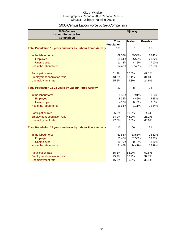# 2006 Census Labour Force by Sex Comparison

| 2006 Census<br><b>Labour Force by Sex</b><br><b>Comparison</b>     |                 |       | <b>Ojibway</b> |       |                |       |
|--------------------------------------------------------------------|-----------------|-------|----------------|-------|----------------|-------|
|                                                                    | <b>Total</b>    |       | <b>Males</b>   |       | <b>Females</b> |       |
|                                                                    | Population      |       |                |       |                |       |
| <b>Total Population 15 years and over by Labour Force Activity</b> | 133             |       | 67             |       | 68             |       |
| In the labour force                                                |                 | 6952% |                | 3958% |                | 2842% |
| Employed                                                           |                 | 5844% |                | 3552% |                | 2132% |
| <b>Unemployed</b>                                                  | 11              | 8%    | 4              | 5%    |                | 710%  |
| Not in the labour force                                            |                 | 6448% |                | 2740% |                | 3755% |
| Participation rate                                                 | 51.9%           |       | 57.8%          |       | 42.1%          |       |
| Employment-population ratio                                        | 43.8%           |       | 52.1%          |       | 31.8%          |       |
| Unemployment rate                                                  | 15.5%           |       | 9.3%           |       | 24.9%          |       |
| <b>Total Population 15-24 years by Labour Force Activity</b>       | 23              |       | 8              |       | 14             |       |
| In the labour force                                                |                 | 835%  |                | 791%  | 1              | 4%    |
| Employed                                                           |                 | 834%  |                | 445%  |                | 425%  |
| <b>Unemployed</b>                                                  |                 | 4 16% | 0l             | 0%    | 0              | 3%    |
| Not in the labour force                                            |                 | 1564% |                | 111%  |                | 1284% |
| Participation rate                                                 | 35.0%           |       | 90.8%          |       | 4.4%           |       |
| <b>Employment-population ratio</b>                                 | 34.0%           |       | 44.9%          |       | 25.2%          |       |
| Unemployment rate                                                  | 47.0%           |       | 0.0%           |       | 60.0%          |       |
| <b>Total Population 25 years and over by Labour Force Activity</b> | 110             |       | 59             |       | 51             |       |
| In the labour force                                                |                 | 6155% |                | 3356% |                | 2651% |
| Employed                                                           |                 | 5146% |                | 3153% |                | 1938% |
| <b>Unemployed</b>                                                  | 10 <sup>1</sup> | 9%    | 0              | 0%    |                | 816%  |
| Not in the labour force                                            |                 | 5146% |                | 2441% |                | 2549% |
| <b>Participation rate</b>                                          | 55.1%           |       | 55.9%          |       | 50.8%          |       |
| <b>Employment-population ratio</b>                                 | 45.9%           |       | 52.9%          |       | 37.7%          |       |
| Unemployment rate                                                  | 16.6%           |       | 0.0%           |       | 32.1%          |       |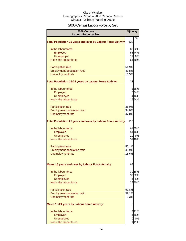# 2006 Census Labour Force by Sex

| 2006 Census<br><b>Labour Force by Sex</b>                          | <b>Ojibway</b> |       |
|--------------------------------------------------------------------|----------------|-------|
| <b>Total Population 15 years and over by Labour Force Activity</b> | 133            | %     |
| In the labour force                                                |                | 6952% |
| Employed                                                           |                | 5844% |
| <b>Unemployed</b>                                                  | 11             | 8%    |
| Not in the labour force                                            |                | 6448% |
| Participation rate                                                 | 51.9%          |       |
| Employment-population ratio                                        | 43.8%          |       |
| <b>Unemployment rate</b>                                           | 15.5%          |       |
| <b>Total Population 15-24 years by Labour Force Activity</b>       | 23             |       |
| In the labour force                                                |                | 835%  |
| Employed                                                           |                | 834%  |
| <b>Unemployed</b>                                                  |                | 4 16% |
| Not in the labour force                                            |                | 1564% |
| Participation rate                                                 | 35.0%          |       |
| Employment-population ratio                                        | 34.0%          |       |
| Unemployment rate                                                  | 47.0%          |       |
| <b>Total Population 25 years and over by Labour Force Activity</b> | 110            |       |
| In the labour force                                                |                | 6155% |
| Employed                                                           |                | 5146% |
| <b>Unemployed</b>                                                  |                | 10 9% |
| Not in the labour force                                            |                | 5146% |
| Participation rate                                                 | 55.1%          |       |
| Employment-population ratio                                        | 45.9%          |       |
| Unemployment rate                                                  | 16.6%          |       |
| Males 15 years and over by Labour Force Activity                   | 67             |       |
| In the labour force                                                |                | 3958% |
| Employed                                                           |                | 3552% |
| <b>Unemployed</b>                                                  |                | 4 5%  |
| Not in the labour force                                            |                | 2740% |
| <b>Participation rate</b>                                          | 57.8%          |       |
| Employment-population ratio                                        | 52.1%          |       |
| Unemployment rate                                                  | 9.3%           |       |
| <b>Males 15-24 years by Labour Force Activity</b>                  | 8              |       |
| In the labour force                                                |                | 791%  |
| Employed                                                           |                | 445%  |
| <b>Unemployed</b>                                                  |                | 0 0%  |
| Not in the labour force                                            |                | 111%  |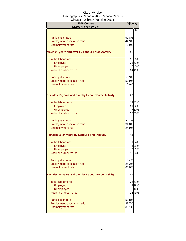| 2006 Census<br><b>Labour Force by Sex</b>           | Ojibway |       |
|-----------------------------------------------------|---------|-------|
|                                                     |         | %     |
| <b>Participation rate</b>                           | 90.8%   |       |
| <b>Employment-population ratio</b>                  | 44.9%   |       |
| Unemployment rate                                   | 0.0%    |       |
|                                                     |         |       |
| Males 25 years and over by Labour Force Activity    | 59      |       |
| In the labour force                                 |         | 3356% |
| Employed                                            |         | 3153% |
| <b>Unemployed</b>                                   |         | 0 0%  |
| Not in the labour force                             |         | 2441% |
| <b>Participation rate</b>                           | 55.9%   |       |
| <b>Employment-population ratio</b>                  | 52.9%   |       |
| Unemployment rate                                   | 0.0%    |       |
|                                                     |         |       |
| Females 15 years and over by Labour Force Activity  | 68      |       |
| In the labour force                                 |         | 2842% |
| Employed                                            |         | 2132% |
| <b>Unemployed</b>                                   |         | 710%  |
| Not in the labour force                             |         | 3755% |
| <b>Participation rate</b>                           | 42.1%   |       |
| Employment-population ratio                         | 31.8%   |       |
| Unemployment rate                                   | 24.9%   |       |
| <b>Females 15-24 years by Labour Force Activity</b> | 14      |       |
| In the labour force                                 | 1       | 4%    |
| Employed                                            |         | 425%  |
| <b>Unemployed</b>                                   | 0I      | 3%    |
| Not in the labour force                             |         | 1284% |
| <b>Participation rate</b>                           | 4.4%    |       |
| <b>Employment-population ratio</b>                  | 25.2%   |       |
| Unemployment rate                                   | 60.0%   |       |
| Females 25 years and over by Labour Force Activity  | 51      |       |
| In the labour force                                 |         | 2651% |
| Employed                                            |         | 1938% |
| <b>Unemployed</b>                                   |         | 8 16% |
| Not in the labour force                             |         | 2549% |
| <b>Participation rate</b>                           | 50.8%   |       |
| Employment-population ratio                         | 37.7%   |       |
| Unemployment rate                                   | 32.1%   |       |
|                                                     |         |       |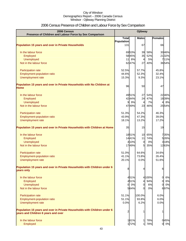# 2006 Census Presence of Children and Labour Force by Sex Comparison

| 2006 Census<br>Presence of Children and Labour Force by Sex Comparison                 |                |       | Ojibway        |        |                      |
|----------------------------------------------------------------------------------------|----------------|-------|----------------|--------|----------------------|
|                                                                                        | <b>Total</b>   |       | <b>Males</b>   |        | <b>Females</b>       |
|                                                                                        | Population     |       |                |        |                      |
| <b>Population 15 years and over in Private Households</b>                              | 131            |       | 67             |        | 66                   |
| In the labour force                                                                    |                | 6953% | 39             | 58%    | 3046%                |
| Employed                                                                               |                | 5845% | 35             | 52%    | 2132%                |
| <b>Unemployed</b>                                                                      | 11             | 8%    | $\overline{4}$ | 5%     | 711%                 |
| Not in the labour force                                                                |                | 6247% | 27             | 40%    | 3654%                |
| Participation rate                                                                     | 52.5%          |       | 57.7%          |        | 45.8%                |
| Employment-population ratio                                                            | 44.6%          |       | 52.3%          |        | 32.4%                |
| Unemployment rate                                                                      | 15.3%          |       | 9.3%           |        | 23.1%                |
| Population 15 years and over in Private Households with No Children at                 |                |       |                |        |                      |
| <b>Home</b>                                                                            | 96             |       | 50             |        | 47                   |
| In the labour force                                                                    |                | 4951% | 27             | 54%    | 2246%                |
| Employed                                                                               |                | 4244% | 24             | 47%    | 1839%                |
| <b>Unemployed</b>                                                                      |                | 9%    | 4              | 7%     | 8%<br>$\overline{4}$ |
| Not in the labour force                                                                |                | 4749% | 23             | 46%    | 2554%                |
| Participation rate                                                                     | 51.3%          |       | 54.2%          |        | 46.3%                |
| Employment-population ratio                                                            | 43.9%          |       | 47.3%          |        | 39.0%                |
| Unemployment rate                                                                      | 18.1%          |       | 13.2%          |        | 17.2%                |
| Population 15 years and over in Private Households with Children at Home               | 35             |       | 15             |        | 19                   |
| In the labour force                                                                    |                | 1851% | 10             | 65%    | 735%                 |
| Employed                                                                               |                | 1441% | 11             | 74%    | 526%                 |
| <b>Unemployed</b>                                                                      |                | 4 10% | $\overline{0}$ | 0%     | 318%                 |
| Not in the labour force                                                                |                | 1749% | 5              | 35%    | 1263%                |
| Participation rate                                                                     | 51.0%          |       | 64.6%          |        | 34.6%                |
| Employment-population ratio                                                            | 41.1%          |       | 73.8%          |        | 26.4%                |
| Unemployment rate                                                                      | 20.1%          |       | 0.0%           |        | 51.6%                |
| Population 15 years and over in Private Households with Children under 6<br>years only | 8              |       | 4              |        | 6                    |
| In the labour force                                                                    |                | 451%  |                | 4 100% | $\overline{0}$<br>6% |
| Employed                                                                               |                | 451%  | $\overline{4}$ | 94%    | $\overline{0}$<br>6% |
| <b>Unemployed</b>                                                                      | $\overline{O}$ | 0%    | $\overline{0}$ | 6%     | 0%<br>0              |
| Not in the labour force                                                                |                | 564%  | $\Omega$       | 0%     | 697%                 |
|                                                                                        |                |       |                |        |                      |
| Participation rate                                                                     | 51.1%          |       | 100.0%         |        | 6.0%                 |
| Employment-population ratio                                                            | 51.1%          |       | 93.8%          |        | 6.0%                 |
| <b>Unemployment rate</b>                                                               | 0.0%           |       | 6.2%           |        | 0.0%                 |
| Population 15 years and over in Private Households with Children under 6               | 2              |       |                |        |                      |
| years and Children 6 years and over                                                    |                |       |                |        |                      |
| In the labour force                                                                    |                | 161%  | $\mathbf{1}$   | 78%    | 045%                 |
| Employed                                                                               |                | 172%  | 1              | 78%    | 0%<br>$\overline{0}$ |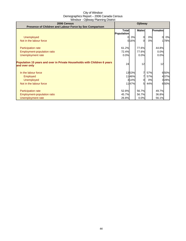| 2006 Census                                                              | Ojibway      |       |                |     |         |      |
|--------------------------------------------------------------------------|--------------|-------|----------------|-----|---------|------|
| Presence of Children and Labour Force by Sex Comparison                  |              |       |                |     |         |      |
|                                                                          | <b>Total</b> |       | <b>Males</b>   |     | Females |      |
|                                                                          | Population   |       |                |     |         |      |
| <b>Unemployed</b>                                                        |              | 0%    | $\overline{O}$ | 0%  | 0l      | 0%   |
| Not in the labour force                                                  |              | 016%  | $\Omega$       | 0%  |         | 178% |
|                                                                          |              |       |                |     |         |      |
| <b>Participation rate</b>                                                | 61.2%        |       | 77.6%          |     | 44.8%   |      |
| Employment-population ratio                                              | 72.4%        |       | 77.6%          |     | 0.0%    |      |
| Unemployment rate                                                        | 0.0%         |       | 0.0%           |     | 0.0%    |      |
|                                                                          |              |       |                |     |         |      |
| Population 15 years and over in Private Households with Children 6 years |              |       |                |     |         |      |
| and over only                                                            | 24           |       | 12             |     | 12      |      |
|                                                                          |              |       |                |     |         |      |
| In the labour force                                                      |              | 1353% | 7              | 57% |         | 650% |
| Employed                                                                 |              | 1146% | 7              | 57% |         | 437% |
| <b>Unemployed</b>                                                        |              | 314%  | $\overline{0}$ | 0%  |         | 328% |
| Not in the labour force                                                  |              | 1147% | 5 <sup>1</sup> | 44% |         | 650% |
|                                                                          |              |       |                |     |         |      |
| Participation rate                                                       | 52.8%        |       | 56.7%          |     | 49.7%   |      |
| Employment-population ratio                                              | 45.7%        |       | 56.7%          |     | 36.8%   |      |
|                                                                          |              |       |                |     |         |      |
| Unemployment rate                                                        | 26.8%        |       | 0.0%           |     | 56.1%   |      |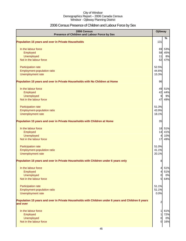# 2006 Census Presence of Children and Labour Force by Sex

| 2006 Census<br>Presence of Children and Labour Force by Sex                                                     | <b>Ojibway</b> |     |
|-----------------------------------------------------------------------------------------------------------------|----------------|-----|
| <b>Population 15 years and over in Private Households</b>                                                       | 131            | %   |
|                                                                                                                 |                |     |
| In the labour force                                                                                             | 69             | 53% |
| Employed                                                                                                        | 58             | 45% |
| Unemployed                                                                                                      | 11             | 8%  |
| Not in the labour force                                                                                         | 62             | 47% |
| Participation rate                                                                                              | 52.5%          |     |
| Employment-population ratio                                                                                     | 44.6%          |     |
| Unemployment rate                                                                                               | 15.3%          |     |
| Population 15 years and over in Private Households with No Children at Home                                     | 96             |     |
| In the labour force                                                                                             | 49             | 51% |
| Employed                                                                                                        | 42             | 44% |
| Unemployed                                                                                                      | 9              | 9%  |
| Not in the labour force                                                                                         | 47             | 49% |
| Participation rate                                                                                              | 51.3%          |     |
| Employment-population ratio                                                                                     | 43.9%          |     |
| Unemployment rate                                                                                               | 18.1%          |     |
| Population 15 years and over in Private Households with Children at Home                                        | 35             |     |
| In the labour force                                                                                             | 18             | 51% |
| Employed                                                                                                        | 14             | 41% |
| Unemployed                                                                                                      | $\overline{4}$ | 10% |
| Not in the labour force                                                                                         | 17             | 49% |
| Participation rate                                                                                              | 51.0%          |     |
| Employment-population ratio                                                                                     | 41.1%          |     |
| Unemployment rate                                                                                               | 20.1%          |     |
| Population 15 years and over in Private Households with Children under 6 years only                             | 8              |     |
| In the labour force                                                                                             | 4              | 51% |
| Employed                                                                                                        | 4              | 51% |
| Unemployed                                                                                                      | $\overline{0}$ | 0%  |
| Not in the labour force                                                                                         | 5              | 64% |
| Participation rate                                                                                              | 51.1%          |     |
| Employment-population ratio                                                                                     | 51.1%          |     |
| Unemployment rate                                                                                               | 0.0%           |     |
| Population 15 years and over in Private Households with Children under 6 years and Children 6 years<br>and over | 2              |     |
|                                                                                                                 |                |     |
| In the labour force                                                                                             |                | 61% |
| Employed                                                                                                        |                | 72% |
| Unemployed                                                                                                      | $\Omega$       | 0%  |
| Not in the labour force                                                                                         | $\Omega$       | 16% |
|                                                                                                                 |                |     |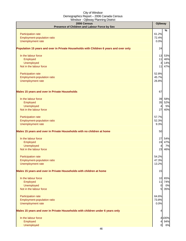| 2006 Census<br>Presence of Children and Labour Force by Sex                            | Ojibway        |        |
|----------------------------------------------------------------------------------------|----------------|--------|
|                                                                                        |                | $\%$   |
| Participation rate                                                                     | 61.2%<br>72.4% |        |
| Employment-population ratio<br>Unemployment rate                                       | 0.0%           |        |
|                                                                                        |                |        |
| Population 15 years and over in Private Households with Children 6 years and over only | 24             |        |
| In the labour force                                                                    | 13             | 53%    |
| Employed                                                                               | 11             | 46%    |
| Unemployed                                                                             | 3              | 14%    |
| Not in the labour force                                                                | 11             | 47%    |
| Participation rate                                                                     | 52.8%          |        |
| Employment-population ratio                                                            | 45.7%          |        |
| Unemployment rate                                                                      | 26.8%          |        |
| <b>Males 15 years and over in Private Households</b>                                   | 67             |        |
| In the labour force                                                                    | 39             | 58%    |
| Employed                                                                               |                | 35 52% |
| Unemployed                                                                             | $\overline{a}$ | 5%     |
| Not in the labour force                                                                | 27             | 40%    |
| Participation rate                                                                     | 57.7%          |        |
| Employment-population ratio                                                            | 52.3%          |        |
| Unemployment rate                                                                      | 9.3%           |        |
| Males 15 years and over in Private Households with no children at home                 | 50             |        |
| In the labour force                                                                    | 27             | 54%    |
| Employed                                                                               | 24             | 47%    |
| Unemployed                                                                             | $\overline{4}$ | 7%     |
| Not in the labour force                                                                | 23             | 46%    |
| Participation rate                                                                     | 54.2%          |        |
| Employment-population ratio                                                            | 47.3%          |        |
| Unemployment rate                                                                      | 13.2%          |        |
| Males 15 years and over in Private Households with children at home                    | 15             |        |
| In the labour force                                                                    | 10             | 65%    |
| Employed                                                                               | 11             | 74%    |
| Unemployed                                                                             | $\overline{0}$ | 0%     |
| Not in the labour force                                                                | 5              | 35%    |
| Participation rate                                                                     | 64.6%          |        |
| Employment-population ratio                                                            | 73.8%          |        |
| Unemployment rate                                                                      | 0.0%           |        |
| Males 15 years and over in Private Households with children under 6 years only         | 4              |        |
| In the labour force                                                                    |                | 4 100% |
| Employed                                                                               |                | 4 94%  |
| Unemployed                                                                             | $\overline{0}$ | 6%     |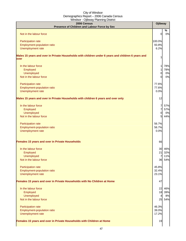| 2006 Census<br>Presence of Children and Labour Force by Sex                                                | Ojibway        |            |
|------------------------------------------------------------------------------------------------------------|----------------|------------|
| Not in the labour force                                                                                    | 0              | %<br>0%    |
|                                                                                                            |                |            |
| Participation rate                                                                                         | 100.0%         |            |
| Employment-population ratio                                                                                | 93.8%          |            |
| Unemployment rate                                                                                          | 6.2%           |            |
| Males 15 years and over in Private Households with children under 6 years and children 6 years and<br>over |                |            |
| In the labour force                                                                                        | 1              | 78%        |
| Employed                                                                                                   | 1              | 78%        |
| <b>Unemployed</b>                                                                                          | 0              | 0%         |
| Not in the labour force                                                                                    | 0              | 0%         |
| <b>Participation rate</b>                                                                                  | 77.6%          |            |
| Employment-population ratio                                                                                | 77.6%          |            |
| Unemployment rate                                                                                          | 0.0%           |            |
| Males 15 years and over in Private Households with children 6 years and over only                          | 12             |            |
|                                                                                                            |                |            |
| In the labour force                                                                                        | 7              | 57%<br>57% |
| Employed<br><b>Unemployed</b>                                                                              | 7<br>0         | 0%         |
| Not in the labour force                                                                                    | 5              | 44%        |
|                                                                                                            |                |            |
| Participation rate                                                                                         | 56.7%          |            |
| Employment-population ratio                                                                                | 56.7%          |            |
| Unemployment rate                                                                                          | 0.0%           |            |
| Females 15 years and over in Private Households                                                            | 66             |            |
| In the labour force                                                                                        | 30             | 46%        |
| Employed                                                                                                   | 21             | 32%        |
| <b>Unemployed</b>                                                                                          | $\overline{7}$ | 11%        |
| Not in the labour force                                                                                    | 36             | 54%        |
|                                                                                                            |                |            |
| Participation rate<br>Employment-population ratio                                                          | 45.8%<br>32.4% |            |
| Unemployment rate                                                                                          | 23.1%          |            |
|                                                                                                            |                |            |
| Females 15 years and over in Private Households with No Children at Home                                   | 47             |            |
| In the labour force                                                                                        | 22             | 46%        |
| Employed                                                                                                   | 18             | 39%        |
| Unemployed                                                                                                 | $\overline{4}$ | 8%         |
| Not in the labour force                                                                                    | 25             | 54%        |
| Participation rate                                                                                         | 46.3%          |            |
| Employment-population ratio                                                                                | 39.0%          |            |
| Unemployment rate                                                                                          | 17.2%          |            |
|                                                                                                            |                |            |
| Females 15 years and over in Private Households with Children at Home                                      | 19             |            |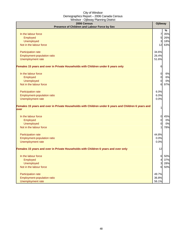| 2006 Census                                                                                                  | <b>Ojibway</b> |      |
|--------------------------------------------------------------------------------------------------------------|----------------|------|
| Presence of Children and Labour Force by Sex                                                                 |                | $\%$ |
| In the labour force                                                                                          | 7              | 35%  |
| Employed                                                                                                     | 5              | 26%  |
| <b>Unemployed</b>                                                                                            | 3              | 18%  |
| Not in the labour force                                                                                      | 12             | 63%  |
|                                                                                                              |                |      |
| Participation rate                                                                                           | 34.6%          |      |
| Employment-population ratio                                                                                  | 26.4%          |      |
| Unemployment rate                                                                                            | 51.6%          |      |
| Females 15 years and over in Private Households with Children under 6 years only                             | 6              |      |
| In the labour force                                                                                          | $\overline{0}$ | 6%   |
| Employed                                                                                                     | $\overline{0}$ | 6%   |
| <b>Unemployed</b>                                                                                            | $\overline{0}$ | 0%   |
| Not in the labour force                                                                                      | 6              | 97%  |
| Participation rate                                                                                           | 6.0%           |      |
| Employment-population ratio                                                                                  | 6.0%           |      |
| Unemployment rate                                                                                            | 0.0%           |      |
| Females 15 years and over in Private Households with Children under 6 years and Children 6 years and<br>over | 1              |      |
| In the labour force                                                                                          | $\overline{0}$ | 45%  |
| Employed                                                                                                     | $\overline{0}$ | 0%   |
| <b>Unemployed</b>                                                                                            | <sub>0</sub>   | 0%   |
| Not in the labour force                                                                                      |                | 78%  |
| Participation rate                                                                                           | 44.8%          |      |
| Employment-population ratio                                                                                  | 0.0%           |      |
| Unemployment rate                                                                                            | 0.0%           |      |
| Females 15 years and over in Private Households with Children 6 years and over only                          | 12             |      |
| In the labour force                                                                                          | $6 \mid$       | 50%  |
| Employed                                                                                                     | 41             | 37%  |
| <b>Unemployed</b>                                                                                            | 3              | 28%  |
| Not in the labour force                                                                                      | 6              | 50%  |
| Participation rate                                                                                           | 49.7%          |      |
| Employment-population ratio                                                                                  | 36.8%          |      |
| Unemployment rate                                                                                            | 56.1%          |      |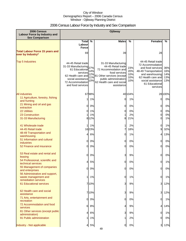# 2006 Census Labour Force by Industry and Sex Comparison

| 2006 Census<br>Labour Force by Industry and<br><b>Sex Comparison</b>           | Ojibway                                                                                                                                                     |                                 |                                                                                                                                                                                      |                                 |                                                                                                                                                                                 |                                 |
|--------------------------------------------------------------------------------|-------------------------------------------------------------------------------------------------------------------------------------------------------------|---------------------------------|--------------------------------------------------------------------------------------------------------------------------------------------------------------------------------------|---------------------------------|---------------------------------------------------------------------------------------------------------------------------------------------------------------------------------|---------------------------------|
|                                                                                | Total $\overline{\%}$<br>Labour                                                                                                                             |                                 | <b>Males</b>                                                                                                                                                                         | %                               | <b>Females</b>                                                                                                                                                                  | %                               |
|                                                                                | <b>Force</b>                                                                                                                                                |                                 |                                                                                                                                                                                      |                                 |                                                                                                                                                                                 |                                 |
| <b>Total Labour Force 15 years and</b><br>over by Industry*                    | 69                                                                                                                                                          |                                 | 39                                                                                                                                                                                   |                                 | 28                                                                                                                                                                              |                                 |
| <b>Top 5 Industries</b>                                                        | 44-45 Retail trade<br>31-33 Manufacturing<br>61 Educational<br>services<br>62 Health care and<br>social assistance<br>72 Accommodation<br>and food services | 27%<br>14%<br>12%<br>11%<br>10% | 31-33 Manufacturing<br>44-45 Retail trade<br>72 Accommodation and<br>food services<br>81 Other services (except<br>public administration)<br>62 Health care and social<br>assistance | 23%<br>20%<br>10%<br>10%<br>10% | 44-45 Retail trade<br>72 Accommodation<br>and food services<br>48-49 Transportation<br>and warehousing<br>62 Health care and<br>social assistance<br>61 Educational<br>services | 36%<br>16%<br>14%<br>13%<br>13% |
| <b>All industries</b>                                                          |                                                                                                                                                             | 6798%                           |                                                                                                                                                                                      | 40 10 4%                        |                                                                                                                                                                                 | 28 100%                         |
| 11 Agriculture, forestry, fishing<br>and hunting                               | 11                                                                                                                                                          | 1%                              | 0l                                                                                                                                                                                   | 1%                              | 0                                                                                                                                                                               | 0%                              |
| 21 Mining and oil and gas<br>extraction                                        | 0                                                                                                                                                           | 0%                              | $\overline{O}$                                                                                                                                                                       | 0%                              | 0                                                                                                                                                                               | 0%                              |
| <b>22 Utilities</b>                                                            | $\Omega$                                                                                                                                                    | 1%                              | 0                                                                                                                                                                                    | 0%                              | 0                                                                                                                                                                               | 0%                              |
| 23 Construction                                                                |                                                                                                                                                             | 1%                              |                                                                                                                                                                                      | 2%                              | 0                                                                                                                                                                               | 0%                              |
| 31-33 Manufacturing                                                            |                                                                                                                                                             | 8 1 2%                          | 8                                                                                                                                                                                    | 21%                             | 0                                                                                                                                                                               | 1%                              |
| 41 Wholesale trade<br>44-45 Retail trade                                       |                                                                                                                                                             | 1%                              | 1<br>7                                                                                                                                                                               | 2%                              | 0<br>9                                                                                                                                                                          | 1%                              |
| 48-49 Transportation and                                                       |                                                                                                                                                             | 1623%                           |                                                                                                                                                                                      | 18%                             |                                                                                                                                                                                 | 32%                             |
| warehousing                                                                    | 4                                                                                                                                                           | 6%                              | 0                                                                                                                                                                                    | 1%                              | 4                                                                                                                                                                               | 13%                             |
| 51 Information and cultural<br>industries                                      | $\overline{0}$                                                                                                                                              | 0%                              | $\overline{0}$                                                                                                                                                                       | 0%                              | 0                                                                                                                                                                               | 0%                              |
| 52 Finance and insurance                                                       | 0l                                                                                                                                                          | 0%                              | 0                                                                                                                                                                                    | 0%                              | 0                                                                                                                                                                               | 0%                              |
| 53 Real estate and rental and<br>leasing                                       | $\Omega$                                                                                                                                                    | 0%                              | 3                                                                                                                                                                                    | 9%                              | 0                                                                                                                                                                               | 0%                              |
| 54 Professional, scientific and<br>technical services                          | 4                                                                                                                                                           | 5%                              | 0                                                                                                                                                                                    | 0%                              | 0                                                                                                                                                                               | 1%                              |
| 55 Management of companies<br>and enterprises                                  | <sub>0</sub>                                                                                                                                                | 0%                              | 0                                                                                                                                                                                    | 0%                              | 0                                                                                                                                                                               | 0%                              |
| 56 Administrative and support,<br>waste management and<br>remediation services | 11                                                                                                                                                          | 1%                              | 0                                                                                                                                                                                    | 1%                              | 0                                                                                                                                                                               | 1%                              |
| <b>61 Educational services</b>                                                 |                                                                                                                                                             | 7 10%                           | 3                                                                                                                                                                                    | 9%                              | 3                                                                                                                                                                               | 12%                             |
| 62 Health care and social<br>assistance                                        |                                                                                                                                                             | 710%                            | 3                                                                                                                                                                                    | 9%                              | 3                                                                                                                                                                               | 12%                             |
| 71 Arts, entertainment and<br>recreation                                       | $\overline{0}$                                                                                                                                              | 0%                              | 0                                                                                                                                                                                    | 0%                              | 0                                                                                                                                                                               | 1%                              |
| 72 Accommodation and food<br>services                                          | 6                                                                                                                                                           | 8%                              | 4                                                                                                                                                                                    | 9%                              | 4                                                                                                                                                                               | 14%                             |
| 81 Other services (except public                                               | $\overline{4}$                                                                                                                                              | 6%                              | 3                                                                                                                                                                                    | 9%                              | 0                                                                                                                                                                               | 1%                              |
| administration)<br>91 Public administration                                    | $\mathbf{1}$                                                                                                                                                | 1%                              | 1                                                                                                                                                                                    | 2%                              | 0                                                                                                                                                                               | 0%                              |
|                                                                                |                                                                                                                                                             |                                 |                                                                                                                                                                                      |                                 |                                                                                                                                                                                 |                                 |
| Industry - Not applicable                                                      | 41                                                                                                                                                          | 5%                              | 0l                                                                                                                                                                                   | 0%                              | 3                                                                                                                                                                               | 12%                             |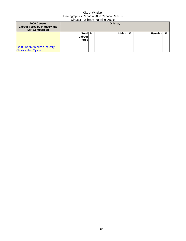| 2006 Census<br>Labour Force by Industry and<br><b>Sex Comparison</b> | Ojibway                      |  |              |   |         |   |
|----------------------------------------------------------------------|------------------------------|--|--------------|---|---------|---|
| * 2002 North American Industry<br><b>Classification System</b>       | Total %<br>Labourl<br>Forcel |  | <b>Males</b> | % | Females | % |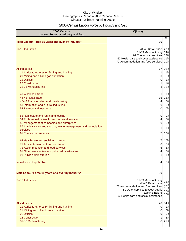# 2006 Census Labour Force by Industry and Sex

| 2006 Census<br><b>Labour Force by Industry and Sex</b>                                                                                                                                                                                              | <b>Ojibway</b>                                                                                                                                                                 |                                       |
|-----------------------------------------------------------------------------------------------------------------------------------------------------------------------------------------------------------------------------------------------------|--------------------------------------------------------------------------------------------------------------------------------------------------------------------------------|---------------------------------------|
| Total Labour Force 15 years and over by Industry*                                                                                                                                                                                                   | 69                                                                                                                                                                             | %                                     |
| <b>Top 5 Industries</b>                                                                                                                                                                                                                             | 44-45 Retail trade<br>31-33 Manufacturing<br>61 Educational services<br>62 Health care and social assistance<br>72 Accommodation and food services                             | 27%<br>14%<br>12%<br>11%<br>10%       |
| <b>All industries</b><br>11 Agriculture, forestry, fishing and hunting<br>21 Mining and oil and gas extraction<br><b>22 Utilities</b><br>23 Construction<br>31-33 Manufacturing                                                                     | 67<br>1<br>0<br>0<br>8                                                                                                                                                         | 98%<br>1%<br>0%<br>1%<br>1%<br>12%    |
| 41 Wholesale trade<br>44-45 Retail trade<br>48-49 Transportation and warehousing<br>51 Information and cultural industries<br>52 Finance and insurance                                                                                              | 16<br>4<br>0<br>0                                                                                                                                                              | 1%<br>23%<br>6%<br>0%<br>0%           |
| 53 Real estate and rental and leasing<br>54 Professional, scientific and technical services<br>55 Management of companies and enterprises<br>56 Administrative and support, waste management and remediation<br>services<br>61 Educational services | 0<br>4<br>0<br>1<br>7                                                                                                                                                          | 0%<br>5%<br>0%<br>1%<br>10%           |
| 62 Health care and social assistance<br>71 Arts, entertainment and recreation<br>72 Accommodation and food services<br>81 Other services (except public administration)<br>91 Public administration                                                 | 7<br>0<br>6<br>4                                                                                                                                                               | 10%<br>0%<br>8%<br>6%<br>1%           |
| Industry - Not applicable                                                                                                                                                                                                                           |                                                                                                                                                                                | 5%                                    |
| Male Labour Force 15 years and over by Industry*                                                                                                                                                                                                    | 39                                                                                                                                                                             |                                       |
| <b>Top 5 Industries</b>                                                                                                                                                                                                                             | 31-33 Manufacturing<br>44-45 Retail trade<br>72 Accommodation and food services<br>81 Other services (except public<br>administration)<br>62 Health care and social assistance | 23%<br>20%<br>10%<br>10%<br>10%       |
| <b>All industries</b><br>11 Agriculture, forestry, fishing and hunting<br>21 Mining and oil and gas extraction<br>22 Utilities<br>23 Construction<br>31-33 Manufacturing                                                                            | $\mathbf 0$<br>0<br>0<br>8                                                                                                                                                     | 40104%<br>1%<br>0%<br>0%<br>2%<br>21% |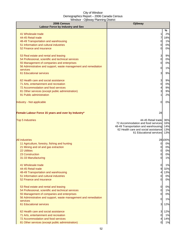| 2006 Census                                                                 | <b>Ojibway</b>                                            |            |  |  |
|-----------------------------------------------------------------------------|-----------------------------------------------------------|------------|--|--|
| <b>Labour Force by Industry and Sex</b>                                     |                                                           | %          |  |  |
| 41 Wholesale trade                                                          | 1                                                         | 2%         |  |  |
| 44-45 Retail trade                                                          | 7                                                         | 18%        |  |  |
| 48-49 Transportation and warehousing                                        | 0                                                         | 1%         |  |  |
| 51 Information and cultural industries                                      | 0                                                         | 0%         |  |  |
| 52 Finance and insurance                                                    | 0                                                         | 0%         |  |  |
|                                                                             |                                                           |            |  |  |
| 53 Real estate and rental and leasing                                       | 3                                                         | 9%         |  |  |
| 54 Professional, scientific and technical services                          | 0                                                         | 0%         |  |  |
| 55 Management of companies and enterprises                                  | 0                                                         | 0%         |  |  |
| 56 Administrative and support, waste management and remediation             | 0                                                         | 1%         |  |  |
| services                                                                    |                                                           |            |  |  |
| 61 Educational services                                                     | 3                                                         | 9%         |  |  |
| 62 Health care and social assistance                                        | 3                                                         | 9%         |  |  |
| 71 Arts, entertainment and recreation                                       | 0                                                         | 0%         |  |  |
| 72 Accommodation and food services                                          | 4                                                         | 9%         |  |  |
| 81 Other services (except public administration)                            | 3                                                         | 9%         |  |  |
| 91 Public administration                                                    | 1                                                         | 2%         |  |  |
| Industry - Not applicable                                                   | 0                                                         | 0%         |  |  |
| Female Labour Force 15 years and over by Industry*                          | 28                                                        |            |  |  |
|                                                                             |                                                           |            |  |  |
| <b>Top 5 Industries</b>                                                     | 44-45 Retail tradel<br>72 Accommodation and food services | 36%<br>16% |  |  |
|                                                                             | 48-49 Transportation and warehousing                      | 14%        |  |  |
|                                                                             | 62 Health care and social assistance                      | 13%        |  |  |
|                                                                             | 61 Educational services                                   | 13%        |  |  |
| <b>All industries</b>                                                       |                                                           | 28 100%    |  |  |
| 11 Agriculture, forestry, fishing and hunting                               | $\overline{0}$                                            | 0%         |  |  |
| 21 Mining and oil and gas extraction                                        | $\overline{0}$                                            | 0%         |  |  |
| <b>22 Utilities</b>                                                         | 0                                                         | 0%         |  |  |
| 23 Construction                                                             | $\overline{0}$                                            | 0%         |  |  |
| 31-33 Manufacturing                                                         | <sub>0</sub>                                              | 1%         |  |  |
| 41 Wholesale trade                                                          |                                                           |            |  |  |
| 44-45 Retail trade                                                          | $\overline{0}$<br>9                                       | 1%<br>32%  |  |  |
| 48-49 Transportation and warehousing                                        | 4                                                         | 13%        |  |  |
| 51 Information and cultural industries                                      | 0                                                         | 0%         |  |  |
| 52 Finance and insurance                                                    | $\overline{0}$                                            | 0%         |  |  |
|                                                                             |                                                           |            |  |  |
| 53 Real estate and rental and leasing                                       | $\mathbf 0$                                               | 0%         |  |  |
| 54 Professional, scientific and technical services                          | 0                                                         | 1%         |  |  |
| 55 Management of companies and enterprises                                  | 0                                                         | 0%         |  |  |
| 56 Administrative and support, waste management and remediation<br>services | 0                                                         | 1%         |  |  |
| 61 Educational services                                                     | 3                                                         | 12%        |  |  |
| 62 Health care and social assistance                                        | 3                                                         | 12%        |  |  |
| 71 Arts, entertainment and recreation                                       | $\overline{0}$                                            | 1%         |  |  |
| 72 Accommodation and food services                                          | 4                                                         | 14%        |  |  |
| 81 Other services (except public administration)                            | 0l                                                        | 1%         |  |  |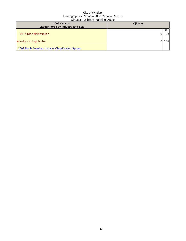| 2006 Census<br><b>Labour Force by Industry and Sex</b>                            | Ojibway |               |
|-----------------------------------------------------------------------------------|---------|---------------|
| 91 Public administration                                                          |         | %<br>0%<br>DІ |
| Industry - Not applicable<br>* 2002 North American Industry Classification System |         | 12%           |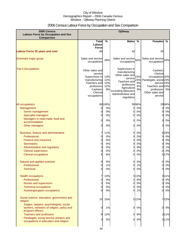# 2006 Census Labour Force by Occupation and Sex Comparison

| 2006 Census<br><b>Labour Force by Occupation and Sex</b><br>Comparison                                   | Ojibway                                                                                                                            |                                |                                                                                                                                                                       |                              |                                                                                                                                                  |       |
|----------------------------------------------------------------------------------------------------------|------------------------------------------------------------------------------------------------------------------------------------|--------------------------------|-----------------------------------------------------------------------------------------------------------------------------------------------------------------------|------------------------------|--------------------------------------------------------------------------------------------------------------------------------------------------|-------|
|                                                                                                          | <b>Total</b>                                                                                                                       | %                              | <b>Males</b>                                                                                                                                                          | $\%$                         | <b>Females</b>                                                                                                                                   | %     |
|                                                                                                          | Labour<br><b>Force</b>                                                                                                             |                                |                                                                                                                                                                       |                              |                                                                                                                                                  |       |
| <b>Labour Force 15 years and over</b>                                                                    | 69                                                                                                                                 |                                | 40                                                                                                                                                                    |                              | 30                                                                                                                                               |       |
| Dominant major group                                                                                     | Sales and service<br>occupations                                                                                                   | 48%                            | Sales and service 50%<br>occupations                                                                                                                                  |                              | Sales and service<br>occupations                                                                                                                 | 43%   |
| <b>Top 5 Occupations</b>                                                                                 | Other sales and<br>service<br>Supervisors in<br>manufacturing<br>Teachers and<br>professors<br>Cashiers<br>Clerical<br>occupations | 13%<br>12%<br>12%<br>12%<br>8% | Supervisors in<br>manufacturing<br>Other sales and<br>service<br>Teachers and<br>professors<br>Agriculture<br>excluding labourers<br>Administrative and<br>regulatory | 23%<br>23%<br>9%<br>9%<br>9% | Cashiers<br>Clerical<br>occupations 32%<br>Paralegals, social 23%<br>service 15%<br>Teachers and 15%<br>professors<br>Other sales and<br>service | 5%    |
| All occupations                                                                                          |                                                                                                                                    | 69 100%                        |                                                                                                                                                                       | 3996%                        |                                                                                                                                                  | 2894% |
| Management                                                                                               | 0                                                                                                                                  | 0%                             | 0                                                                                                                                                                     | 0%                           | O                                                                                                                                                | 0%    |
| Senior management                                                                                        | 0                                                                                                                                  | 0%                             | 0                                                                                                                                                                     | 0%                           | 0                                                                                                                                                | 0%    |
| <b>Specialist managers</b>                                                                               | 0                                                                                                                                  | 0%                             | 0                                                                                                                                                                     | 0%                           | 0                                                                                                                                                | 0%    |
| Managers in retail trade, food and                                                                       | $\Omega$                                                                                                                           | 0%                             | 0                                                                                                                                                                     | 0%                           | 0                                                                                                                                                | 0%    |
| accommodation<br>Other managers                                                                          | 0                                                                                                                                  | 0%                             | 0                                                                                                                                                                     | 0%                           | 0                                                                                                                                                | 0%    |
|                                                                                                          |                                                                                                                                    |                                |                                                                                                                                                                       |                              |                                                                                                                                                  |       |
| Business, finance and administrative                                                                     | 7                                                                                                                                  | 11%                            | 0                                                                                                                                                                     | 0%                           |                                                                                                                                                  | 6 18% |
| Professional                                                                                             | 0                                                                                                                                  | 0%                             | 0                                                                                                                                                                     | 0%                           | 0                                                                                                                                                | 0%    |
| <b>Finance and insurance</b>                                                                             | 0                                                                                                                                  | 0%                             | 0                                                                                                                                                                     | 0%                           |                                                                                                                                                  | 0%    |
| Secretaries                                                                                              | 0                                                                                                                                  | 0%                             | 0                                                                                                                                                                     | 0%                           | 0                                                                                                                                                | 0%    |
| Administrative and regulatory                                                                            | 3                                                                                                                                  | 5%                             | 3                                                                                                                                                                     | 8%                           | 0                                                                                                                                                | 1%    |
| <b>Clerical supervisors</b>                                                                              | $\Omega$                                                                                                                           | 0%                             | 0                                                                                                                                                                     | 0%<br>0%                     |                                                                                                                                                  | 0%    |
| <b>Clerical occupations</b>                                                                              | 6                                                                                                                                  | 8%                             | 0                                                                                                                                                                     |                              |                                                                                                                                                  | 517%  |
| Natural and applied sciences                                                                             | 0                                                                                                                                  | 0%                             | Ol                                                                                                                                                                    | 0%                           | 0l                                                                                                                                               | 0%    |
| Professional                                                                                             | $\mathbf{0}$                                                                                                                       | $1\%$                          | U                                                                                                                                                                     | $1\%$                        | Û                                                                                                                                                | $0\%$ |
| <b>Technical</b>                                                                                         | $\overline{0}$                                                                                                                     | 0%                             | 0l                                                                                                                                                                    | 0%                           | <sub>0</sub>                                                                                                                                     | 0%    |
| <b>Health occupations</b>                                                                                | $\overline{7}$                                                                                                                     | 10%                            |                                                                                                                                                                       | 5 13%                        |                                                                                                                                                  | 3 11% |
| Professional                                                                                             | $\overline{0}$                                                                                                                     | 0%                             | 3                                                                                                                                                                     | 8%                           | 01                                                                                                                                               | 0%    |
| Nurses and supervisors                                                                                   | 3                                                                                                                                  | 5%                             | $\overline{0}$                                                                                                                                                        | 0%                           | 0                                                                                                                                                | 0%    |
| <b>Technical occupations</b>                                                                             | $\overline{0}$                                                                                                                     | 0%                             | <sub>0</sub>                                                                                                                                                          | 0%                           | 0                                                                                                                                                | 0%    |
| Assisting/support occupations                                                                            | $\Omega$                                                                                                                           | 0%                             | <sub>0</sub>                                                                                                                                                          | 1%                           | 0                                                                                                                                                | 0%    |
| Social science, education, government and<br>religion                                                    | 10                                                                                                                                 | 15%                            |                                                                                                                                                                       | 5 12%                        |                                                                                                                                                  | 722%  |
| Judges, lawyers, psychologists, social<br>workers, ministers of religion, policy and<br>program officers | 0                                                                                                                                  | 1%                             | 0                                                                                                                                                                     | 0%                           | 0                                                                                                                                                | 0%    |
| <b>Teachers and professors</b>                                                                           | 8                                                                                                                                  | 12%                            | 3                                                                                                                                                                     | 8%                           |                                                                                                                                                  | 311%  |
| Paralegals, social service workers and<br>occupations in education and religion                          | 3                                                                                                                                  | 5%                             | $\overline{0}$                                                                                                                                                        | 0%                           |                                                                                                                                                  | 3 11% |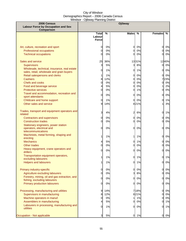| 2006 Census                                                                                                                           |                          |                        | Ojibway                        |                          |                                    |                         |
|---------------------------------------------------------------------------------------------------------------------------------------|--------------------------|------------------------|--------------------------------|--------------------------|------------------------------------|-------------------------|
| <b>Labour Force by Occupation and Sex</b><br>Comparison                                                                               |                          |                        |                                |                          |                                    |                         |
|                                                                                                                                       | Total<br>Labour<br>Force | %                      | <b>Males</b>                   | $\%$                     | <b>Females</b>                     | %                       |
| Art, culture, recreation and sport<br><b>Professional occupations</b><br><b>Technical occupations</b>                                 | 0<br>0<br>0              | 0%<br>0%<br>0%         | $\mathbf{0}$<br>$\Omega$<br>0l | 0%<br>0%<br>0%           | $\mathbf{0}$<br><sub>0</sub><br>0l | 0%<br>0%<br>0%          |
| Sales and service<br><b>Supervisors</b><br>Wholesale, technical, insurance, real estate                                               | 25<br>3<br>0             | 36%<br>5%<br>1%        | $\overline{\mathbf{3}}$<br>0   | 1331%<br>8%<br>1%        | $\mathbf{0}$<br>01                 | 1240%<br>0%<br>0%       |
| sales, retail, wholesale and grain buyers<br>Retail salespersons and clerks<br><b>Cashiers</b><br>Chefs and cooks                     | 8<br>0                   | 1%<br>12%<br>0%        | 0<br>0<br>0                    | 0%<br>0%<br>0%           | 0l<br>O.                           | 0%<br>723%<br>$0\%$     |
| Food and beverage service<br><b>Protective services</b><br>Travel and accommodation, recreation and<br>sport attendants               | 4<br>0<br>0              | 5%<br>0%<br>0%         | 0<br>$\overline{0}$<br>0       | 0%<br>1%<br>0%           | 0<br>Ol                            | 2%<br>$0\%$<br>0%       |
| Childcare and home support<br>Other sales and service                                                                                 | 0<br>9                   | 1%<br>14%              | <sub>0</sub>                   | 0%<br>821%               | 0l                                 | 1%<br>3%                |
| Trades, transport and equipment operators and<br>related<br><b>Contractors and supervisors</b>                                        | 3<br>0                   | 4%<br>0%               | 2<br>0                         | 6%<br>0%                 | 0<br>0                             | 1%<br>0%                |
| <b>Construction trades</b><br>Stationary engineers, power station                                                                     | 0                        | 0%                     | 0l                             | 0%                       | 0                                  | 0%                      |
| operators, electrical and<br>telecommunications                                                                                       | 0                        | 0%                     | 0l                             | 0%                       | 0l                                 | 0%                      |
| Machinists, metal forming, shaping and<br>erecting<br><b>Mechanics</b>                                                                | 1<br>4                   | 1%<br>5%               | 11<br><sub>0</sub>             | 1%<br>1%                 | 0l<br><sub>0</sub>                 | 0%<br>0%                |
| Other trades<br>Heavy equipment, crane operators and                                                                                  | 0                        | 0%                     | $\mathbf{0}$                   | 0%                       | 0l                                 | $0\%$                   |
| drillers<br>Transportation equipment operators,                                                                                       | 0<br>11                  | 0%<br>1%               | <sub>0</sub><br>0l             | 0%<br>1%                 | 0l                                 | $0\%$<br>0 1%           |
| excluding labourers<br><b>Helpers and labourers</b>                                                                                   |                          | 1%                     | <sub>0</sub>                   | 1%                       | <sub>0</sub>                       | 0%                      |
| Primary industry-specific<br>Agriculture excluding labourers                                                                          | 0<br>0                   | 0%<br>0%               | $\overline{0}$<br>3            | 0%<br>8%                 | $\mathbf{0}$<br>0                  | 0%<br>$0\%$             |
| Forestry, mining, oil and gas extraction, and<br>fishing, excluding labourers<br><b>Primary production labourers</b>                  | 0<br>0                   | 0%<br>0%               | $\overline{0}$<br><sub>0</sub> | 0%<br>0%                 | $\overline{0}$<br>0                | $0\%$<br>$0\%$          |
| Processing, manufacturing and utilities<br>Supervisors in manufacturing<br>Machine operators in manuf.<br>Assemblers in manufacturing | 9<br>8<br>0<br>41        | 14%<br>12%<br>0%<br>5% | 11<br>$\overline{0}$           | 718%<br>821%<br>1%<br>0% | 0<br>0<br>Ol<br>0                  | 0%<br>$0\%$<br>0%<br>1% |
| Labourers in processing, manufacturing and<br>utilities                                                                               | 0                        | 1%                     | <sub>0</sub>                   | 0%                       | 0                                  | 1%                      |
| Occupation - Not applicable                                                                                                           | 3                        | 5%                     | <sub>0</sub>                   | 1%                       | 0I                                 | 0%                      |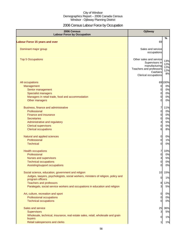# 2006 Census Labour Force by Occupation

| 2006 Census<br><b>Labour Force by Occupation</b>                                                                                                                                                                                                                              | <b>Ojibway</b>                                                                                                            |                                         |
|-------------------------------------------------------------------------------------------------------------------------------------------------------------------------------------------------------------------------------------------------------------------------------|---------------------------------------------------------------------------------------------------------------------------|-----------------------------------------|
| <b>Labour Force 15 years and over</b>                                                                                                                                                                                                                                         | 69                                                                                                                        | $\frac{6}{6}$                           |
| Dominant major group                                                                                                                                                                                                                                                          | Sales and service<br>occupations                                                                                          |                                         |
| <b>Top 5 Occupations</b>                                                                                                                                                                                                                                                      | Other sales and service<br>Supervisors in<br>manufacturing<br>Teachers and professors<br>Cashiers<br>Clerical occupations | 13%<br>12%<br>12%<br>12%<br>8%          |
| All occupations<br>Management<br>Senior management<br><b>Specialist managers</b><br>Managers in retail trade, food and accommodation<br>Other managers                                                                                                                        | 0<br>0<br>0<br>$\mathbf 0$<br>$\Omega$                                                                                    | 69100%<br>0%<br>0%<br>0%<br>0%<br>0%    |
| Business, finance and administrative<br>Professional<br><b>Finance and insurance</b><br><b>Secretaries</b><br>Administrative and regulatory<br><b>Clerical supervisors</b><br><b>Clerical occupations</b>                                                                     | 7<br>0<br>0<br>0<br>3<br>$\mathbf 0$<br>6                                                                                 | 11%<br>0%<br>0%<br>0%<br>5%<br>0%<br>8% |
| Natural and applied sciences<br>Professional<br><b>Technical</b>                                                                                                                                                                                                              | $\overline{0}$<br>$\overline{0}$<br>0                                                                                     | 0%<br>1%<br>0%                          |
| <b>Health occupations</b><br>Professional<br><b>Nurses and supervisors</b><br><b>Technical occupations</b><br>Assisting/support occupations                                                                                                                                   | 7<br>0<br>3<br>0<br>0                                                                                                     | 10%<br>0%<br>5%<br>0%<br>0%             |
| Social science, education, government and religion<br>Judges, lawyers, psychologists, social workers, ministers of religion, policy and<br>program officers<br><b>Teachers and professors</b><br>Paralegals, social service workers and occupations in education and religion | 10<br>0<br>8<br>3                                                                                                         | 15%<br>1%<br>12%<br>5%                  |
| Art, culture, recreation and sport<br>Professional occupations<br><b>Technical occupations</b>                                                                                                                                                                                | 0<br>0<br>0                                                                                                               | 0%<br>0%<br>0%                          |
| Sales and service<br><b>Supervisors</b><br>Wholesale, technical, insurance, real estate sales, retail, wholesale and grain<br>buyers<br>Retail salespersons and clerks                                                                                                        | 25<br>3<br>0<br>11                                                                                                        | 36%<br>5%<br>1%<br>1%                   |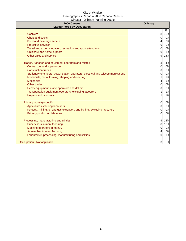| 2006 Census<br><b>Labour Force by Occupation</b>                                 | Ojibway |      |
|----------------------------------------------------------------------------------|---------|------|
|                                                                                  |         | $\%$ |
| <b>Cashiers</b>                                                                  | 8       | 12%  |
| Chefs and cooks                                                                  | 0       | 0%   |
| Food and beverage service                                                        | 4       | 5%   |
| <b>Protective services</b>                                                       | 0       | 0%   |
| Travel and accommodation, recreation and sport attendants                        | 0       | 0%   |
| Childcare and home support                                                       | 0       | 1%   |
| Other sales and service                                                          | 9       | 14%  |
| Trades, transport and equipment operators and related                            | 3       | 4%   |
| <b>Contractors and supervisors</b>                                               | 0       | 0%   |
| <b>Construction trades</b>                                                       | 0       | 0%   |
| Stationary engineers, power station operators, electrical and telecommunications | 0       | 0%   |
| Machinists, metal forming, shaping and erecting                                  |         | 1%   |
| <b>Mechanics</b>                                                                 | 4       | 5%   |
| Other trades                                                                     | 0       | 0%   |
| Heavy equipment, crane operators and drillers                                    | 0       | 0%   |
| Transportation equipment operators, excluding labourers                          |         | 1%   |
| <b>Helpers and labourers</b>                                                     |         | 1%   |
| Primary industry-specific                                                        | 0       | 0%   |
| Agriculture excluding labourers                                                  | 0       | 0%   |
| Forestry, mining, oil and gas extraction, and fishing, excluding labourers       | 0       | 0%   |
| <b>Primary production labourers</b>                                              | 0       | 0%   |
| Processing, manufacturing and utilities                                          | 9       | 14%  |
| Supervisors in manufacturing                                                     | 8       | 12%  |
| Machine operators in manuf.                                                      | 0       | 0%   |
| Assemblers in manufacturing                                                      | 4       | 5%   |
| Labourers in processing, manufacturing and utilities                             | 0       | 1%   |
| Occupation - Not applicable                                                      | 3       | $5%$ |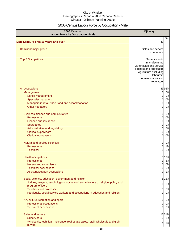# 2006 Census Labour Force by Occupation - Male

| 2006 Census<br><b>Labour Force by Occupation - Male</b>                           | Ojibway                                            |
|-----------------------------------------------------------------------------------|----------------------------------------------------|
|                                                                                   | %                                                  |
| <b>Male Labour Force 15 years and over</b>                                        | 40                                                 |
| Dominant major group                                                              | Sales and service                                  |
|                                                                                   | occupations                                        |
| <b>Top 5 Occupations</b>                                                          | Supervisors in                                     |
|                                                                                   | manufacturing                                      |
|                                                                                   | Other sales and service<br>Teachers and professors |
|                                                                                   | Agriculture excluding                              |
|                                                                                   | labourers                                          |
|                                                                                   | Administrative and                                 |
|                                                                                   | regulatory                                         |
| All occupations                                                                   | 3996%                                              |
| Management                                                                        | 0%<br>0                                            |
| Senior management<br><b>Specialist managers</b>                                   | 0%<br>0<br>0%<br>0                                 |
| Managers in retail trade, food and accommodation                                  | 0%<br>0                                            |
| Other managers                                                                    | 0%<br>0                                            |
|                                                                                   |                                                    |
| Business, finance and administrative                                              | 0%<br>0                                            |
| Professional                                                                      | 0%<br>0                                            |
| <b>Finance and insurance</b>                                                      | 0%<br>0                                            |
| <b>Secretaries</b><br>Administrative and regulatory                               | 0%<br>0<br>8%<br>3                                 |
| <b>Clerical supervisors</b>                                                       | 0%                                                 |
| <b>Clerical occupations</b>                                                       | 0%<br>0                                            |
|                                                                                   |                                                    |
| Natural and applied sciences                                                      | 0%<br>0                                            |
| Professional                                                                      | 1%<br>0                                            |
| <b>Technical</b>                                                                  | 0%<br>0                                            |
| <b>Health occupations</b>                                                         | 5 13%                                              |
| Professional                                                                      | 8%<br>3                                            |
| Nurses and supervisors                                                            | 0%<br>0                                            |
| <b>Technical occupations</b>                                                      | 0<br>0%<br>1%<br>$\overline{0}$                    |
| Assisting/support occupations                                                     |                                                    |
| Social science, education, government and religion                                | 512%                                               |
| Judges, lawyers, psychologists, social workers, ministers of religion, policy and | $\overline{0}$<br>0%                               |
| program officers<br><b>Teachers and professors</b>                                | 3 <br>8%                                           |
| Paralegals, social service workers and occupations in education and religion      | 0%<br>$\mathbf{0}$                                 |
|                                                                                   |                                                    |
| Art, culture, recreation and sport                                                | 0%<br>0                                            |
| Professional occupations                                                          | 0%<br>0                                            |
| <b>Technical occupations</b>                                                      | 0%<br>01                                           |
| Sales and service                                                                 | 1331%                                              |
| <b>Supervisors</b>                                                                | 8%<br>3                                            |
| Wholesale, technical, insurance, real estate sales, retail, wholesale and grain   | 1%<br>0                                            |
| buyers                                                                            |                                                    |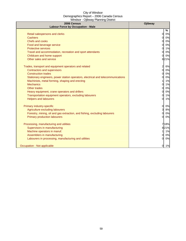| $\frac{1}{2}$<br>2006 Census<br><b>Labour Force by Occupation - Male</b>         | Ojibway              |
|----------------------------------------------------------------------------------|----------------------|
|                                                                                  | %                    |
| Retail salespersons and clerks                                                   | 0%<br>$\Omega$       |
| Cashiers                                                                         | 0%<br>$\Omega$       |
| <b>Chefs and cooks</b>                                                           | 0%<br>$\Omega$       |
| Food and beverage service                                                        | 0%<br>$\Omega$       |
| <b>Protective services</b>                                                       | 1%<br>0              |
| Travel and accommodation, recreation and sport attendants                        | 0%<br>$\Omega$       |
| Childcare and home support                                                       | 0%<br>$\Omega$       |
| Other sales and service                                                          | 821%                 |
| Trades, transport and equipment operators and related                            | $\overline{2}$<br>6% |
| <b>Contractors and supervisors</b>                                               | 0l<br>0%             |
| <b>Construction trades</b>                                                       | 0%<br><sup>0</sup>   |
| Stationary engineers, power station operators, electrical and telecommunications | 0%<br>$\Omega$       |
| Machinists, metal forming, shaping and erecting                                  | 1%                   |
| <b>Mechanics</b>                                                                 | 1%<br>$\Omega$       |
| Other trades                                                                     | 0%<br>$\Omega$       |
| Heavy equipment, crane operators and drillers                                    | 0%<br>$\Omega$       |
| Transportation equipment operators, excluding labourers                          | $\Omega$<br>1%       |
| <b>Helpers and labourers</b>                                                     | 1%<br>$\Omega$       |
| Primary industry-specific                                                        | $\Omega$<br>0%       |
| Agriculture excluding labourers                                                  | 3<br>8%              |
| Forestry, mining, oil and gas extraction, and fishing, excluding labourers       | 0%                   |
| <b>Primary production labourers</b>                                              | 0%<br>$\Omega$       |
| Processing, manufacturing and utilities                                          | 718%                 |
| Supervisors in manufacturing                                                     | 821%                 |
| Machine operators in manuf.                                                      | 1%                   |
| Assemblers in manufacturing                                                      | 0%<br>$\Omega$       |
| Labourers in processing, manufacturing and utilities                             | 0%<br>0              |
| Occupation - Not applicable                                                      | $\overline{0}$<br>1% |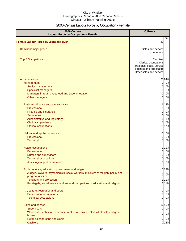# 2006 Census Labour Force by Occupation - Female

| 2006 Census<br><b>Labour Force by Occupation - Female</b>                                                                                                                                                                                                                     | Ojibway                                                                                                              |
|-------------------------------------------------------------------------------------------------------------------------------------------------------------------------------------------------------------------------------------------------------------------------------|----------------------------------------------------------------------------------------------------------------------|
| <b>Female Labour Force 15 years and over</b>                                                                                                                                                                                                                                  | %<br>30                                                                                                              |
| Dominant major group                                                                                                                                                                                                                                                          | Sales and service<br>occupations                                                                                     |
| <b>Top 5 Occupations</b>                                                                                                                                                                                                                                                      | Cashiers<br>Clerical occupations<br>Paralegals, social service<br>Teachers and professors<br>Other sales and service |
| All occupations<br>Management<br>Senior management<br><b>Specialist managers</b>                                                                                                                                                                                              | 2894%<br>0 0%<br>0%<br>$\mathbf{0}$<br>0%<br>0                                                                       |
| Managers in retail trade, food and accommodation<br>Other managers                                                                                                                                                                                                            | 0%<br>$\Omega$<br>0%<br>$\Omega$                                                                                     |
| Business, finance and administrative<br>Professional<br><b>Finance and insurance</b><br><b>Secretaries</b><br>Administrative and regulatory<br><b>Clerical supervisors</b><br><b>Clerical occupations</b>                                                                     | 618%<br>0%<br>$\mathbf{0}$<br>0%<br>0<br>0%<br>0<br>1%<br>0<br>0%<br>0<br>5 17%                                      |
| Natural and applied sciences<br>Professional<br><b>Technical</b>                                                                                                                                                                                                              | $\overline{0}$<br>0%<br>0%<br>$\Omega$<br>0%<br>$\overline{0}$                                                       |
| <b>Health occupations</b><br>Professional<br><b>Nurses and supervisors</b><br><b>Technical occupations</b><br>Assisting/support occupations                                                                                                                                   | 3 11%<br>0%<br>$\Omega$<br>0%<br>$\Omega$<br>0%<br>0<br>0%<br>$\Omega$                                               |
| Social science, education, government and religion<br>Judges, lawyers, psychologists, social workers, ministers of religion, policy and<br>program officers<br><b>Teachers and professors</b><br>Paralegals, social service workers and occupations in education and religion | 722%<br>0 0%<br>3 1 1 %<br>3 1 1 %                                                                                   |
| Art, culture, recreation and sport<br>Professional occupations<br><b>Technical occupations</b>                                                                                                                                                                                | $\overline{O}$<br>0%<br>0%<br>$\overline{0}$<br>0 0%                                                                 |
| Sales and service<br><b>Supervisors</b><br>Wholesale, technical, insurance, real estate sales, retail, wholesale and grain                                                                                                                                                    | 1240%<br>0 0%                                                                                                        |
| buyers<br>Retail salespersons and clerks<br><b>Cashiers</b>                                                                                                                                                                                                                   | 0%<br>$\overline{0}$<br>0%<br><sub>0</sub><br>723%                                                                   |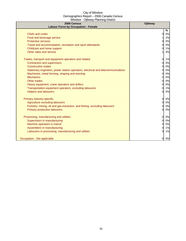| 2006 Census<br><b>Labour Force by Occupation - Female</b>                        | Ojibway        |
|----------------------------------------------------------------------------------|----------------|
|                                                                                  | $\%$           |
| Chefs and cooks                                                                  | 0%<br>$\Omega$ |
| Food and beverage service                                                        | 2%             |
| <b>Protective services</b>                                                       | 0%             |
| Travel and accommodation, recreation and sport attendants                        | 0%<br>∩        |
| Childcare and home support                                                       | 1%             |
| Other sales and service                                                          | 3%             |
| Trades, transport and equipment operators and related                            | 1%<br>$\Omega$ |
| Contractors and supervisors                                                      | 0%<br>$\Omega$ |
| <b>Construction trades</b>                                                       | 0%<br>$\Omega$ |
| Stationary engineers, power station operators, electrical and telecommunications | 0%             |
| Machinists, metal forming, shaping and erecting                                  | 0%<br>O        |
| <b>Mechanics</b>                                                                 | 0%<br>$\Omega$ |
| <b>Other trades</b>                                                              | 0%<br>$\Omega$ |
| Heavy equipment, crane operators and drillers                                    | 0%<br>$\Omega$ |
| Transportation equipment operators, excluding labourers                          | 1%             |
| <b>Helpers and labourers</b>                                                     | 0%<br>$\Omega$ |
| Primary industry-specific                                                        | 0%<br>$\Omega$ |
| Agriculture excluding labourers                                                  | 0%<br>0        |
| Forestry, mining, oil and gas extraction, and fishing, excluding labourers       | 0%             |
| <b>Primary production labourers</b>                                              | 0%<br>$\Omega$ |
| Processing, manufacturing and utilities                                          | $\Omega$<br>0% |
| Supervisors in manufacturing                                                     | 0%<br>$\Omega$ |
| Machine operators in manuf.                                                      | 0%<br>$\Omega$ |
| Assemblers in manufacturing                                                      | 1%<br>$\Omega$ |
| Labourers in processing, manufacturing and utilities                             | 1%<br>0        |
|                                                                                  |                |
| Occupation - Not applicable                                                      | 0%<br>0l       |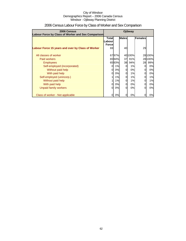| 2006 Census<br>Labour Force by Class of Worker and Sex Comparison | Ojibway                          |       |          |         |    |         |
|-------------------------------------------------------------------|----------------------------------|-------|----------|---------|----|---------|
|                                                                   | <b>Males</b><br>Females<br>Total |       |          | Labourl |    |         |
|                                                                   | <b>Forcel</b>                    |       |          |         |    |         |
| Labour Force 15 years and over by Class of Worker                 | 69                               |       | 40       |         | 29 |         |
| All classes of worker                                             |                                  | 6797% |          | 40 100% |    | 28 100% |
| Paid workers                                                      |                                  | 6594% | 37       | 91%     |    | 28 100% |
| <b>Employees</b>                                                  |                                  | 6593% | 38       | 94%     | 28 | 99%     |
| Self-employed (incorporated)                                      | 0                                | 1%    | $\Omega$ | 1%      | 0  | 0%      |
| Without paid help                                                 | 0                                | 0%    | 0        | 0%      |    | 0%      |
| With paid help                                                    | 0                                | 0%    | 0        | 1%      | 0  | 0%      |
| Self-employed (unincorp.)                                         |                                  | 1%    | 0        | 1%      | 0  | 1%      |
| Without paid help                                                 |                                  | 1%    | $\Omega$ | 1%      | 0  | 1%      |
| With paid help                                                    | 0                                | 0%    | 0        | 0%      |    | 0%      |
| Unpaid family workers                                             | 0                                | 0%    | $\Omega$ | 0%      | O  | 0%      |
| Class of worker - Not applicable                                  |                                  | 0%    |          | 0%      |    | 0%      |

# 2006 Census Labour Force by Class of Worker and Sex Comparison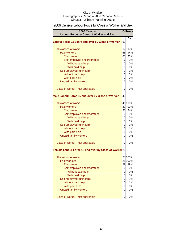# 2006 Census Labour Force by Class of Worker and Sex

| 2006 Census<br>Labour Force by Class of Worker and Sex           |                | <b>Ojibway</b> |
|------------------------------------------------------------------|----------------|----------------|
|                                                                  |                | %              |
| Labour Force 15 years and over by Class of Worker                | 69             |                |
| All classes of worker                                            | 67             | 97%            |
| <b>Paid workers</b>                                              | 65             | 94%            |
| <b>Employees</b>                                                 | 65             | 93%            |
| Self-employed (incorporated)                                     | 0              | 1%             |
| Without paid help                                                | 0              | 0%             |
| With paid help                                                   | 0              | 0%             |
| Self-employed (unincorp.)                                        | $\mathbf{1}$   | 1%             |
| Without paid help                                                | 1              | 1%             |
| With paid help                                                   | 0              | 0%             |
| <b>Unpaid family workers</b>                                     | 0              | 0%             |
|                                                                  |                |                |
| Class of worker - Not applicable                                 | 0              | 0%             |
| Male Labour Force 15 and over by Class of Worker                 | 40             |                |
| All classes of worker                                            |                | 40 100%        |
| Paid workers                                                     | 37             | 91%            |
| <b>Employees</b>                                                 | 38             | 94%            |
| Self-employed (incorporated)                                     | 0              | 1%             |
| Without paid help                                                | $\overline{0}$ | 0%             |
| With paid help                                                   | 0              | 1%             |
| Self-employed (unincorp.)                                        | 0              | 1%             |
| Without paid help                                                | 0              | 1%             |
| With paid help                                                   | 0              | 0%             |
| <b>Unpaid family workers</b>                                     | 0              | 0%             |
|                                                                  |                |                |
| Class of worker - Not applicable                                 | 0              | 0%             |
| Female Labour Force 15 and over by Class of Worker <sup>29</sup> |                |                |
| All classes of worker                                            |                | 28 100%        |
| <b>Paid workers</b>                                              |                | 28 100%        |
| Employees                                                        | 28             | 99%            |
| Self-employed (incorporated)                                     | 0              | $0\%$          |
| Without paid help                                                | 0              | 0%             |
| With paid help                                                   | 0              | 0%             |
| Self-employed (unincorp)                                         | 0              | 1%             |
| Without paid help                                                | 0              | 1%             |
| With paid help                                                   | 0              | 0%             |
| <b>Unpaid family workers</b>                                     | 0              | 0%             |
|                                                                  |                |                |
| Class of worker - Not applicable                                 | 0              | 0%             |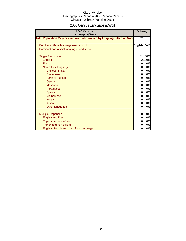# 2006 Census Language at Work

| 2006 Census<br><b>Language at Work</b>                                 | Ojibway      |         |
|------------------------------------------------------------------------|--------------|---------|
| Total Population 15 years and over who worked by Language Used at Work | 82           |         |
|                                                                        |              |         |
| Dominant official language used at work                                | English 100% |         |
| Dominant non-official language used at work                            |              |         |
| <b>Single Responses</b>                                                |              | 81100%  |
| English                                                                |              | 82 100% |
| French                                                                 | 0            | 0%      |
| Non-official languages                                                 | 0            | 0%      |
| Chinese, n.o.s.                                                        | 0            | 0%      |
| Cantonese                                                              | 0            | 0%      |
| Panjabi (Punjabi)                                                      | 0            | 0%      |
| German                                                                 | 0            | 0%      |
| Mandarin                                                               | 0            | 0%      |
| Portuguese                                                             | 0            | 0%      |
| Spanish                                                                | 0            | 0%      |
| Vietnamese                                                             | 0            | 0%      |
| Korean                                                                 | 0            | 0%      |
| Italian                                                                | 0            | 0%      |
| Other languages                                                        | $\Omega$     | 0%      |
|                                                                        |              |         |
| <b>Multiple responses</b>                                              | 0            | 0%      |
| <b>English and French</b>                                              | 0            | 0%      |
| English and non-official                                               | 0            | 0%      |
| French and non-official                                                | 0            | 0%      |
| English, French and non-official language                              | 0            | 0%      |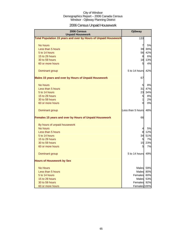# 2006 Census Unpaid Housework

| 2006 Census<br><b>Unpaid Housework</b>                                 | <b>Ojibway</b>    |           |
|------------------------------------------------------------------------|-------------------|-----------|
| <b>Total Population 15 years and over by Hours of Unpaid Housework</b> | 133               |           |
| No hours                                                               | 7                 | 5%        |
| Less than 5 hours                                                      | 39                | 30%       |
| 5 to 14 hours                                                          | 56                | 42%       |
| 15 to 29 hours                                                         | 8                 | <b>6%</b> |
| 30 to 59 hours                                                         | 18                | 13%       |
| 60 or more hours                                                       | 5                 | 4%        |
| Dominant group                                                         | 5 to 14 hours     | 42%       |
| <b>Males 15 years and over by Hours of Unpaid Housework</b>            | 67                |           |
| No hours                                                               | 5                 | 8%        |
| Less than 5 hours                                                      | 31                | 47%       |
| 5 to 14 hours                                                          | 23                | 34%       |
| 15 to 29 hours                                                         | 5                 | 8%        |
| 30 to 59 hours                                                         | 1                 | 2%        |
| 60 or more hours                                                       | $\Omega$          | 0%        |
| Dominant group                                                         | Less than 5 hours | 48%       |
| Females 15 years and over by Hours of Unpaid Housework                 | 66                |           |
| By hours of unpaid housework                                           |                   |           |
| No hours                                                               | 4                 | 5%        |
| Less than 5 hours                                                      | 8                 | 12%       |
| 5 to 14 hours                                                          | 34                | 51%       |
| 15 to 29 hours                                                         | 5                 | 7%        |
| 30 to 59 hours                                                         | 15                | 23%       |
| 60 or more hours                                                       | 5                 | <b>7%</b> |
| Dominant group                                                         | 5 to 14 hours     | 49%       |
| <b>Hours of Housework by Sex</b>                                       |                   |           |
| <b>No Hours</b>                                                        | Males 59%         |           |
| Less than 5 hours                                                      | Males             | 80%       |
| 5 to 14 hours                                                          | Females           | 60%       |
| 15 to 29 hours                                                         | Males             | 53%       |
| 30 to 59 hours                                                         | Females           | 92%       |
| 60 or more hours                                                       | Females 100%      |           |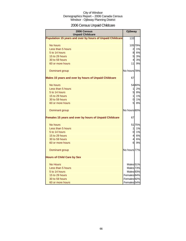# 2006 Census Unpaid Childcare

| 2006 Census<br><b>Unpaid Childcare</b>                    | <b>Ojibway</b>         |         |
|-----------------------------------------------------------|------------------------|---------|
| Population 15 years and over by hours of Unpaid Childcare | 133                    |         |
| No hours                                                  |                        | 105 79% |
| Less than 5 hours                                         | $\overline{2}$         | 1%      |
| 5 to 14 hours                                             | 81                     | 6%      |
| 15 to 29 hours                                            | 5 <sup>1</sup>         | 3%      |
| 30 to 59 hours                                            | $\overline{4}$         | 3%      |
| 60 or more hours                                          | 11I                    | 9%      |
| Dominant group                                            | No hours 78%           |         |
| Males 15 years and over by hours of Unpaid Childcare      | 67                     |         |
| No hours                                                  |                        | 5480%   |
| Less than 5 hours                                         | 11                     | 2%      |
| 5 to 14 hours                                             | 5 <sup>1</sup>         | 8%      |
| 15 to 29 hours                                            | 11                     | 1%      |
| 30 to 59 hours                                            | $\overline{0}$         | 1%      |
| 60 or more hours                                          | 5 <sub>l</sub>         | 8%      |
| Dominant group                                            | No hours 80%           |         |
| Females 15 years and over by hours of Unpaid Childcare    | 67                     |         |
| No hours                                                  |                        | 5175%   |
| Less than 5 hours                                         | $\mathbf{1}$           | 1%      |
| 5 to 14 hours                                             | 0l                     | 1%      |
| 15 to 29 hours                                            | 4                      | 6%      |
| 30 to 59 hours                                            | $\overline{4}$         | 6%      |
| 60 or more hours                                          | 61                     | 9%      |
| Dominant group                                            | No hours 77%           |         |
| <b>Hours of Child Care by Sex</b>                         |                        |         |
| <b>No Hours</b>                                           | Males <sub>51%</sub>   |         |
| Less than 5 hours                                         | Males <sub>73%</sub>   |         |
| 5 to 14 hours                                             | Males <sub>93%</sub>   |         |
| 15 to 29 hours                                            | Females 84%            |         |
| 30 to 59 hours                                            | Females <sub>92%</sub> |         |
| 60 or more hours                                          | Females 54%            |         |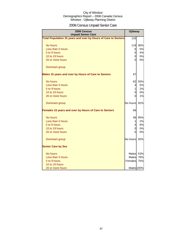# 2006 Census Unpaid Senior Care

| 2006 Census<br><b>Unpaid Senior Care</b>                       | <b>Ojibway</b> |           |
|----------------------------------------------------------------|----------------|-----------|
| Total Population 15 years and over by Hours of Care to Seniors | 133            |           |
|                                                                |                |           |
| No hours<br>Less than 5 hours                                  | 119            | 90%       |
| 5 to 9 hours                                                   | 6              | 5%<br>4%  |
|                                                                | 5              |           |
| 10 to 19 hours                                                 | 0              | 0%        |
| 20 or more hours                                               | 0              | 0%        |
| Dominant group                                                 |                |           |
| Males 15 years and over by Hours of Care to Seniors            | 67             |           |
| No hours                                                       | 62             | 92%       |
| Less than 5 hours                                              | 4              | <b>5%</b> |
| 5 to 9 hours                                                   | $\mathbf{1}$   | 2%        |
| 10 to 19 hours                                                 | 0              | 0%        |
| 20 or more hours                                               | 0              | 1%        |
| Dominant group                                                 | No hours       | 92%       |
| Females 15 years and over by Hours of Care to Seniors          | 66             |           |
| No hours                                                       | 56             | 85%       |
| Less than 5 hours                                              | 1              | 2%        |
| 5 to 9 hours                                                   | 4              | 6%        |
| 10 to 19 hours                                                 | 0              | 0%        |
| 20 or more hours                                               | 0              | 0%        |
| Dominant group                                                 | No hours       | 92%       |
| <b>Senior Care by Sex</b>                                      |                |           |
| No hours                                                       | Males          | 53%       |
| Less than 5 hours                                              | Males          | 76%       |
| 5 to 9 hours                                                   | Females        | 75%       |
| 10 to 19 hours                                                 |                |           |
| 20 or more hours                                               | Males 100%     |           |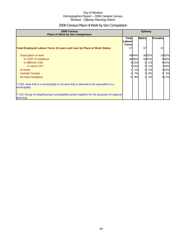# 2006 Census Place of Work by Sex Comparison

| 2006 Census<br><b>Place of Work by Sex Comparison</b>                                                 | Ojibway                            |       |              |       |                |       |
|-------------------------------------------------------------------------------------------------------|------------------------------------|-------|--------------|-------|----------------|-------|
|                                                                                                       | Totall<br>Labourl<br><b>Forcel</b> |       | <b>Males</b> |       | <b>Females</b> |       |
| <b>Total Employed Labour Force 15 years and over by Place of Work Status</b>                          | 57                                 |       | 37           |       | 21             |       |
| Usual place of work                                                                                   |                                    | 4884% |              | 3082% |                | 1882% |
| In CSD <sup>*</sup> of residence                                                                      |                                    | 3868% |              | 3081% |                | 940%  |
| In different CSD                                                                                      |                                    | 813%  | $\Omega$     | 1%    |                | 942%  |
| In same CD**                                                                                          |                                    | 713%  | $\Omega$     | 1%    |                | 734%  |
| At home                                                                                               |                                    | 1%    | $\Omega$     | 1%    |                | 316%  |
| <b>Outside Canada</b>                                                                                 | 41                                 | 7%    | 3            | 9%    | $\Omega$       | 2%    |
| No fixed workplace                                                                                    | 5 <sup>1</sup>                     | 8%    |              | 2%    |                | 417%  |
| * CSD: Area that is a municipality or an area that is deemed to be equivalent to a<br>municipality.   |                                    |       |              |       |                |       |
| ** CD: Group of neighbouring municipalities joined together for the purposes of regional<br>planning. |                                    |       |              |       |                |       |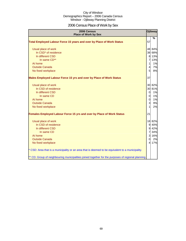# 2006 Census Place of Work by Sex

| 2006 Census<br><b>Place of Work by Sex</b>                                                         |                          | Ojibway |
|----------------------------------------------------------------------------------------------------|--------------------------|---------|
| Total Employed Labour Force 15 years and over by Place of Work Status                              | 57                       | %       |
|                                                                                                    |                          |         |
| Usual place of work                                                                                |                          | 48 84%  |
| In CSD <sup>*</sup> of residence                                                                   |                          | 38 68%  |
| In different CSD                                                                                   | 8                        | 13%     |
| In same CD**                                                                                       | $\overline{7}$           | 13%     |
| At home                                                                                            | $\mathbf{1}$             | 1%      |
| <b>Outside Canada</b>                                                                              | $\overline{4}$           | 7%      |
| No fixed workplace                                                                                 | 5 <sup>1</sup>           | 8%      |
| Males Employed Labour Force 15 yrs and over by Place of Work Status                                | 37                       |         |
| Usual place of work                                                                                | 30                       | 82%     |
| In CSD of residence                                                                                | 30                       | 81%     |
| In different CSD                                                                                   | $\overline{0}$           | 1%      |
| In same CD                                                                                         | 0                        | 1%      |
| At home                                                                                            | $\overline{0}$           | 1%      |
| <b>Outside Canada</b>                                                                              | 3                        | 9%      |
| No fixed workplace                                                                                 | $\mathbf{1}$             | 2%      |
| Females Employed Labour Force 15 yrs and over by Place of Work Status                              | 21                       |         |
| Usual place of work                                                                                |                          | 18 82%  |
| In CSD of residence                                                                                | 9                        | 40%     |
| In different CSD                                                                                   | 9                        | 42%     |
| In same CD                                                                                         | $\overline{7}$           | 34%     |
| At home                                                                                            | 3                        | 16%     |
| <b>Outside Canada</b>                                                                              | $\Omega$                 | 2%      |
| No fixed workplace                                                                                 | $\overline{\mathcal{A}}$ | 17%     |
| * CSD: Area that is a municipality or an area that is deemed to be equivalent to a municipality.   |                          |         |
| ** CD: Group of neighbouring municipalities joined together for the purposes of regional planning. |                          |         |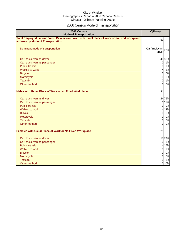# 2006 Census Mode of Transportation

| 2006 Census<br><b>Mode of Transportation</b>                                                                                      | Ojibway                         |
|-----------------------------------------------------------------------------------------------------------------------------------|---------------------------------|
| Total Employed Labour Force 15 years and over with usual place of work or no fixed workplace<br>address by Mode of Transportation | 50                              |
| Dominant mode of transportation                                                                                                   | Car/truck/van-<br>78%<br>driver |
| Car, truck, van as driver                                                                                                         | 4080%                           |
| Car, truck, van as passenger                                                                                                      | $\overline{0}$<br>1%            |
| <b>Public transit</b>                                                                                                             | $\overline{0}$<br>1%            |
| Walked to work                                                                                                                    | 8%<br>4                         |
| <b>Bicycle</b>                                                                                                                    | 0%<br>$\overline{0}$            |
| Motorcycle                                                                                                                        | $\overline{0}$<br>0%            |
| <b>Taxicab</b>                                                                                                                    | 0<br>1%                         |
| Other method                                                                                                                      | $\overline{0}$<br>0%            |
| <b>Males with Usual Place of Work or No Fixed Workplace</b>                                                                       | 31                              |
| Car, truck, van as driver                                                                                                         | 2476%                           |
| Car, truck, van as passenger                                                                                                      | 3 1 1 %                         |
| <b>Public transit</b>                                                                                                             | $\overline{0}$<br>0%            |
| Walked to work                                                                                                                    | 4 1 2%                          |
| <b>Bicycle</b>                                                                                                                    | 0%<br>$\overline{0}$            |
| Motorcycle                                                                                                                        | $\overline{0}$<br>0%            |
| <b>Taxicab</b>                                                                                                                    | $\overline{0}$<br>0%            |
| Other method                                                                                                                      | 0%<br>$\Omega$                  |
| <b>Females with Usual Place of Work or No Fixed Workplace</b>                                                                     | 21                              |
| Car, truck, van as driver                                                                                                         | 1779%                           |
| Car, truck, van as passenger                                                                                                      | $\overline{0}$<br>1%            |
| <b>Public transit</b>                                                                                                             | 4 17%                           |
| Walked to work                                                                                                                    | 1%<br>$\overline{0}$            |
| <b>Bicycle</b>                                                                                                                    | 0%<br>$\overline{0}$            |
| Motorcycle                                                                                                                        | $\overline{0}$<br>0%            |
| <b>Taxicab</b>                                                                                                                    | 0<br>1%                         |
| Other method                                                                                                                      | 0%<br>$\overline{0}$            |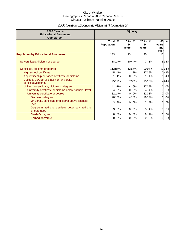# 2006 Census Educational Attainment Comparison

| 2006 Census<br><b>Educational Attainment</b><br>Comparison         | <b>Ojibway</b>                    |        |                        |               |                        |               |                            |       |
|--------------------------------------------------------------------|-----------------------------------|--------|------------------------|---------------|------------------------|---------------|----------------------------|-------|
|                                                                    | <b>Total</b><br><b>Population</b> | $\%$   | $15$ to<br>24<br>years | $\frac{9}{6}$ | $25$ to<br>64<br>years | $\frac{9}{6}$ | 65<br>years<br>and<br>over | $\%$  |
| <b>Population by Educational Attainment</b>                        | 133                               |        | 23                     |               | 95                     |               | 15                         |       |
| No certificate, diploma or degree                                  |                                   | 1814%  |                        | 1044%         | 3                      | 3%            |                            | 534%  |
| Certificate, diploma or degree                                     |                                   | 11385% |                        | 1356%         |                        | 9095%         |                            | 1064% |
| High school certificate                                            |                                   | 4534%  |                        | 2%            |                        | 3739%         |                            | 749%  |
| Apprenticeship or trades certificate or diploma                    |                                   | 1%     | $\Omega$               | 0%            |                        | 1%            |                            | 4%    |
| College, CEGEP or other non-university<br>certificate/diploma      |                                   | 25 19% |                        | 730%          |                        | 1516%         |                            | 424%  |
| University certificate, diploma or degree                          |                                   | 4131%  |                        | 4 16%         |                        | 3739%         | $\Omega$                   | 0%    |
| University certificate or diploma below bachelor level             |                                   | 3%     | 0                      | 0%            | 41                     | 4%            | 0                          | 0%    |
| University certificate or degree                                   |                                   | 3224%  | O                      | 0%            |                        | 3233%         |                            | 0%    |
| Bachelor's degree                                                  |                                   | 2015%  |                        | 4 16%         |                        | 1617%         | $\Omega$                   | 0%    |
| University certificate or diploma above bachelor<br>level          | 3                                 | 3%     | 0                      | 0%            | 3                      | 4%            | 0                          | 0%    |
| Degree in medicine, dentistry, veterinary medicine<br>or optometry | 3                                 | 3%     | 0                      | 0%            | 31                     | 4%            | $\Omega$                   | 0%    |
| Master's degree                                                    | 81                                | 6%     | 0                      | 0%            | 8                      | 9%            | 0                          | 0%    |
| Earned doctorate                                                   | 01                                | 0%     | 0                      | 0%            | Ol                     | 0%            | 0                          | 0%    |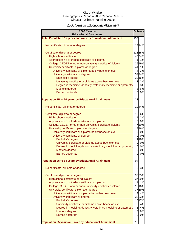### 2006 Census Educational Attainment

| 2006 Census<br><b>Educational Attainment</b>                        |                         | Ojibway |
|---------------------------------------------------------------------|-------------------------|---------|
| <b>Total Population 15 years and over by Educational Attainment</b> | 133                     |         |
| No certificate, diploma or degree                                   |                         | 18 14%  |
|                                                                     |                         | 11385%  |
| Certificate, diploma or degree<br><b>High school certificate</b>    |                         | 4534%   |
| Apprenticeship or trades certificate or diploma                     | 11                      | 1%      |
| College, CEGEP or other non-university certificate/diploma          |                         | 25 19%  |
| University certificate, diploma or degree                           |                         | 4131%   |
| University certificate or diploma below bachelor level              | 41                      | 3%      |
| University certificate or degree                                    |                         | 32 24%  |
| Bachelor's degree                                                   |                         | 2015%   |
| University certificate or diploma above bachelor level              | $\overline{\mathbf{3}}$ | 3%      |
| Degree in medicine, dentistry, veterinary medicine or optometry     |                         | 3 3%    |
| Master's degree                                                     |                         | 8 6%    |
| <b>Earned doctorate</b>                                             |                         | 0 0%    |
|                                                                     |                         |         |
| <b>Population 15 to 24 years by Educational Attainment</b>          | 23                      |         |
| No certificate, diploma or degree                                   |                         | 1044%   |
| Certificate, diploma or degree                                      |                         | 1356%   |
| High school certificate                                             | $\mathbf{1}$            | 2%      |
| Apprenticeship or trades certificate or diploma                     |                         | 0 0%    |
| College, CEGEP or other non-university certificate/diploma          |                         | 730%    |
| University certificate, diploma or degree                           |                         | 4 16%   |
| University certificate or diploma below bachelor level              |                         | 0 0%    |
| University certificate or degree                                    | 01                      | 0%      |
| Bachelor's degree                                                   |                         | 4 16%   |
| University certificate or diploma above bachelor level              | $\overline{0}$          | 0%      |
| Degree in medicine, dentistry, veterinary medicine or optometry     | $\overline{0}$          | 0%      |
| Master's degree                                                     | $\overline{0}$          | 0%      |
| <b>Earned doctorate</b>                                             | <sub>o</sub>            | 0%      |
| <b>Population 25 to 64 years by Educational Attainment</b>          | 95                      |         |
| No certificate, diploma or degree                                   | 3                       | 3%      |
| Certificate, diploma or degree                                      |                         | 9095%   |
| High school certificate or equivalent                               |                         | 3739%   |
| Apprenticeship or trades certificate or diploma                     | 11                      | 1%      |
| College, CEGEP or other non-university certificate/diploma          |                         | 15 16%  |
| University certificate, diploma or degree                           |                         | 3739%   |
| University certificate or diploma below bachelor level              | 41                      | 4%      |
| University certificate or degree                                    |                         | 3233%   |
| Bachelor's degree                                                   |                         | 1617%   |
| University certificate or diploma above bachelor level              | $\overline{3}$          | 4%      |
| Degree in medicine, dentistry, veterinary medicine or optometry     | $\overline{3}$          | 4%      |
| Master's degree                                                     | 8                       | 9%      |
| <b>Earned doctorate</b>                                             | $\overline{0}$          | 0%      |
| Population 65 years and over by Educational Attainment              | 15                      |         |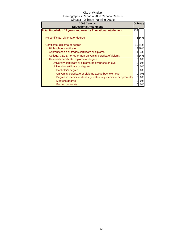| 2006 Census<br><b>Educational Attainment</b>                        |     | Ojibway |
|---------------------------------------------------------------------|-----|---------|
| <b>Total Population 15 years and over by Educational Attainment</b> | 133 |         |
| No certificate, diploma or degree                                   |     | 534%    |
| Certificate, diploma or degree                                      |     | 1064%   |
| High school certificate                                             |     | 749%    |
| Apprenticeship or trades certificate or diploma                     |     | 4%      |
| College, CEGEP or other non-university certificate/diploma          |     | 424%    |
| University certificate, diploma or degree                           | O   | 0%      |
| University certificate or diploma below bachelor level              | 0   | 0%      |
| University certificate or degree                                    | 0   | 0%      |
| Bachelor's degree                                                   | 0   | 0%      |
| University certificate or diploma above bachelor level              | 0   | 0%      |
| Degree in medicine, dentistry, veterinary medicine or optometry     | ΩI  | 0%      |
| Master's degree                                                     | 0   | 0%      |
| Earned doctorate                                                    |     | 0%      |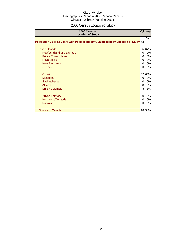## 2006 Census Location of Study

| 2006 Census<br><b>Location of Study</b>                                            |          | <b>Ojibway</b> |
|------------------------------------------------------------------------------------|----------|----------------|
| Population 25 to 64 years with Postsecondary Qualification by Location of Study 53 |          | $\%$           |
| <b>Inside Canada</b>                                                               | 35       | 67%            |
| Newfoundland and Labrador                                                          | 0        | 0%             |
| <b>Prince Edward Island</b>                                                        | 0        | 0%             |
| Nova Scotia                                                                        | 0        | 0%             |
| <b>New Brunswick</b>                                                               | 0        | 0%             |
| Quebec                                                                             | $\Omega$ | 0%             |
| Ontario                                                                            | 32       | 60%            |
| <b>Manitoba</b>                                                                    | $\Omega$ | 0%             |
| Saskatchewan                                                                       | 0        | 0%             |
| Alberta                                                                            | 3        | 6%             |
| <b>British Columbia</b>                                                            | 3        | 6%             |
| <b>Yukon Territory</b>                                                             | 0        | 0%             |
| <b>Northwest Territories</b>                                                       | 0        | 0%             |
| <b>Nunavut</b>                                                                     | 0        | 0%             |
|                                                                                    |          |                |
| <b>Outside of Canada</b>                                                           | 18       | 34%            |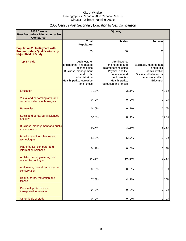## 2006 Census Post Secondary Education by Sex Comparison

| 2006 Census<br><b>Post Secondary Education by Sex</b><br>Comparison                                     |                                                                                                                                                               |       | <b>Ojibway</b>                                                                                                                                             |        |                                                                                                                 |       |
|---------------------------------------------------------------------------------------------------------|---------------------------------------------------------------------------------------------------------------------------------------------------------------|-------|------------------------------------------------------------------------------------------------------------------------------------------------------------|--------|-----------------------------------------------------------------------------------------------------------------|-------|
|                                                                                                         | <b>Total</b>                                                                                                                                                  |       | <b>Males</b>                                                                                                                                               |        | <b>Females</b>                                                                                                  |       |
| Population 25 to 64 years with<br><b>Postsecondary Qualifications by</b><br><b>Major Field of Study</b> | <b>Population</b><br>53                                                                                                                                       |       | 30                                                                                                                                                         |        | 23                                                                                                              |       |
| <b>Top 3 Fields</b>                                                                                     | Architecture,<br>engineering, and related<br>technologies<br>Business, management<br>and public<br>administration<br>Health, parks, recreation<br>and fitness |       | Architecture.<br>engineering, and<br>related technologies<br>Physical and life<br>sciences and<br>technologies<br>Health, parks,<br>recreation and fitness |        | Business, management<br>and public<br>administration<br>Social and behavioural<br>sciences and law<br>Education |       |
| Education                                                                                               |                                                                                                                                                               | 713%  |                                                                                                                                                            | 311%   |                                                                                                                 | 4 16% |
| Visual and performing arts, and<br>communications technologies                                          | $\overline{0}$                                                                                                                                                | 0%    | 0                                                                                                                                                          | 0%     | 0                                                                                                               | 0%    |
| <b>Humanities</b>                                                                                       | <sub>0</sub>                                                                                                                                                  | 0%    | 0                                                                                                                                                          | 1%     | 0                                                                                                               | 0%    |
| Social and behavioural sciences<br>and law                                                              |                                                                                                                                                               | 510%  | $\overline{0}$                                                                                                                                             | 1%     |                                                                                                                 | 522%  |
| Business, management and public<br>administration                                                       |                                                                                                                                                               | 9 17% |                                                                                                                                                            | 311%   |                                                                                                                 | 625%  |
| Physical and life sciences and<br>technologies                                                          |                                                                                                                                                               | 5 10% |                                                                                                                                                            | 517%   | 0                                                                                                               | 0%    |
| Mathematics, computer and<br>information sciences                                                       | $\overline{O}$                                                                                                                                                | 1%    | $\overline{0}$                                                                                                                                             | 0%     | $\Omega$                                                                                                        | 2%    |
| Architecture, engineering, and<br>related technologies                                                  |                                                                                                                                                               | 1426% |                                                                                                                                                            | 1035%  |                                                                                                                 | 3 15% |
| Agriculture, natural resources and<br>conservation                                                      | $\overline{0}$                                                                                                                                                | 0%    | 0                                                                                                                                                          | 0%     | 0                                                                                                               | 0%    |
| Health, parks, recreation and<br>fitness                                                                |                                                                                                                                                               | 714%  |                                                                                                                                                            | 4 1 2% |                                                                                                                 | 4 16% |
| Personal, protective and<br>transportation services                                                     | $\overline{0}$                                                                                                                                                | 0%    | $\overline{0}$                                                                                                                                             | 0%     | $\overline{0}$                                                                                                  | 0%    |
| Other fields of study                                                                                   | $\overline{0}$                                                                                                                                                | 0%    | $\overline{0}$                                                                                                                                             | 0%     | 0                                                                                                               | 0%    |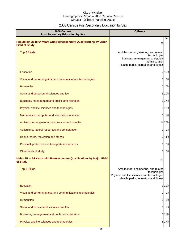# 2006 Census Post Secondary Education by Sex

| 2006 Census<br><b>Post Secondary Education by Sex</b>                                         | <b>Ojibway</b>                                                                                                                                       |
|-----------------------------------------------------------------------------------------------|------------------------------------------------------------------------------------------------------------------------------------------------------|
| Population 25 to 64 years with Postsecondary Qualifications by Major<br><b>Field of Study</b> | %<br>53                                                                                                                                              |
| <b>Top 3 Fields</b>                                                                           | Architecture, engineering, and related<br>technologies<br>Business, management and public<br>administration<br>Health, parks, recreation and fitness |
| Education                                                                                     | 713%                                                                                                                                                 |
| Visual and performing arts, and communications technologies                                   | 0%<br>O                                                                                                                                              |
| <b>Humanities</b>                                                                             | 0%<br>0                                                                                                                                              |
| Social and behavioural sciences and law                                                       | 5 10%                                                                                                                                                |
| Business, management and public administration                                                | 9 17%                                                                                                                                                |
| Physical and life sciences and technologies                                                   | 5 10%                                                                                                                                                |
| Mathematics, computer and information sciences                                                | 1%<br>0                                                                                                                                              |
| Architecture, engineering, and related technologies                                           | 1426%                                                                                                                                                |
| Agriculture, natural resources and conservation                                               | 0%<br>01                                                                                                                                             |
| Health, parks, recreation and fitness                                                         | 714%                                                                                                                                                 |
| Personal, protective and transportation services                                              | 0%<br><sub>0</sub>                                                                                                                                   |
| Other fields of study                                                                         | 0%<br>01                                                                                                                                             |
| Males 25 to 64 Years with Postsecondary Qualifications by Major Field<br>of Study             | 30                                                                                                                                                   |
| <b>Top 3 Fields</b>                                                                           | Architecture, engineering, and related<br>technologies                                                                                               |
|                                                                                               | Physical and life sciences and technologies<br>Health, parks, recreation and fitness                                                                 |
| <b>Education</b>                                                                              | 311%                                                                                                                                                 |
| Visual and performing arts, and communications technologies                                   | 0%<br>0                                                                                                                                              |
| <b>Humanities</b>                                                                             | 0.1%                                                                                                                                                 |
| Social and behavioural sciences and law                                                       | 0.1%                                                                                                                                                 |
| Business, management and public administration                                                | 311%                                                                                                                                                 |
| Physical and life sciences and technologies                                                   | 5 17%                                                                                                                                                |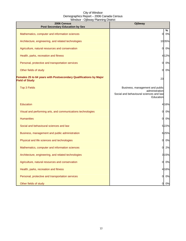| 2006 Census<br><b>Post Secondary Education by Sex</b>                                      | <b>Ojibway</b>                                                                                            |
|--------------------------------------------------------------------------------------------|-----------------------------------------------------------------------------------------------------------|
| Mathematics, computer and information sciences                                             | %<br>0%<br>$\Omega$                                                                                       |
| Architecture, engineering, and related technologies                                        | 1035%                                                                                                     |
| Agriculture, natural resources and conservation                                            | 0%<br>0                                                                                                   |
| Health, parks, recreation and fitness                                                      | 412%                                                                                                      |
| Personal, protective and transportation services                                           | 0%<br>O                                                                                                   |
| Other fields of study                                                                      | 0%<br>$\Omega$                                                                                            |
| Females 25 to 64 years with Postsecondary Qualifications by Major<br><b>Field of Study</b> | 23                                                                                                        |
| <b>Top 3 Fields</b>                                                                        | Business, management and public<br>administration<br>Social and behavioural sciences and law<br>Education |
| Education                                                                                  | 4 16%                                                                                                     |
| Visual and performing arts, and communications technologies                                | 0<br>0%                                                                                                   |
| <b>Humanities</b>                                                                          | 0%<br>0                                                                                                   |
| Social and behavioural sciences and law                                                    | 522%                                                                                                      |
| Business, management and public administration                                             | 625%                                                                                                      |
| Physical and life sciences and technologies                                                | 0%<br>Ol                                                                                                  |
| Mathematics, computer and information sciences                                             | 2%<br><sub>0</sub>                                                                                        |
| Architecture, engineering, and related technologies                                        | 3 1 5%                                                                                                    |
| Agriculture, natural resources and conservation                                            | 0%<br>0                                                                                                   |
| Health, parks, recreation and fitness                                                      | 4 16%                                                                                                     |
| Personal, protective and transportation services                                           | 0%<br>O                                                                                                   |
| Other fields of study                                                                      | 0%<br>0                                                                                                   |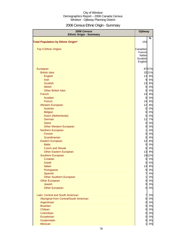# 2006 Census Ethnic Origin - Summary

| 2006 Census<br><b>Ethnic Origin - Summary</b> | <b>Ojibway</b>       |          |
|-----------------------------------------------|----------------------|----------|
|                                               |                      | %        |
| <b>Total Population by Ethnic Origin*</b>     | 154                  |          |
| <b>Top 5 Ethnic Origins</b>                   | Canadian             |          |
|                                               | French               |          |
|                                               | Italian              |          |
|                                               | Scottish             |          |
|                                               | English              |          |
| European                                      |                      | 8757%    |
| <b>British Isles</b>                          |                      | 3221%    |
| English                                       |                      | 13 8%    |
| <b>Irish</b>                                  | 9                    | 6%       |
| <b>Scottish</b>                               | 13                   | 8%       |
| Welsh                                         | $\overline{0}$       | 0%       |
| <b>Other British Isles</b>                    | $\overline{0}$       | 0%       |
| French                                        | 14                   | 9%       |
| Acadian                                       | $\overline{0}$       | 0%       |
| French                                        | 14                   | 9%       |
| <b>Western European</b>                       | 12                   | 8%       |
| Austrian                                      | $\overline{0}$       | 0%       |
| <b>Belgian</b>                                | $\overline{0}$       | 0%       |
| Dutch (Netherlands)                           | $\overline{0}$       | 0%       |
| German                                        | 11                   | 7%       |
| <b>Swiss</b>                                  | $\overline{0}$       | 0%       |
| <b>Other Western European</b>                 | $\overline{0}$       | 0%       |
| Northern European                             | $\mathbf{1}$         | 0%       |
| Finnish                                       | $\mathbf 0$          | 0%       |
| Scandinavian                                  | $\overline{0}$<br>12 | 0%       |
| Eastern European<br><b>Baltic</b>             | $\overline{0}$       | 8%<br>0% |
| <b>Czech and Slovak</b>                       | $\overline{0}$       | 0%       |
| <b>Other Eastern European</b>                 | 13                   | 9%       |
| Southern European                             |                      | 1912%    |
| Croatian                                      | $\overline{0}$       | 0%       |
| Greek                                         | 0                    | 0%       |
| Italian                                       | 13                   | 8%       |
| Portuguese                                    | $\overline{0}$       | $0\%$    |
| Spanish                                       | $\overline{7}$       | 4%       |
| <b>Other Southern European</b>                | 1                    | 0%       |
| <b>Other European</b>                         | $\overline{0}$       | 0%       |
| <b>Jewish</b>                                 | $\overline{0}$       | 0%       |
| <b>Other European</b>                         | $\overline{0}$       | 0%       |
| Latin, Central and South American             | $\overline{7}$       | 5%       |
| Aboriginal from Central/South American        | $\overline{0}$       | 0%       |
| Argentinian                                   | $\overline{O}$       | 0%       |
| <b>Brazilian</b>                              | $\overline{0}$       | 0%       |
| Chilean                                       | $\overline{0}$       | 0%       |
| Colombian                                     | $\overline{0}$       | 0%       |
| Ecuadorian                                    | $\overline{O}$       | 0%       |
| Guatemalan                                    | $\overline{O}$       | $0\%$    |
| Mexican                                       | 1                    | 0%       |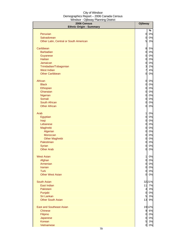| 2006 Census<br><b>Ethnic Origin - Summary</b> | <b>Ojibway</b>               |          |
|-----------------------------------------------|------------------------------|----------|
|                                               |                              | %        |
| Peruvian                                      | $\mathsf{d}$                 | 0%       |
| Salvadorean                                   | $\mathbf{0}$                 | 0%       |
| Other Latin, Central or South American        | 5                            | 3%       |
| Caribbean                                     | 8                            | 5%       |
| <b>Barbadian</b>                              | $\mathbf{0}$                 | 0%       |
| Guyanese                                      | $\mathbf{0}$                 | 0%       |
| <b>Haitian</b>                                | $\mathbf{0}$                 | 0%       |
| Jamaican                                      | $\mathbf{0}$                 | 0%       |
| Trinidadian/Tobagonian<br><b>West Indian</b>  | $\overline{\mathbf{3}}$<br>7 | 2%<br>4% |
| <b>Other Caribbean</b>                        | $\mathbf{0}$                 | 0%       |
|                                               |                              |          |
| African                                       | $\mathbf{0}$                 | 0%       |
| <b>Black</b>                                  | $\mathbf{0}$                 | 0%       |
| Ethiopian                                     | $\mathbf{0}$                 | 0%       |
| Ghanaian                                      | $\mathbf{0}$                 | 0%       |
| Nigerian                                      | $\mathbf{0}$                 | 0%       |
| Somali<br><b>South African</b>                | $\mathbf{0}$                 | 0%<br>0% |
| <b>Other African</b>                          | $\mathbf{0}$<br>$\mathbf{0}$ | 0%       |
|                                               |                              |          |
| Arab                                          | $\mathbf{1}$                 | 0%       |
| Egyptian                                      | $\mathsf{d}$                 | 0%       |
| Iraqi                                         | $\mathsf{d}$                 | 0%       |
| Lebanese                                      | $\mathbf{0}$<br>$\mathbf{0}$ | 0%       |
| Maghrebi<br>Algerian                          | $\mathbf{0}$                 | 0%<br>0% |
| Moroccan                                      | $\overline{0}$               | 0%       |
| <b>Other Maghrebi</b>                         | $\overline{0}$               | 0%       |
| Palestinian                                   | $\overline{0}$               | 0%       |
| Syrian                                        | $\overline{0}$               | 0%       |
| <b>Other Arab</b>                             | $\overline{0}$               | 0%       |
| <b>West Asian</b>                             | $\mathbf{1}$                 | 0%       |
| Afghan                                        | $\mathbf{0}$                 | 0%       |
| Armenian                                      | $\overline{0}$               | 0%       |
| <b>Iranian</b>                                | $\mathbf{0}$                 | 0%       |
| <b>Turk</b>                                   | $\mathbf{0}$                 | 0%       |
| <b>Other West Asian</b>                       | $\mathsf{d}$                 | 0%       |
| <b>South Asian</b>                            |                              | 3221%    |
| East Indian                                   | 11                           | 7%       |
| Pakistani                                     | $\overline{4}$               | 3%       |
| Punjabi                                       | $\mathsf{d}$                 | 0%       |
| Sri Lankan                                    | 5                            | 3%       |
| <b>Other South Asian</b>                      | 13                           | 9%       |
| <b>East and Southeast Asian</b>               |                              | 1912%    |
| <b>Chinese</b>                                | 9                            | 6%       |
| Filipino                                      | $\overline{0}$               | 0%       |
| Japanese                                      | $\overline{0}$               | 0%       |
| <b>Korean</b><br>Vietnamese                   | 5<br>$\overline{0}$          | 3%<br>0% |
|                                               |                              |          |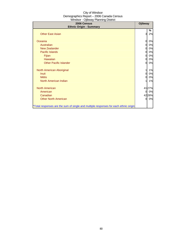| 2006 Census<br><b>Ethnic Origin - Summary</b>                                        | <b>Ojibway</b> |       |
|--------------------------------------------------------------------------------------|----------------|-------|
|                                                                                      |                | %     |
| <b>Other East Asian</b>                                                              | 3              | 2%    |
| Oceania                                                                              | 0              | 0%    |
| Australian                                                                           | $\overline{0}$ | 0%    |
| <b>New Zealander</b>                                                                 | 0              | 0%    |
| <b>Pacific Islands</b>                                                               | 0              | 0%    |
| Fijian                                                                               | 0              | 0%    |
| Hawaiian                                                                             | $\overline{0}$ | 0%    |
| <b>Other Pacific Islander</b>                                                        | 0              | 0%    |
| North American Aboriginal                                                            | 1              | 1%    |
| <b>Inuit</b>                                                                         | 0              | 0%    |
| <b>Métis</b>                                                                         | 0              | 0%    |
| North American Indian                                                                | 1              | 1%    |
| <b>North American</b>                                                                |                | 4127% |
| American                                                                             | $\mathbf{0}$   | 0%    |
| Canadian                                                                             |                | 4228% |
| <b>Other North American</b>                                                          | $\overline{0}$ | 0%    |
| *Total responses are the sum of single and multiple responses for each ethnic origin |                |       |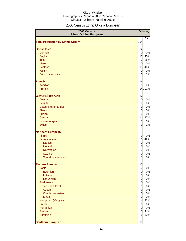## 2006 Census Ethnic Origin - European

| 2006 Census<br><b>Ethnic Origin - European</b> |                 | Ojibway  |
|------------------------------------------------|-----------------|----------|
|                                                |                 | %        |
| <b>Total Population by Ethnic Origin*</b>      | 154             |          |
| <b>British Isles</b>                           | 32              |          |
| Cornish                                        | $\mathbf 0$     | 0%       |
| English                                        |                 | 13 40%   |
| <b>Irish</b>                                   | 9               | 28%      |
| <b>Manx</b>                                    | $\overline{0}$  | 0%       |
| <b>Scottish</b>                                | 13              | 40%      |
| Welsh                                          | $\overline{0}$  | 0%       |
| British Isles, n.i.e.                          | $\overline{0}$  | 1%       |
| <b>French</b>                                  | 14              |          |
| Acadian                                        | $\Omega$        | 0%       |
| French                                         |                 | 14 10 1% |
| <b>Western European</b>                        | 12              |          |
| Austrian                                       | $\overline{0}$  | 0%       |
| <b>Belgian</b>                                 | $\overline{0}$  | 0%       |
| Dutch (Netherlands)                            | $\overline{0}$  | 0%       |
| Flemish                                        | $\overline{0}$  | 0%       |
| Frisian                                        | $\overline{0}$  | 0%       |
| German                                         | 11              | 97%      |
| Luxembourger                                   | $\overline{0}$  | 0%       |
| <b>Swiss</b>                                   | $\overline{0}$  | 2%       |
| <b>Northern European</b>                       | $\mathbf{1}$    |          |
| Finnish                                        | $\overline{0}$  | 0%       |
| Scandinavian                                   | $\overline{0}$  | 42%      |
| <b>Danish</b>                                  | $\overline{0}$  | 0%       |
| Icelandic                                      | $\overline{0}$  | 0%       |
| Norwegian                                      | $\overline{0}$  | 0%       |
| <b>Swedish</b>                                 | $\mathbf 0$     | 0%       |
| Scandinavian, n.i.e.                           | $\overline{0}$  | 0%       |
| <b>Eastern European</b>                        | 12              |          |
| <b>Baltic</b>                                  | $\overline{0}$  | $0\%$    |
| Estonian                                       | $\overline{0}$  | 0%       |
| Latvian                                        | $\overline{0}$  | 0%       |
| Lithuanian                                     | $\overline{0}$  | 0%       |
| <b>Byelorussian</b>                            | $\overline{0}$  | 0%       |
| <b>Czech and Slovak</b>                        | $\overline{0}$  | 0%       |
| <b>Czech</b>                                   | $\overline{0}$  | 0%       |
| Czechoslovakian                                | $\overline{0}$  | 0%       |
| <b>Slovak</b>                                  | $\overline{0}$  | 0%       |
| Hungarian (Magyar)                             | $\overline{4}$  | 32%      |
| <b>Polish</b>                                  | $\overline{0}$  | 0%       |
| Romanian                                       | $\overline{0}$  | 0%       |
| <b>Russian</b>                                 | 5               | 44%      |
| <b>Ukrainian</b>                               | $5\overline{a}$ | 39%      |
| <b>Southern European</b>                       | 19              |          |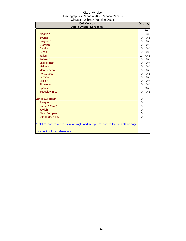| $\sim$ poway mammig Diomor<br>2006 Census                                            |                | Ojibway |
|--------------------------------------------------------------------------------------|----------------|---------|
| <b>Ethnic Origin - European</b>                                                      |                |         |
|                                                                                      |                | %       |
| Albanian                                                                             | $\mathbf{1}$   | 3%      |
| <b>Bosnian</b>                                                                       | 0              | 0%      |
| <b>Bulgarian</b>                                                                     | $\overline{0}$ | 0%      |
| Croatian                                                                             | 0              | 0%      |
| Cypriot                                                                              | $\mathbf 0$    | 0%      |
| <b>Greek</b>                                                                         | $\overline{0}$ | 0%      |
| Italian                                                                              | 13             | 70%     |
| Kosovar                                                                              | $\overline{0}$ | 0%      |
| Macedonian                                                                           | $\overline{0}$ | 0%      |
| <b>Maltese</b>                                                                       | 0              | 0%      |
| Montenegrin                                                                          | $\overline{0}$ | 0%      |
| Portuguese                                                                           | $\overline{O}$ | 0%      |
| Serbian                                                                              | $\overline{0}$ | 0%      |
| <b>Sicilian</b>                                                                      | $\overline{0}$ | 0%      |
| Slovenian                                                                            | 0              | 0%      |
| Spanish                                                                              | $\overline{7}$ | 36%     |
| Yugoslav, n.i.e.                                                                     | 0              | 0%      |
| <b>Other European</b>                                                                | $\mathbf 0$    |         |
| <b>Basque</b>                                                                        | $\mathbf 0$    |         |
| Gypsy (Roma)                                                                         | $\mathbf 0$    |         |
| <b>Jewish</b>                                                                        | $\mathbf 0$    |         |
| Slav (European)                                                                      | $\mathbf 0$    |         |
| European, n.i.e.                                                                     | $\mathbf 0$    |         |
| *Total responses are the sum of single and multiple responses for each ethnic origin |                |         |
| n.i.e.: not included elsewhere                                                       |                |         |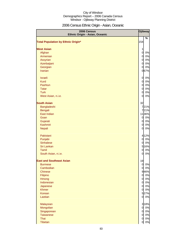## 2006 Census Ethnic Origin - Asian, Oceanic

| Ojibway<br>2006 Census<br>Ethnic Origin - Asian, Oceanic |                         |
|----------------------------------------------------------|-------------------------|
| <b>Total Population by Ethnic Origin*</b>                | %<br>154                |
| <b>West Asian</b>                                        | $\mathbf{1}$            |
| Afghan                                                   | $\overline{0}$<br>0%    |
| Armenian                                                 | $\overline{0}$<br>0%    |
| Assyrian                                                 | 0%<br>$\overline{0}$    |
| Azerbaijani                                              | 0%<br>$\overline{0}$    |
| Georgian                                                 | 0%<br>0                 |
| <b>Iranian</b>                                           | 067%                    |
| <b>Israeli</b>                                           | 0%<br>$\overline{0}$    |
| <b>Kurd</b>                                              | $\overline{0}$<br>0%    |
| Pashtun                                                  | $\overline{0}$<br>0%    |
| <b>Tatar</b>                                             | $\overline{0}$<br>0%    |
| <b>Turk</b>                                              | $\mathbf 0$<br>0%       |
| West Asian, n.i.e.                                       | 0%<br>$\overline{0}$    |
| <b>South Asian</b>                                       | 32                      |
| Bangladeshi                                              | 721%                    |
| Bengali                                                  | 721%                    |
| <b>East Indian</b>                                       | 1136%                   |
| Goan                                                     | 0%<br>$\overline{0}$    |
| Gujarati                                                 | $\overline{0}$<br>$0\%$ |
| <b>Kashmiri</b>                                          | $\overline{0}$<br>0%    |
| <b>Nepali</b>                                            | $\mathbf 0$<br>0%       |
| Pakistani                                                | 4 12%                   |
| Punjabi                                                  | $\overline{0}$<br>0%    |
| <b>Sinhalese</b>                                         | $\overline{0}$<br>0%    |
| Sri Lankan                                               | 5 16%                   |
| Tamil                                                    | $\overline{0}$<br>0%    |
| South Asian, n.i.e.                                      | 0%<br>$\overline{0}$    |
| <b>East and Southeast Asian</b>                          | 19                      |
| <b>Burmese</b>                                           | $\overline{0}$<br>$0\%$ |
| Cambodian                                                | 0%<br>$\overline{0}$    |
| <b>Chinese</b>                                           | 946%                    |
| Filipino                                                 | 0 0%                    |
| Hmong                                                    | $\overline{0}$<br>0%    |
| Indonesian                                               | $\overline{0}$<br>0%    |
| Japanese                                                 | 0%<br>$\overline{O}$    |
| <b>Khmer</b>                                             | 0%<br>$\overline{0}$    |
| Korean                                                   | 527%                    |
| Laotian                                                  | $\mathsf{d}$<br>0%      |
| Malaysian                                                | 3 18%                   |
| Mongolian                                                | 0%<br>$\overline{0}$    |
| Singaporean                                              | 0%<br>$\overline{0}$    |
| <b>Taiwanese</b>                                         | $\overline{0}$<br>0%    |
| Thai                                                     | 0%<br>$\overline{0}$    |
| Tibetan                                                  | $0\%$<br>$\overline{0}$ |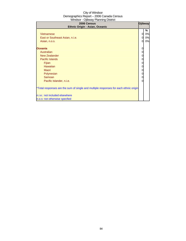| 2006 Census<br>Ethnic Origin - Asian, Oceanic                                        |             | Ojibway |
|--------------------------------------------------------------------------------------|-------------|---------|
|                                                                                      |             | %       |
| <b>Vietnamese</b>                                                                    | 0           | 0%      |
| East or Southeast Asian, n.i.e.                                                      | 0           | 0%      |
| Asian, n.o.s.                                                                        | $\mathbf 0$ | 0%      |
|                                                                                      |             |         |
| <b>Oceania</b>                                                                       | 0           |         |
| Australian                                                                           | 0           |         |
| New Zealander                                                                        | 0           |         |
| Pacific Islands                                                                      | 0           |         |
| Fijian                                                                               | 0           |         |
| Hawaiian                                                                             | 0           |         |
| Maori                                                                                | 0           |         |
| Polynesian                                                                           | 0           |         |
| Samoan                                                                               | 0           |         |
| Pacific Islander, n.i.e.                                                             | 0           |         |
| *Total responses are the sum of single and multiple responses for each ethnic origin |             |         |
| n.i.e.: not included elsewhere                                                       |             |         |
| n.o.s: not otherwise specfied                                                        |             |         |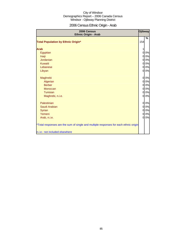## 2006 Census Ethnic Origin - Arab

| 2006 Census<br><b>Ethnic Origin - Arab</b>                                           | <b>Ojibway</b> |       |
|--------------------------------------------------------------------------------------|----------------|-------|
| <b>Total Population by Ethnic Origin*</b>                                            | 154            | %     |
| <b>Arab</b>                                                                          |                |       |
| Egyptian                                                                             | $\overline{0}$ | 0%    |
| Iraqi                                                                                | $\overline{0}$ | 0%    |
| <b>Jordanian</b>                                                                     | $\overline{0}$ | 0%    |
| <b>Kuwaiti</b>                                                                       | $\overline{0}$ | 0%    |
| Lebanese                                                                             | $\overline{0}$ | 0%    |
| Libyan                                                                               | $\overline{0}$ | 0%    |
| Maghrebi                                                                             | $\overline{0}$ | 0%    |
| Algerian                                                                             | $\overline{0}$ | 0%    |
| <b>Berber</b>                                                                        | $\overline{0}$ | $0\%$ |
| Moroccan                                                                             | $\overline{0}$ | 0%    |
| Tunisian                                                                             | $\overline{0}$ | 0%    |
| Maghrebi, n.i.e.                                                                     | $\overline{0}$ | 0%    |
| Palestinian                                                                          | $\overline{0}$ | 0%    |
| Saudi Arabian                                                                        | $\overline{0}$ | $0\%$ |
| Syrian                                                                               | $\overline{0}$ | 0%    |
| Yemeni                                                                               | $\overline{0}$ | 0%    |
| Arab, n.i.e.                                                                         | $\overline{0}$ | 0%    |
| *Total responses are the sum of single and multiple responses for each ethnic origin |                |       |
| n.i.e.: not included elsewhere                                                       |                |       |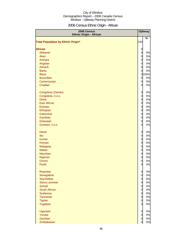## 2006 Census Ethnic Origin - African

| 2006 Census<br><b>Ethnic Origin - African</b> |                | Ojibway |
|-----------------------------------------------|----------------|---------|
| <b>Total Population by Ethnic Origin*</b>     | 154            | %       |
|                                               |                |         |
| <b>African</b>                                | $\overline{O}$ |         |
| Afrikaner                                     | $\mathbf 0$    | 0%      |
| Akan                                          | $\mathbf 0$    | 0%      |
| Amhara                                        | $\mathbf 0$    | 0%      |
| Angolan                                       | $\mathbf 0$    | 0%      |
| Ashanti                                       | $\overline{0}$ | 0%      |
| <b>Bantu</b>                                  | $\overline{0}$ | 0%      |
| <b>Black</b>                                  |                | 0 100%  |
| <b>Burundian</b>                              | $\mathbf 0$    | 0%      |
| Cameroonian                                   | $\overline{0}$ | 0%      |
| Chadian                                       | $\overline{0}$ | 0%      |
| Congolese (Zairian)                           | $\overline{0}$ | 0%      |
| Congolese, n.o.s.                             | $\overline{0}$ | 0%      |
| <b>Dinka</b>                                  | $\overline{0}$ | 0%      |
| <b>East African</b>                           | $\overline{0}$ | 0%      |
| Eritrean                                      | $\overline{0}$ | 0%      |
| Ethiopian                                     | $\overline{0}$ | 0%      |
| Gabonese                                      | $\overline{0}$ | $0\%$   |
| Gambian                                       | $\overline{0}$ | $0\%$   |
| Ghanaian                                      | $\overline{0}$ | 0%      |
| Guinean, n.o.s.                               | 0              | 0%      |
| Harari                                        | 0              | 0%      |
| Ibo                                           | $\overline{0}$ | 0%      |
| <b>Ivorian</b>                                | $\overline{0}$ | 0%      |
| Kenyan                                        | $\overline{0}$ | 0%      |
| Malagasy                                      | $\overline{0}$ | 0%      |
| <b>Malian</b>                                 | $\overline{0}$ | 0%      |
| <b>Mauritian</b>                              | $\overline{0}$ | $0\%$   |
| Nigerian                                      | $\overline{0}$ | $0\%$   |
| Oromo                                         | 0              | 0%      |
| Peulh                                         | 0              | $0\%$   |
| Rwandan                                       | 0              | 0%      |
| Senegalese                                    | $\mathbf 0$    | 0%      |
| <b>Seychellois</b>                            | $\overline{0}$ | 0%      |
| Sierra Leonean                                | $\mathbf 0$    | 0%      |
| Somali                                        | $\mathbf 0$    | 0%      |
| South African                                 | $\mathbf 0$    | 0%      |
| <b>Sudanese</b>                               | $\mathbf 0$    | 0%      |
| Tanzanian                                     | $\overline{O}$ | 0%      |
| Tigrian                                       | $\overline{O}$ | $0\%$   |
| <b>Togolese</b>                               | 0              | $0\%$   |
| Ugandan                                       | $\overline{O}$ | $0\%$   |
| Yoruba                                        | $\mathbf 0$    | $0\%$   |
| Zambian                                       | $\mathbf 0$    | $0\%$   |
| Zimbabwean                                    | $\overline{0}$ | 0%      |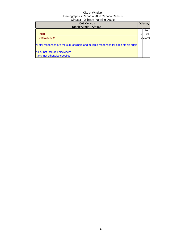| 2006 Census<br><b>Ethnic Origin - African</b>                                                                                                           | <b>Ojibway</b>  |
|---------------------------------------------------------------------------------------------------------------------------------------------------------|-----------------|
| Zulu<br>African, n.i.e.                                                                                                                                 | %<br>0%<br>100% |
| *Total responses are the sum of single and multiple responses for each ethnic origin<br>n.i.e.: not included elsewhere<br>n.o.s: not otherwise specfied |                 |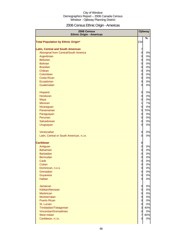## 2006 Census Ethnic Origin - Americas

| 2006 Census<br><b>Ethnic Origin - Americas</b> |                               | Ojibway  |
|------------------------------------------------|-------------------------------|----------|
| <b>Total Population by Ethnic Origin*</b>      | 154                           | %        |
|                                                |                               |          |
| <b>Latin, Central and South American</b>       | 7                             |          |
| Aboriginal from Central/South America          | $\overline{O}$                | 0%       |
| Argentinian                                    | $\overline{O}$                | 0%       |
| <b>Belizean</b>                                | $\mathbf 0$                   | 0%       |
| <b>Bolivian</b>                                | $\overline{0}$                | 0%       |
| <b>Brazilian</b>                               | $\mathbf 0$                   | 0%       |
| Chilean                                        | $\overline{O}$                | 0%       |
| Colombian                                      | $\overline{O}$                | 0%       |
| <b>Costa Rican</b>                             | $\mathbf 0$                   | 0%       |
| Ecuadorian                                     | $\overline{0}$                | 0%       |
| Guatemalan                                     | 0                             | 0%       |
|                                                | $\mathbf 0$                   | 0%       |
| Hispanic<br>Honduran                           | $\overline{0}$                | 0%       |
| Maya                                           | $\overline{0}$                | 0%       |
| Mexican                                        | $\mathbf{1}$                  | 7%       |
| Nicaraguan                                     | $\mathbf 0$                   | 0%       |
| Panamanian                                     | 5                             | 70%      |
| Paraguayan                                     | $\mathbf 0$                   | 0%       |
| Peruvian                                       | $\overline{O}$                | 0%       |
| Salvadorean                                    | $\mathbf 0$                   | 0%       |
| Uruguayan                                      | 0                             | 0%       |
|                                                |                               |          |
| Venezuelan                                     | $\mathbf 0$                   | 0%       |
| Latin, Central or South American, n.i.e.       | 0                             | 0%       |
|                                                |                               |          |
| <b>Caribbean</b>                               | 8                             |          |
| Antiguan                                       | $\mathbf 0$                   | 0%       |
| <b>Bahamian</b>                                | $\mathbf 0$                   | 0%       |
| <b>Barbadian</b>                               | $\mathbf 0$                   | 0%       |
| <b>Bermudan</b><br>Carib                       | $\mathbf 0$                   | 0%<br>0% |
|                                                | $\mathbf 0$<br>$\overline{0}$ | 0%       |
| Cuban<br>Dominican, n.o.s.                     | $\overline{O}$                | 0%       |
| Grenadian                                      | $\overline{O}$                | 0%       |
| Guyanese                                       | $\overline{0}$                | $0\%$    |
| Haitian                                        | $\overline{0}$                | 0%       |
|                                                |                               |          |
| Jamaican                                       | $\overline{0}$                | 0%       |
| Kittitian/Nevisian                             | $\overline{O}$                | 0%       |
| <b>Martinican</b>                              | $\overline{0}$                | 0%       |
| Montserratan                                   | $\overline{0}$                | 0%       |
| <b>Puerto Rican</b>                            | $\overline{0}$                | 0%       |
| St. Lucian                                     | $\mathbf 0$                   | 0%       |
| Trinidadian/Tobagonian                         | $\overline{\mathbf{3}}$       | 40%      |
| Vincentian/Grenadinian                         | $\mathbf 0$                   | 0%       |
| <b>West Indian</b>                             | $\overline{7}$                | 80%      |
| Caribbean, n.i.e.                              | 0                             | 0%       |
|                                                |                               |          |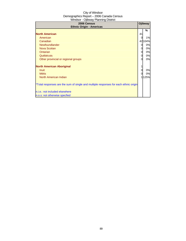| 2006 Census<br><b>Ethnic Origin - Americas</b>                                       |    | Ojibway |
|--------------------------------------------------------------------------------------|----|---------|
|                                                                                      |    | ℅       |
| <b>North American</b>                                                                | 41 |         |
| American                                                                             |    | 1%      |
| Canadian                                                                             |    | 42104%  |
| Newfoundlander                                                                       | 0  | 0%      |
| <b>Nova Scotian</b>                                                                  | 0  | 0%      |
| Ontarian                                                                             | 0  | 0%      |
| Québécois                                                                            | 0  | 0%      |
| Other provincial or regional groups                                                  | 0  | 0%      |
| <b>North American Aboriginal</b>                                                     |    |         |
| Inuit                                                                                |    | 0%      |
| <b>Métis</b>                                                                         | 0  | 0%      |
| North American Indian                                                                |    | 125%    |
| *Total responses are the sum of single and multiple responses for each ethnic origin |    |         |
| n.i.e.: not included elsewhere                                                       |    |         |
| n.o.s: not otherwise specfied                                                        |    |         |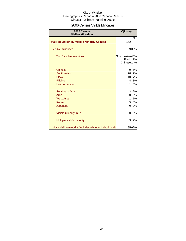| 2006 Census Visible Minorities |  |  |
|--------------------------------|--|--|
|--------------------------------|--|--|

| 2006 Census<br><b>Visible Minorities</b>               | Ojibway                                                |        |
|--------------------------------------------------------|--------------------------------------------------------|--------|
| <b>Total Population by Visible Minority Groups</b>     | 152                                                    | %      |
| <b>Visible minorities</b>                              |                                                        | 5939%  |
| Top 3 visible minorities                               | South Asian 46%<br>Black 17%<br>Chinese <sub>14%</sub> |        |
| <b>Chinese</b>                                         | 9                                                      | 6%     |
| South Asian                                            |                                                        | 28 19% |
| <b>Black</b>                                           | 10                                                     | 7%     |
| Filipino                                               | $\overline{4}$                                         | 3%     |
| <b>Latin American</b>                                  | 1                                                      | 0%     |
| Southeast Asian                                        | $\overline{3}$                                         | 2%     |
| Arab                                                   | 0                                                      | 0%     |
| <b>West Asian</b>                                      | 1                                                      | $1\%$  |
| Korean                                                 | $\overline{5}$                                         | 3%     |
| Japanese                                               | 0                                                      | 0%     |
| Visible minority, n.i.e.                               | 0                                                      | 0%     |
| Multiple visible minority                              | 3                                                      | 2%     |
| Not a visible minority (includes white and aboriginal) |                                                        | 9562%  |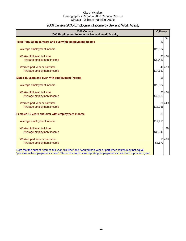## 2006 Census 2005 Employment Income by Sex and Work Activity

| 2006 Census<br>2005 Employment Income by Sex and Work Activity                                                                                                                                                            | Ojibway  |       |
|---------------------------------------------------------------------------------------------------------------------------------------------------------------------------------------------------------------------------|----------|-------|
| <b>Total Population 15 years and over with employment income</b>                                                                                                                                                          | 87       | %     |
| Average employment income                                                                                                                                                                                                 | \$23,922 |       |
| Worked full year, full time<br>Average employment income                                                                                                                                                                  | \$33,483 | 3743% |
| Worked part year or part time<br>Average employment income                                                                                                                                                                | \$14,687 | 4047% |
| Males 15 years and over with employment income                                                                                                                                                                            | 58       |       |
| Average employment income                                                                                                                                                                                                 | \$29,582 |       |
| Worked full year, full time<br>Average employment income                                                                                                                                                                  | \$42,183 | 2543% |
| Worked part year or part time<br>Average employment income                                                                                                                                                                | \$18,265 | 2644% |
| Females 15 years and over with employment income                                                                                                                                                                          | 31       |       |
| Average employment income                                                                                                                                                                                                 | \$12,715 |       |
| Worked full year, full time<br>Average employment income                                                                                                                                                                  | \$38,343 | 5%    |
| Worked part year or part time<br>Average employment income                                                                                                                                                                | \$8,670  | 1549% |
| Note that the sum of "worked full year, full time" and "worked part year or part time" counts may not equal<br>"persons with employment income". This is due to persons reporting employment income from a previous year. |          |       |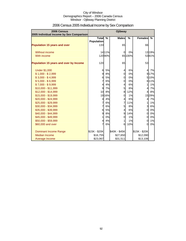| 2006 Census<br>2005 Individual Income by Sex Comparison |                                   | <b>Ojibway</b> |                 |               |                |        |
|---------------------------------------------------------|-----------------------------------|----------------|-----------------|---------------|----------------|--------|
|                                                         | <b>Total</b><br><b>Population</b> | $\frac{9}{6}$  | <b>Males</b>    | $\frac{9}{6}$ | Females        | $\%$   |
| Population 15 years and over                            | 133                               |                | 65              |               | 66             |        |
| Without income                                          |                                   | 1411%          | 0               | 0%            |                | 13 19% |
| With income                                             |                                   | 12090%         |                 | 65 100%       |                | 5381%  |
| Population 15 years and over by Income                  | 120                               |                | 65              |               | 53             |        |
| <b>Under \$1,000</b>                                    | 6                                 | 5%             | 4               | 6%            | 41             | 7%     |
| $$1,000 - $2,999$                                       | 9                                 | 8%             | 0               | 0%            |                | 9 17%  |
| $$3,000 - $4,999$                                       | 6                                 | 5%             | $\overline{0}$  | 0%            |                | 5 10%  |
| $$5,000 - $6,999$                                       | $\overline{7}$                    | 6%             | $\overline{0}$  | 0%            |                | 6 11%  |
| $$7,000 - $9,999$                                       | $\overline{4}$                    | 4%             | $\overline{4}$  | 6%            | $\mathbf{1}$   | 1%     |
| \$10,000 - \$11,999                                     | 9                                 | 7%             | 5               | 8%            | $\overline{4}$ | 7%     |
| \$12,000 - \$14,999                                     | 10                                | 8%             | 8               | 12%           | $\overline{4}$ | 8%     |
| \$15,000 - \$19,999                                     |                                   | 1916%          | 0               | 1%            |                | 1529%  |
| \$20,000 - \$24,999                                     | $\overline{4}$                    | 4%             | $\overline{4}$  | 6%            | $\overline{4}$ | 7%     |
| \$25,000 - \$29,999                                     | $\overline{7}$                    | 6%             | $\overline{7}$  | 11%           | $\mathbf{1}$   | 1%     |
| \$30,000 - \$34,999                                     | $\overline{7}$                    | 6%             | $5\overline{a}$ | 8%            | 3              | 6%     |
| \$35,000 - \$39,999                                     | 6                                 | 5%             | $\overline{4}$  | 6%            | $\overline{0}$ | 0%     |
| \$40,000 - \$44,999                                     | 9                                 | 8%             | 9               | 14%           | $\overline{0}$ | 0%     |
| \$45,000 - \$49,999                                     | $\mathbf{1}$                      | 0%             | 0               | 1%            | $\overline{0}$ | 0%     |
| \$50,000 - \$59,999                                     | $\overline{4}$                    | 4%             | $\mathbf{1}$    | 1%            | $\overline{0}$ | 1%     |
| \$60,000 and over                                       | $\overline{7}$                    | 6%             | 6               | 10%           | $\Omega$       | 0%     |
| Dominant Income Range                                   | \$15K - \$20K                     |                | \$40K - \$45K   |               | \$15K - \$20K  |        |
| <b>Median Income</b>                                    | \$16,755                          |                | \$27,650        |               | \$12,090       |        |
| Average Income                                          | \$23,067                          |                | \$31,511        |               | \$13,106       |        |

## 2006 Census 2005 Individual Income by Sex Comparison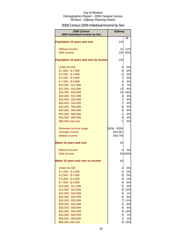## 2006 Census 2005 Individual Income by Sex

| 2006 Census<br>2005 Individual Income by Sex | Ojibway                 |           |
|----------------------------------------------|-------------------------|-----------|
| <b>Population 15 years and over</b>          | 133                     | %         |
|                                              |                         |           |
| Without income                               | 14                      | 11%       |
| With income                                  | 120                     | 90%       |
|                                              | 120                     |           |
| Population 15 years and over by Income       |                         |           |
| <b>Under \$1,000</b>                         | 6                       | 5%        |
| $$1,000 - $2,999$                            | 9                       | 8%        |
| $$3,000 - $4,999$                            | 6                       | 5%        |
| $$5,000 - $6,999$                            | 7                       | 6%        |
| $$7,000 - $9,999$                            | $\overline{4}$          | 4%        |
| \$10,000 - \$11,999                          | 9                       | 7%        |
| \$12,000 - \$14,999                          | 10                      | 8%        |
| \$15,000 - \$19,999                          | 19                      | 16%       |
| \$20,000 - \$24,999                          | 4                       | 4%        |
| \$25,000 - \$29,999                          | 7                       | 6%        |
| \$30,000 - \$34,999                          | 7                       | 6%        |
| \$35,000 - \$39,999                          | 6                       | 5%        |
| \$40,000 - \$44,999                          | 9                       | 8%        |
| \$45,000 - \$49,999                          | 1                       | 0%        |
| \$50,000 - \$59,999                          | 4<br>7                  | 4%        |
| \$60,000 and over                            |                         | 6%        |
| Dominant income range                        | \$15K - \$20K           |           |
| Average income                               | \$23,067                |           |
| <b>Median income</b>                         | \$16,755                |           |
| <b>Males 15 years and over</b>               | 65                      |           |
| <b>Without income</b>                        | 0                       | 0%        |
| With income                                  |                         | 65 100%   |
| <b>Males 15 years and over by Income</b>     | 65                      |           |
|                                              |                         |           |
| <b>Under \$1,000</b>                         | 4                       | 6%        |
| $$1,000 - $2,999$                            | 0                       | 0%        |
| $$3,000 - $4,999$                            | 0                       | 0%        |
| $$5,000 - $6,999$                            | 0                       | 0%        |
| $$7,000 - $9,999$                            | $\overline{\mathbf{r}}$ | 6%        |
| \$10,000 - \$11,999                          | 5                       | 8%        |
| \$12,000 - \$14,999<br>\$15,000 - \$19,999   | 8<br>$\overline{0}$     | 12%<br>1% |
| \$20,000 - \$24,999                          | $\overline{4}$          | 6%        |
| \$25,000 - \$29,999                          | $\overline{7}$          | 11%       |
| \$30,000 - \$34,999                          | 5                       | 8%        |
| \$35,000 - \$39,999                          | $\overline{4}$          | 6%        |
| \$40,000 - \$44,999                          | 9                       | 14%       |
| \$45,000 - \$49,999                          | 0                       | 1%        |
| \$50,000 - \$59,999                          | 1                       | 1%        |
| \$60,000 and over                            | 6                       | 10%       |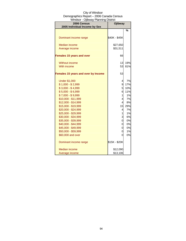| 2006 Census<br>2005 Individual Income by Sex | Ojibway        |               |
|----------------------------------------------|----------------|---------------|
|                                              |                | $\frac{0}{0}$ |
|                                              |                |               |
| Dominant income range                        | \$40K - \$45K  |               |
| <b>Median income</b>                         | \$27,650       |               |
| Average income                               | \$31,511       |               |
|                                              |                |               |
| <b>Females 15 years and over</b>             | 66             |               |
| Without income                               | 13             | 19%           |
| With income                                  | 53             | 81%           |
|                                              |                |               |
| Females 15 years and over by Income          | 53             |               |
| <b>Under \$1,000</b>                         | 4              | 7%            |
| $$1,000 - $2,999$                            | 9              | 17%           |
| $$3,000 - $4,999$                            | 5              | 10%           |
| $$5,000 - $6,999$                            | 6              | 11%           |
| $$7,000 - $9,999$                            | $\mathbf{1}$   | 1%            |
| \$10,000 - \$11,999                          | $\overline{4}$ | 7%            |
| \$12,000 - \$14,999                          | $\overline{4}$ | 8%            |
| \$15,000 - \$19,999                          | 15             | 29%           |
| \$20,000 - \$24,999                          | 4              | 7%            |
| \$25,000 - \$29,999                          | $\mathbf{1}$   | 1%            |
| \$30,000 - \$34,999                          | 3              | 6%            |
| \$35,000 - \$39,999                          | 0              | 0%            |
| \$40,000 - \$44,999                          | 0              | 0%            |
| \$45,000 - \$49,999                          | 0              | 0%            |
| \$50,000 - \$59,999                          | 0              | 1%            |
| \$60,000 and over                            | 0              | 0%            |
| Dominant income range                        | \$15K - \$20K  |               |
| Median income                                | \$12,090       |               |
| Average income                               | \$13,106       |               |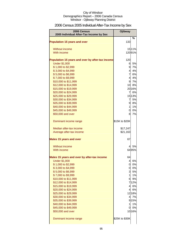## 2006 Census 2005 Individual After-Tax Income by Sex

| 2006 Census<br>2005 Individual After-Tax Income by Sex | Ojibway             |          |
|--------------------------------------------------------|---------------------|----------|
| <b>Population 15 years and over</b>                    | 133                 | %        |
| Without income                                         |                     | 1511%    |
| With income                                            |                     | 12091%   |
| Population 15 years and over by after-tax income       | 120                 |          |
| <b>Under \$1,000</b>                                   | 6                   | 5%       |
| \$1,000 to \$2,999                                     | 9                   | 7%       |
| \$3,000 to \$4,999                                     | $\overline{4}$      | 4%       |
| \$5,000 to \$6,999                                     | $\overline{7}$      | 6%       |
| \$7,000 to \$9,999                                     | $\overline{4}$      | 4%       |
| \$10,000 to \$11,999                                   | 9                   | 7%       |
| \$12,000 to \$14,999                                   | 10                  | 8%       |
| \$15,000 to \$19,999                                   |                     | 2016%    |
| \$20,000 to \$24,999                                   | $\overline{7}$      | 6%       |
| \$25,000 to \$29,999                                   |                     | 15 13%   |
| \$30,000 to \$34,999<br>\$35,000 to \$39,999           | $\overline{7}$<br>9 | 5%<br>8% |
| \$40,000 to \$44,999                                   | $\mathbf{1}$        | 1%       |
| \$45,000 to \$49,999                                   | 0                   | 0%       |
| \$50,000 and over                                      | 8                   | 7%       |
|                                                        |                     |          |
| Dominant income range                                  | \$15K to \$20K      |          |
| Median after-tax income                                | \$17,247            |          |
| Average after-tax income                               | \$21,163            |          |
| <b>Males 15 years and over</b>                         | 67                  |          |
| Without income                                         | 4                   | 5%       |
| With income                                            |                     | 6495%    |
|                                                        |                     |          |
| Males 15 years and over by after-tax income            | 64                  |          |
| <b>Under \$1,000</b><br>\$1,000 to \$2,999             | 4<br>0              | 6%<br>0% |
| \$3,000 to \$4,999                                     |                     | 0 0%     |
| \$5,000 to \$6,999                                     |                     | 3 5%     |
| \$7,000 to \$9,999                                     | $\mathbf{1}$        | 1%       |
| \$10,000 to \$11,999                                   | 6                   | 9%       |
| \$12,000 to \$14,999                                   |                     | 712%     |
| \$15,000 to \$19,999                                   |                     | 4 6%     |
| \$20,000 to \$24,999                                   |                     | 4 6%     |
| \$25,000 to \$29,999                                   |                     | 12 18%   |
| \$30,000 to \$34,999                                   | $\overline{4}$      | 7%       |
| \$35,000 to \$39,999                                   |                     | 9 15%    |
| \$40,000 to \$44,999                                   | 1                   | 1%       |
| \$45,000 to \$49,999                                   | 0                   | 0%       |
| \$50,000 and over                                      |                     | 10 16%   |
| Dominant income range                                  | \$25K to \$30K      |          |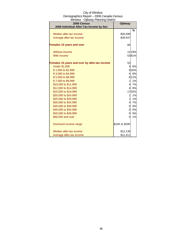| 2006 Census                                   | <b>Ojibway</b> |         |
|-----------------------------------------------|----------------|---------|
| 2005 Individual After-Tax Income by Sex       |                |         |
|                                               |                | %       |
| Median after-tax income                       | \$26,599       |         |
| Average after-tax income                      | \$28,547       |         |
| <b>Females 15 years and over</b>              | 66             |         |
| Without income                                |                | 1219%   |
| With income                                   |                | 5381%   |
| Females 15 years and over by after-tax income | 53             |         |
| <b>Under \$1,000</b>                          | 3              | 6%      |
| \$1,000 to \$2,999                            |                | 9 16%   |
| \$3,000 to \$4,999                            | $\overline{4}$ | 8%      |
| \$5,000 to \$6,999                            |                | 6 1 1 % |
| \$7,000 to \$9,999                            | 1              | 1%      |
| \$10,000 to \$11,999                          | $\overline{4}$ | 7%      |
| \$12,000 to \$14,999                          | $\overline{4}$ | 8%      |
| \$15,000 to \$19,999                          |                | 1732%   |
| \$20,000 to \$24,999                          | 1              | 1%      |
| \$25,000 to \$29,999                          | 1              | 1%      |
| \$30,000 to \$34,999                          | $\overline{4}$ | 7%      |
| \$35,000 to \$39,999                          | 0              | 0%      |
| \$40,000 to \$44,999                          | $\mathbf 0$    | 0%      |
| \$45,000 to \$49,999                          | 0              | 0%      |
| \$50,000 and over                             | $\overline{0}$ | 1%      |
| Dominant income range                         | \$15K to \$20K |         |
| Median after-tax income                       | \$12,135       |         |
| Average after-tax income                      | \$12,411       |         |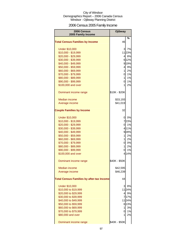## 2006 Census 2005 Family Income

| 2006 Census<br>2005 Family Income                | Ojibway       |       |
|--------------------------------------------------|---------------|-------|
|                                                  |               | %     |
| <b>Total Census Families by Income</b>           | 46            |       |
| <b>Under \$10,000</b>                            | 3             | 7%    |
| \$10,000 - \$19,999                              |               | 1123% |
| \$20,000 - \$29,999                              | 41            | 8%    |
| \$30,000 - \$39,999                              |               | 6 12% |
| \$40,000 - \$49,999                              |               | 919%  |
| \$50,000 - \$59,999                              | 4             | 9%    |
| \$60,000 - \$69,999                              | $\mathbf{1}$  | 2%    |
| \$70,000 - \$79,999                              | 0             | 1%    |
| \$80,000 - \$89,999                              | $\mathbf{1}$  | 1%    |
| \$90,000 - \$99,999                              | 0             | 1%    |
| \$100,000 and over                               | 1             | 2%    |
| Dominant income range                            | \$10K - \$20K |       |
| Median income                                    | \$33,193      |       |
| Average income                                   | \$41,019      |       |
| <b>Couple Families by Income</b>                 | 32            |       |
| <b>Under \$10,000</b>                            | 01            | 0%    |
| \$10,000 - \$19,999                              |               | 723%  |
| \$20,000 - \$29,999                              | Ol            | 1%    |
| \$30,000 - \$39,999                              |               | 411%  |
| \$40,000 - \$49,999                              |               | 928%  |
| \$50,000 - \$59,999                              | 1             | 2%    |
| \$60,000 - \$69,999                              | $\mathbf{1}$  | 2%    |
| \$70,000 - \$79,999                              | <sub>0</sub>  | 0%    |
| \$80,000 - \$89,999                              | $\mathbf{1}$  | 2%    |
| \$90,000 - \$99,999                              | 0             | 1%    |
| \$100,000 and over                               |               | 4 14% |
| Dominant income range                            | \$40K - \$50K |       |
| Median income                                    | \$42,595      |       |
| Average income                                   | \$46,239      |       |
| <b>Total Census Families by after-tax Income</b> | 44            |       |
| <b>Under \$10,000</b>                            | 3             | 8%    |
| \$10,000 to \$19,999                             |               | 1124% |
| \$20,000 to \$29,999                             | 41            | 9%    |
| \$30,000 to \$39,999                             |               | 717%  |
| \$40,000 to \$49,999                             |               | 1124% |
| \$50,000 to \$59,999                             |               | 6 13% |
| \$60,000 to \$69,999                             | 1             | 3%    |
| \$70,000 to \$79,999                             | 0             | 1%    |
| \$80,000 and over                                | 1             | 2%    |
| Dominant income range                            | \$40K - \$50K |       |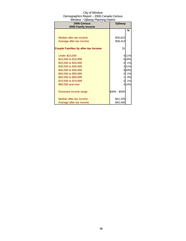| 2006 Census                                | Ojibway       |       |
|--------------------------------------------|---------------|-------|
| 2005 Family Income                         |               |       |
|                                            |               | %     |
|                                            |               |       |
| Median after-tax income                    | \$35,622      |       |
| Average after-tax income                   | \$38,413      |       |
|                                            |               |       |
| <b>Couple Families by after-tax Income</b> | 31            |       |
|                                            |               |       |
| <b>Under \$10,000</b>                      |               | 4 11% |
| \$10,000 to \$19,999                       |               | 6 18% |
| \$20,000 to \$29,999                       | Ol            | 1%    |
| \$30,000 to \$39,999                       |               | 3 11% |
| \$40,000 to \$49,999                       |               | 929%  |
| \$50,000 to \$59,999                       | 0             | 1%    |
| \$60,000 to \$69,999                       |               | 4%    |
| \$70,000 to \$79,999                       | 0             | 1%    |
| \$80,000 and over                          |               | 4 14% |
|                                            |               |       |
| Dominant income range                      | \$40K - \$50K |       |
|                                            |               |       |
| Median after-tax income                    | \$41,325      |       |
| Average after-tax income                   | \$42,460      |       |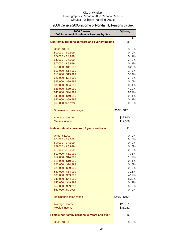## 2006 Census 2005 Income of Non-family Persons by Sex

| 2006 Census<br>2005 Income of Non-family Persons by Sex           | <b>Ojibway</b> |       |
|-------------------------------------------------------------------|----------------|-------|
| Non-family persons 15 years and over by Income                    | 38             | %     |
| <b>Under \$1,000</b>                                              | 3              | 9%    |
| $$1,000 - $2,999$                                                 | $\overline{0}$ | 0%    |
| $$3,000 - $4,999$                                                 | $\overline{0}$ | 1%    |
| $$5,000 - $6,999$                                                 | 3l             | 9%    |
| $$7,000 - $9,999$                                                 | $\overline{0}$ | 1%    |
| \$10,000 - \$11,999                                               |                | 822%  |
| \$12,000 - \$14,999                                               | 1              | 2%    |
| \$15,000 - \$19,999                                               |                | 5 14% |
| \$20,000 - \$24,999                                               |                | 3 9%  |
| \$25,000 - \$29,999                                               |                | 0 0%  |
| \$30,000 - \$34,999                                               | 0l             | 1%    |
| \$35,000 - \$39,999                                               |                | 4 10% |
| \$40,000 - \$44,999                                               |                | 822%  |
| \$45,000 - \$49,999                                               | <sub>0</sub>   | 1%    |
| \$50,000 - \$59,999                                               | $\overline{0}$ | 1%    |
| \$60,000 and over                                                 | 0l             | 0%    |
| Dominant income range                                             | \$10K - \$12K  |       |
| Average income                                                    | \$22,910       |       |
| <b>Median income</b>                                              | \$17,506       |       |
| Male non-family persons 15 years and over<br><b>Under \$1,000</b> | 22<br>0        | 0%    |
| $$1,000 - $2,999$                                                 | 0              | 0%    |
| $$3,000 - $4,999$                                                 | $\overline{0}$ | 0%    |
| $$5,000 - $6,999$                                                 | $\overline{0}$ | 0%    |
| $$7,000 - $9,999$                                                 | 0              | 0%    |
| \$10,000 - \$11,999                                               |                | 731%  |
| \$12,000 - \$14,999                                               | 1              | 2%    |
| \$15,000 - \$19,999                                               | 0              | 1%    |
| \$20,000 - \$24,999                                               | $\overline{0}$ | 0%    |
| \$25,000 - \$29,999                                               | 0l             | 0%    |
| \$30,000 - \$34,999                                               |                | 3 15% |
| \$35,000 - \$39,999                                               |                | 4 17% |
| \$40,000 - \$44,999                                               |                | 839%  |
| \$45,000 - \$49,999                                               |                | 0 2%  |
| \$50,000 - \$59,999                                               | 0              | 2%    |
| \$60,000 and over                                                 | 01             | 0%    |
| Dominant income range                                             | \$40K - \$45K  |       |
| Average income                                                    | \$26,761       |       |
| <b>Median income</b>                                              | \$36,282       |       |
| Female non-family persons 15 years and over                       | 16             |       |
| <b>Under \$1,000</b>                                              | 0              | 0%    |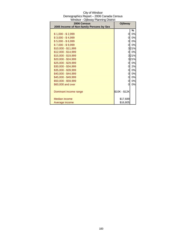| Windsor - Ojibway Planning District<br>2006 Census | Ojibway        |      |
|----------------------------------------------------|----------------|------|
| 2005 Income of Non-family Persons by Sex           |                |      |
|                                                    |                | %    |
| $$1,000 - $2,999$                                  | 0              | 0%   |
| $$3,000 - $4,999$                                  | 0              | 0%   |
| $$5,000 - $6,999$                                  | 0              | 0%   |
| $$7,000 - $9,999$                                  | 0              | 0%   |
| $$10,000 - $11,999$                                |                | 321% |
| $$12,000 - $14,999$                                | 0l             | 0%   |
| \$15,000 - \$19,999                                |                | 321% |
| $$20,000 - $24,999$                                |                | 321% |
| $$25,000 - $29,999$                                | 0              | 0%   |
| \$30,000 - \$34,999                                | 0              | 2%   |
| \$35,000 - \$39,999                                | 0              | 0%   |
| \$40,000 - \$44,999                                | $\overline{0}$ | 0%   |
| \$45,000 - \$49,999                                | 0              | 0%   |
| \$50,000 - \$59,999                                | 0              | 0%   |
| \$60,000 and over                                  | 0              | 0%   |
| Dominant income range                              | \$10K - \$12K  |      |
| Median income                                      | \$17,689       |      |
| Average income                                     | \$16,805       |      |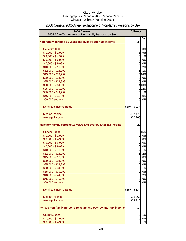| 2006 Census<br>2005 After-Tax Income of Non-family Persons by Sex | <b>Ojibway</b>              |          |
|-------------------------------------------------------------------|-----------------------------|----------|
| Non-family persons 15 years and over by after-tax income          | 38                          | $\%$     |
| <b>Under \$1,000</b>                                              | $\mathbf 0$                 | 0%       |
| $$1,000 - $2,999$                                                 | $\mathbf{3}$                | 9%       |
| $$3,000 - $4,999$                                                 | $\overline{0}$              | 1%       |
| $$5,000 - $6,999$                                                 | $\overline{0}$              | 0%       |
| $$7,000 - $9,999$                                                 | $\overline{0}$              | 0%       |
| \$10,000 - \$11,999                                               |                             | 822%     |
| \$12,000 - \$14,999                                               | $\mathbf{1}$                | 1%       |
| \$15,000 - \$19,999                                               |                             | 5 14%    |
| \$20,000 - \$24,999                                               |                             | 0 0%     |
| \$25,000 - \$29,999                                               | $\overline{O}$              | 0%       |
| \$30,000 - \$34,999                                               |                             | 4 10%    |
| \$35,000 - \$39,999                                               |                             | 822%     |
| \$40,000 - \$44,999                                               | $\overline{0}$              | 1%       |
| \$45,000 - \$49,999                                               | $\overline{0}$              | 0%       |
| \$50,000 and over                                                 | <sup>O</sup>                | 0%       |
| Dominant income range                                             | \$10K - \$12K               |          |
| Median income                                                     | \$17,479                    |          |
| Average income                                                    | \$20,266                    |          |
| Male non-family persons 15 years and over by after-tax income     | 22                          |          |
| <b>Under \$1,000</b>                                              |                             | 3 15%    |
| $$1,000 - $2,999$                                                 | $\overline{0}$              | 0%       |
| $$3,000 - $4,999$                                                 | $\overline{0}$              | 0%       |
| $$5,000 - $6,999$                                                 | $\overline{0}$              | 0%       |
| $$7,000 - $9,999$                                                 | 0                           | 0%       |
| \$10,000 - \$11,999                                               |                             | 731%     |
| \$12,000 - \$14,999<br>\$15,000 - \$19,999                        | $\mathbf{1}$<br>$\mathbf 0$ | 2%<br>0% |
| \$20,000 - \$24,999                                               | 0                           | 0%       |
| \$25,000 - \$29,999                                               | $\overline{0}$              | 0%       |
| \$30,000 - \$34,999                                               | 0                           | 1%       |
| \$35,000 - \$39,999                                               |                             | 940%     |
| \$40,000 - \$44,999                                               | 0l                          | 2%       |
| \$45,000 - \$49,999                                               | $\overline{0}$              | 0%       |
| \$50,000 and over                                                 | 0                           | 0%       |
| Dominant income range                                             | \$35K - \$40K               |          |
| Median income                                                     | \$11,969                    |          |
| Average income                                                    | \$23,216                    |          |
| Female non-family persons 15 years and over by after-tax income   | 14                          |          |
| <b>Under \$1,000</b>                                              | $\overline{0}$              | 1%       |
| $$1,000 - $2,999$                                                 | $\overline{0}$              | 0%       |
| $$3,000 - $4,999$                                                 | 01                          | 1%       |

## 2006 Census 2005 After-Tax Income of Non-family Persons by Sex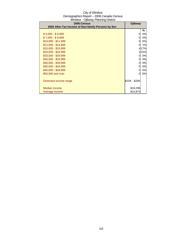| $\frac{1}{2}$<br>2006 Census                       | Ojibway       |      |
|----------------------------------------------------|---------------|------|
| 2005 After-Tax Income of Non-family Persons by Sex |               |      |
|                                                    |               | ℅    |
| $$5,000 - $6,999$                                  | 0             | 0%   |
| $$7,000 - $9,999$                                  | 0             | 0%   |
| $$10,000 - $11,999$                                | <sup>O</sup>  | 0%   |
| $$12,000 - $14,999$                                | 0             | 1%   |
| \$15,000 - \$19,999                                |               | 417% |
| $$20,000 - $24,999$                                |               | 315% |
| \$25,000 - \$29,999                                | 0             | 0%   |
| \$30,000 - \$34,999                                | 0             | 0%   |
| \$35,000 - \$39,999                                | 0             | 0%   |
| $$40,000 - $44,999$                                | 0             | 0%   |
| \$45,000 - \$49,999                                | 0             | 0%   |
| \$50,000 and over                                  | 0             | 0%   |
|                                                    |               |      |
| Dominant income range                              | \$15K - \$20K |      |
|                                                    |               |      |
| Median income                                      | \$19,296      |      |
| Average income                                     | \$15,874      |      |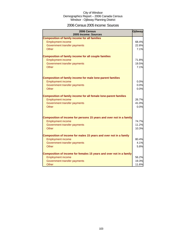### 2006 Census 2005 Income: Sources

| 2006 Census<br>2005 Income: Sources                                 | <b>Ojibway</b> |
|---------------------------------------------------------------------|----------------|
| <b>Composition of family income for all families</b>                |                |
| <b>Employment income</b>                                            | 68.4%          |
| Government transfer payments                                        | 22.8%          |
| Other                                                               | 7.1%           |
|                                                                     |                |
| <b>Composition of family income for all couple families</b>         |                |
| <b>Employment income</b>                                            | 71.8%          |
| Government transfer payments                                        | 19.5%          |
| Other                                                               | 7.1%           |
| <b>Composition of family income for male lone-parent families</b>   |                |
| <b>Employment income</b>                                            | 0.0%           |
| Government transfer payments                                        | 0.0%           |
| <b>Other</b>                                                        | 0.0%           |
|                                                                     |                |
| Composition of family income for all female lone-parent families    |                |
| <b>Employment income</b>                                            | 26.7%          |
| Government transfer payments                                        | 41.0%          |
| Other                                                               | 0.0%           |
| Composition of income for persons 15 years and over not in a family |                |
| <b>Employment income</b>                                            | 74.7%          |
| Government transfer payments                                        | 11.2%          |
| Other                                                               | 10.3%          |
| Composition of income for males 15 years and over not in a family   |                |
| <b>Employment income</b>                                            | 80.4%          |
| Government transfer payments                                        | 4.1%           |
| Other                                                               | 5.8%           |
|                                                                     |                |
| Composition of income for females 15 years and over not in a family |                |
| <b>Employment income</b>                                            | 56.2%          |
| Government transfer payments                                        | 19.3%          |
| Other                                                               | 11.6%          |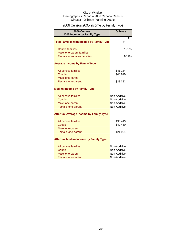## 2006 Census 2005 Income by Family Type

| 2006 Census<br>2005 Income by Family Type                | Ojibway                      |               |
|----------------------------------------------------------|------------------------------|---------------|
| <b>Total Families with Income by Family Type</b>         | 44                           | $\frac{0}{0}$ |
| <b>Couple families</b>                                   |                              | 3172%         |
| Male lone-parent families<br>Female lone-parent families |                              | 819%          |
| <b>Average Income by Family Type</b>                     |                              |               |
| All census families<br>Couple                            | \$41,154<br>\$45,990         |               |
| Male lone-parent<br>Female lone-parent                   | \$23,382                     |               |
| <b>Median Income by Family Type</b>                      |                              |               |
| All census families                                      | Non-Additive                 |               |
| Couple                                                   | Non-Additive                 |               |
| Male lone-parent<br>Female lone-parent                   | Non-Additive<br>Non-Additive |               |
| <b>After-tax Average Income by Family Type</b>           |                              |               |
| All census families                                      | \$38,413                     |               |
| Couple                                                   | \$42,460                     |               |
| Male lone-parent<br>Female lone-parent                   | \$21,991                     |               |
| <b>After-tax Median Income by Family Type</b>            |                              |               |
| All census families                                      | Non-Additive                 |               |
| Couple                                                   | Non-Additive                 |               |
| Male lone-parent                                         | Non-Additive                 |               |
| Female lone-parent                                       | Non-Additive                 |               |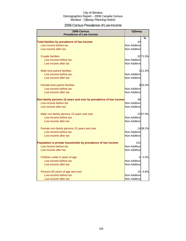### 2006 Census Prevalence of Low Income

| 2006 Census<br><b>Prevalence of Low Income</b>                   | <b>Ojibway</b> |          |
|------------------------------------------------------------------|----------------|----------|
|                                                                  |                | %        |
| Total families by prevalence of low income                       | 44             |          |
| Low income before tax                                            | Non-Additive   |          |
| Low income after tax                                             | Non-Additive   |          |
| <b>Couple families</b>                                           |                | 32 71.9% |
| Low income before tax                                            | Non-Additive   |          |
| Low income after tax                                             | Non-Additive   |          |
| Male lone-parent families                                        |                | 511.5%   |
| Low income before tax                                            | Non-Additive   |          |
| Low income after tax                                             | Non-Additive   |          |
| Female lone-parent families                                      |                | 920.3%   |
| Low income before tax                                            | Non-Additive   |          |
| Low income after tax                                             | Non-Additive   |          |
| Non-family persons 15 years and over by prevalence of low income | 38             |          |
| Low income before tax                                            | Non-Additive   |          |
| Low income after tax                                             | Non-Additive   |          |
| Male non-family persons 15 years and over                        |                | 2257.9%  |
| Low income before tax                                            | Non-Additive   |          |
| Low income after tax                                             | Non-Additive   |          |
| Female non-family persons 15 years and over                      |                | 1438.2%  |
| Low income before tax                                            | Non-Additive   |          |
| Low income after tax                                             | Non-Additive   |          |
| Population in private households by prevalence of low income     | 152            |          |
| Low income before tax                                            | Non-Additive   |          |
| Low income after tax                                             | Non-Additive   |          |
| Children under 6 years of age                                    | 8              | 5.5%     |
| Low income before tax                                            | Non-Additive   |          |
| Low income after tax                                             | Non-Additive   |          |
| Persons 65 years of age and over                                 | 15             | 9.8%     |
| Low income before tax                                            | Non-Additive   |          |
| Low income after tax                                             | Non-Additive   |          |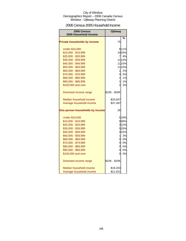### 2006 Census 2005 Household Income

| <b>2006 Census</b><br>2005 Household Income | <b>Ojibway</b> |        |
|---------------------------------------------|----------------|--------|
|                                             |                | %      |
| <b>Private households by income</b>         | 75             |        |
| <b>Under \$10,000</b>                       |                | 8 11%  |
| \$10,000 - \$19,999                         |                | 1925%  |
| \$20,000 - \$29,999                         | $\overline{7}$ | 9%     |
| \$30,000 - \$39,999                         |                | 11 14% |
| \$40,000 - \$49,999                         |                | 11 15% |
| \$50,000 - \$59,999                         |                | 11 15% |
| \$60,000 - \$69,999                         | 1              | 2%     |
| \$70,000 - \$79,999                         | 4              | 5%     |
| \$80,000 - \$89,999                         | $\mathbf{1}$   | 1%     |
| \$90,000 - \$99,999                         | 1              | 1%     |
| \$100,000 and over                          | $\overline{2}$ | 2%     |
| Dominant income range                       | \$10K - \$20K  |        |
| Median household income                     | \$33,647       |        |
| Average household income                    | \$37,497       |        |
| One person households by income             | 26             |        |
| <b>Under \$10,000</b>                       |                | 5 19%  |
| \$10,000 - \$19,999                         |                | 936%   |
| \$20,000 - \$29,999                         |                | 3 1 2% |
| \$30,000 - \$39,999                         |                | 520%   |
| \$40,000 - \$49,999                         |                | 4 15%  |
| \$50,000 - \$59,999                         | $\mathbf{1}$   | 3%     |
| \$60,000 - \$69,999                         | 0l             | 0%     |
| \$70,000 - \$79,999                         | O              | 0%     |
| \$80,000 - \$89,999                         | ol             | 0%     |
| \$90,000 - \$99,999                         | 0              | 0%     |
| \$100,000 and over                          | 0              | 0%     |
| Dominant income range                       | \$10K - \$20K  |        |
| Median household income                     | \$19,203       |        |
| Average household income                    | \$21,921       |        |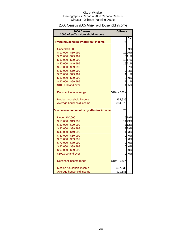### 2006 Census 2005 After-Tax Household Income

| <b>2006 Census</b><br>2005 After-Tax Household Income | <b>Ojibway</b> |       |
|-------------------------------------------------------|----------------|-------|
|                                                       |                |       |
| Private households by after-tax income                | 75             | %     |
| <b>Under \$10,000</b>                                 | 61             | 9%    |
| \$10,000 - \$19,999                                   |                | 1925% |
| \$20,000 - \$29,999                                   |                | 8 11% |
| \$30,000 - \$39,999                                   |                | 1317% |
| \$40,000 - \$49,999                                   |                | 1521% |
| \$50,000 - \$59,999                                   | $5 \mid$       | 7%    |
| \$60,000 - \$69,999                                   | $\overline{2}$ | 3%    |
| \$70,000 - \$79,999                                   | $\mathbf{1}$   | 1%    |
| \$80,000 - \$89,999                                   | 0              | 0%    |
| \$90,000 - \$99,999                                   | $\mathbf{1}$   | 1%    |
| \$100,000 and over                                    | 41             | 5%    |
| Dominant income range                                 | \$10K - \$20K  |       |
| Median household income                               | \$32,935       |       |
| Average household income                              | \$34,070       |       |
| One person households by after-tax income             | 25             |       |
| <b>Under \$10,000</b>                                 |                | 5 19% |
| \$10,000 - \$19,999                                   |                | 1143% |
| \$20,000 - \$29,999                                   |                | 312%  |
| \$30,000 - \$39,999                                   |                | 729%  |
| \$40,000 - \$49,999                                   | 11             | 3%    |
| \$50,000 - \$59,999                                   |                | 0 0%  |
| \$60,000 - \$69,999                                   | $\overline{O}$ | 0%    |
| \$70,000 - \$79,999                                   | $\overline{0}$ | 0%    |
| \$80,000 - \$89,999                                   | 0              | 0%    |
| \$90,000 - \$99,999                                   | Οl             | 0%    |
| \$100,000 and over                                    | 0              | 0%    |
| Dominant income range                                 | \$10K - \$20K  |       |
| Median household income                               | \$17,836       |       |
| Average household income                              | \$19,585       |       |